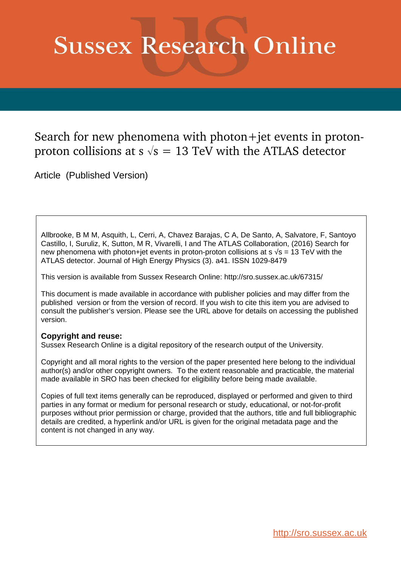# **Sussex Research Online**

## Search for new phenomena with photon+jet events in protonproton collisions at s  $\sqrt{s}$  = 13 TeV with the ATLAS detector

Article (Published Version)

Allbrooke, B M M, Asquith, L, Cerri, A, Chavez Barajas, C A, De Santo, A, Salvatore, F, Santoyo Castillo, I, Suruliz, K, Sutton, M R, Vivarelli, I and The ATLAS Collaboration, (2016) Search for new phenomena with photon+jet events in proton-proton collisions at  $s \sqrt{s} = 13$  TeV with the ATLAS detector. Journal of High Energy Physics (3). a41. ISSN 1029-8479

This version is available from Sussex Research Online: http://sro.sussex.ac.uk/67315/

This document is made available in accordance with publisher policies and may differ from the published version or from the version of record. If you wish to cite this item you are advised to consult the publisher's version. Please see the URL above for details on accessing the published version.

## **Copyright and reuse:**

Sussex Research Online is a digital repository of the research output of the University.

Copyright and all moral rights to the version of the paper presented here belong to the individual author(s) and/or other copyright owners. To the extent reasonable and practicable, the material made available in SRO has been checked for eligibility before being made available.

Copies of full text items generally can be reproduced, displayed or performed and given to third parties in any format or medium for personal research or study, educational, or not-for-profit purposes without prior permission or charge, provided that the authors, title and full bibliographic details are credited, a hyperlink and/or URL is given for the original metadata page and the content is not changed in any way.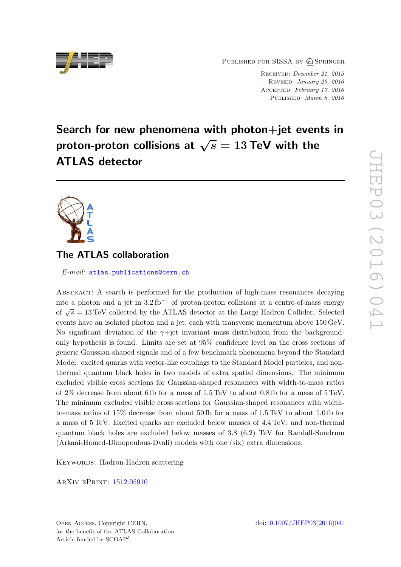PUBLISHED FOR SISSA BY 2 SPRINGER

RECEIVED: December 21, 2015 Revised : January 29, 2016 Accepted : February 17, 2016 PUBLISHED: March 8, 2016

# Search for new phenomena with photon+jet events in proton-proton collisions at  $\sqrt{s}=13\text{ TeV}$  with the ATLAS detector



## The ATLAS collaboration

*E-mail:* [atlas.publications@cern.ch](mailto:atlas.publications@cern.ch)

<span id="page-1-0"></span>Abstract: A search is performed for the production of high-mass resonances decaying into a photon and a jet in  $3.2 \text{ fb}^{-1}$  of proton-proton collisions at a centre-of-mass energy of  $\sqrt{s} = 13 \text{ TeV}$  collected by the ATLAS detector at the Large Hadron Collider. Selected events have an isolated photon and a jet, each with transverse momentum above 150 GeV. No significant deviation of the  $\gamma$ +jet invariant mass distribution from the backgroundonly hypothesis is found. Limits are set at 95% confidence level on the cross sections of generic Gaussian-shaped signals and of a few benchmark phenomena beyond the Standard Model: excited quarks with vector-like couplings to the Standard Model particles, and nonthermal quantum black holes in two models of extra spatial dimensions. The minimum excluded visible cross sections for Gaussian-shaped resonances with width-to-mass ratios of 2% decrease from about 6 fb for a mass of 1.5 TeV to about 0.8 fb for a mass of 5 TeV. The minimum excluded visible cross sections for Gaussian-shaped resonances with widthto-mass ratios of 15% decrease from about 50 fb for a mass of 1.5 TeV to about 1.0 fb for a mass of 5 TeV. Excited quarks are excluded below masses of 4.4 TeV, and non-thermal quantum black holes are excluded below masses of 3.8 (6.2) TeV for Randall-Sundrum (Arkani-Hamed-Dimopoulous-Dvali) models with one (six) extra dimensions.

KEYWORDS: Hadron-Hadron scattering

ArXiv ePrint: [1512.05910](http://arxiv.org/abs/1512.05910)

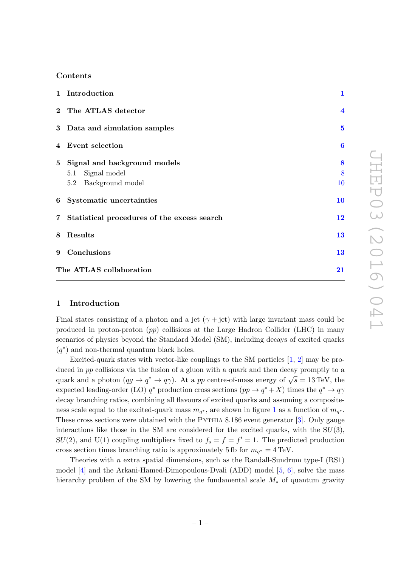#### Contents

|   | 1 Introduction                                                                   | $\mathbf{1}$            |
|---|----------------------------------------------------------------------------------|-------------------------|
|   | 2 The ATLAS detector                                                             | $\overline{\mathbf{4}}$ |
|   | 3 Data and simulation samples                                                    | $\overline{5}$          |
|   | 4 Event selection                                                                | $\boldsymbol{6}$        |
|   | 5 Signal and background models<br>Signal model<br>5.1<br>Background model<br>5.2 | 8<br>8<br>10            |
|   | 6 Systematic uncertainties                                                       | 10                      |
|   | 7 Statistical procedures of the excess search                                    | 12                      |
| 8 | Results                                                                          | 13                      |
|   | 9 Conclusions                                                                    | 13                      |
|   | The ATLAS collaboration                                                          |                         |

#### 1 Introduction

Final states consisting of a photon and a jet  $(\gamma + \text{jet})$  with large invariant mass could be produced in proton-proton (pp) collisions at the Large Hadron Collider (LHC) in many scenarios of physics beyond the Standard Model (SM), including decays of excited quarks  $(q^*)$  and non-thermal quantum black holes.

Excited-quark states with vector-like couplings to the SM particles [[1](#page-17-0), [2\]](#page-17-1) may be produced in pp collisions via the fusion of a gluon with a quark and then decay promptly to a quark and a photon  $(qg \to q^* \to q\gamma)$ . At a pp centre-of-mass energy of  $\sqrt{s} = 13 \text{ TeV}$ , the expected leading-order (LO)  $q^*$  production cross sections  $(pp \to q^* + X)$  times the  $q^* \to q\gamma$ decay branching ratios, combining all flavours of excited quarks and assuming a compositeness scale equal to the excited-quark mass  $m_{q^*}$ , are shown in figure [1](#page-3-0) as a function of  $m_{q^*}$ . These cross sections were obtained with the PYTHIA 8.186 event generator  $[3]$  $[3]$ . Only gauge interactions like those in the SM are considered for the excited quarks, with the  $SU(3)$ , SU(2), and U(1) coupling multipliers fixed to  $f_s = f = f' = 1$ . The predicted production cross section times branching ratio is approximately 5 fb for  $m_{q^*} = 4 \text{ TeV}$ .

Theories with  $n$  extra spatial dimensions, such as the Randall-Sundrum type-I  $(RS1)$ model [[4\]](#page-17-3) and the Arkani-Hamed-Dimopoulous-Dvali (ADD) model [[5](#page-17-4), [6\]](#page-17-5), solve the mass hierarchy problem of the SM by lowering the fundamental scale M∗ of quantum gravity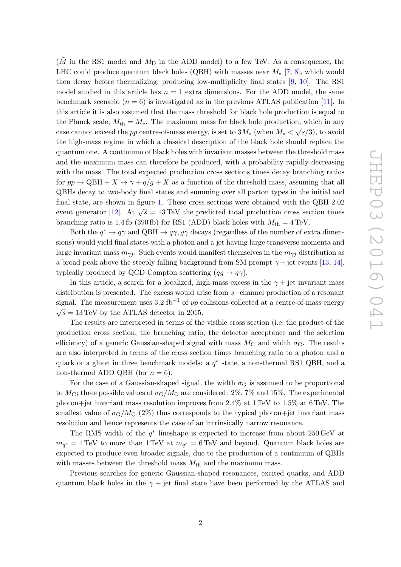$(\tilde{M}$  in the RS1 model and  $M_{\text{D}}$  in the ADD model) to a few TeV. As a consequence, the LHC could produce quantum black holes (QBH) with masses near  $M_{*}$  [[7](#page-17-6), [8\]](#page-17-7), which would then decay before thermalizing, producing low-multiplicity final states [ [9](#page-17-8) , [10\]](#page-18-0). The RS1 model studied in this article has  $n = 1$  extra dimensions. For the ADD model, the same benchmark scenario ( $n = 6$ ) is investigated as in the previous ATLAS publication [\[11\]](#page-18-1). In this article it is also assumed that the mass threshold for black hole production is equal to the Planck scale,  $M_{th} = M_*$ . The maximum mass for black hole production, which in any case cannot exceed the pp centre-of-mass energy, is set to  $3M_*$  (when  $M_* < \sqrt{s}/3$ ), to avoid the high-mass regime in which a classical description of the black hole should replace the quantum one. A continuum of black holes with invariant masses between the threshold mass and the maximum mass can therefore be produced, with a probability rapidly decreasing with the mass. The total expected production cross sections times decay branching ratios for  $pp \to QBH + X \to \gamma + q/g + X$  as a function of the threshold mass, assuming that all QBHs decay to two-body final states and summing over all parton types in the initial and final state, are shown in figure [1.](#page-3-0) These cross sections were obtained with the QBH 2.02 event generator [\[12\]](#page-18-2). At  $\sqrt{s} = 13 \,\text{TeV}$  the predicted total production cross section times branching ratio is 1.4 fb (390 fb) for RS1 (ADD) black holes with  $M_{\text{th}} = 4 \,\text{TeV}$ .

<span id="page-3-0"></span>Both the  $q^* \to q\gamma$  and QBH  $\to q\gamma, g\gamma$  decays (regardless of the number of extra dimensions) would yield final states with a photon and a jet having large transverse momenta and large invariant mass  $m_{\gamma j}$ . Such events would manifest themselves in the  $m_{\gamma j}$  distribution as a broad peak above the steeply falling background from SM prompt  $\gamma$  + jet events [\[13](#page-18-3), [14\]](#page-18-4), typically produced by QCD Compton scattering  $(qg \to q\gamma)$ .

In this article, a search for a localized, high-mass excess in the  $\gamma +$  jet invariant mass distribution is presented. The excess would arise from  $s$ -channel production of a resonant signal. The measurement uses 3.2 fb<sup>-1</sup> of  $pp$  collisions collected at a centre-of-mass energy  $\sqrt{s} = 13 \,\text{TeV}$  by the ATLAS detector in 2015.

The results are interpreted in terms of the visible cross section (i.e. the product of the production cross section, the branching ratio, the detector acceptance and the selection efficiency) of a generic Gaussian-shaped signal with mass  $M<sub>G</sub>$  and width  $\sigma<sub>G</sub>$ . The results are also interpreted in terms of the cross section times branching ratio to a photon and a quark or a gluon in three benchmark models: a  $q^*$  state, a non-thermal RS1 QBH, and a non-thermal ADD QBH (for  $n = 6$ ).

For the case of a Gaussian-shaped signal, the width  $\sigma$ <sub>G</sub> is assumed to be proportional to  $M_{\rm G}$ ; three possible values of  $\sigma_{\rm G}/M_{\rm G}$  are considered:  $2\%, 7\%$  and  $15\%$ . The experimental photon+jet invariant mass resolution improves from 2.4% at 1 TeV to 1.5% at 6 TeV. The smallest value of  $\sigma_{\rm G}/M_{\rm G}$  (2%) thus corresponds to the typical photon+jet invariant mass resolution and hence represents the case of an intrinsically narrow resonance.

The RMS width of the  $q^*$  lineshape is expected to increase from about  $250 \,\text{GeV}$  at  $m_{q^*} = 1 \,\text{TeV}$  to more than 1 TeV at  $m_{q^*} = 6 \,\text{TeV}$  and beyond. Quantum black holes are expected to produce even broader signals, due to the production of a continuum of QBHs with masses between the threshold mass  $M_{\text{th}}$  and the maximum mass.

Previous searches for generic Gaussian-shaped resonances, excited quarks, and ADD quantum black holes in the  $\gamma$  + jet final state have been performed by the ATLAS and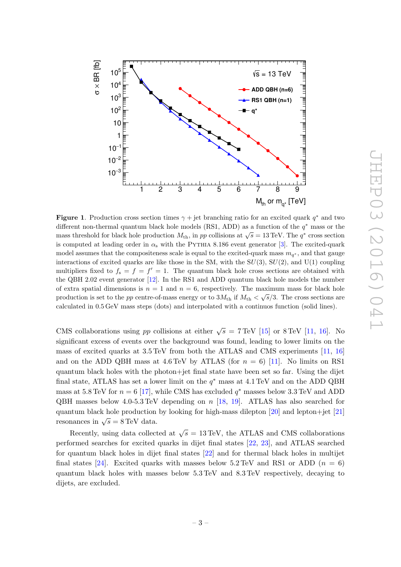

<span id="page-4-0"></span>**Figure 1.** Production cross section times  $\gamma +$  jet branching ratio for an excited quark  $q^*$  and two different non-thermal quantum black hole models (RS1, ADD) as a function of the  $q^*$  mass or the mass threshold for black hole production  $M_{\text{th}}$ , in pp collisions at  $\sqrt{s} = 13 \text{ TeV}$ . The  $q^*$  cross section is computed at leading order in  $\alpha_s$  with the PYTHIA 8.186 event generator [[3\]](#page-17-2). The excited-quark model assumes that the compositeness scale is equal to the excited-quark mass  $m_{q^*}$ , and that gauge interactions of excited quarks are like those in the SM, with the  $SU(3)$ ,  $SU(2)$ , and  $U(1)$  coupling multipliers fixed to  $f_s = f = f' = 1$ . The quantum black hole cross sections are obtained with the QBH 2.02 event generator [\[12\]](#page-18-2). In the RS1 and ADD quantum black hole models the number of extra spatial dimensions is  $n = 1$  and  $n = 6$ , respectively. The maximum mass for black hole production is set to the pp centre-of-mass energy or to  $3M_{\rm th}$  if  $M_{\rm th} < \sqrt{s}/3$ . The cross sections are calculated in 0.5 GeV mass steps (dots) and interpolated with a continuos function (solid lines).

CMS collaborations using pp collisions at either  $\sqrt{s} = 7 \text{ TeV}$  [\[15\]](#page-18-5) or 8 TeV [\[11](#page-18-1), [16\]](#page-18-6). No significant excess of events over the background was found, leading to lower limits on the mass of excited quarks at 3.5 TeV from both the ATLAS and CMS experiments [\[11](#page-18-1), [16](#page-18-6)] and on the ADD QBH mass at  $4.6 \text{ TeV}$  by ATLAS (for  $n = 6$ ) [\[11\]](#page-18-1). No limits on RS1 quantum black holes with the photon+jet final state have been set so far. Using the dijet final state, ATLAS has set a lower limit on the  $q^*$  mass at 4.1 TeV and on the ADD QBH mass at 5.8 TeV for  $n = 6$  [\[17\]](#page-18-7), while CMS has excluded  $q^*$  masses below 3.3 TeV and ADD QBH masses below 4.0-5.3 TeV depending on n [\[18](#page-18-8) , [19\]](#page-18-9). ATLAS has also searched for quantum black hole production by looking for high-mass dilepton [\[20\]](#page-18-10) and lepton+jet [\[21](#page-18-11) ] resonances in  $\sqrt{s} = 8 \,\text{TeV}$  data.

<span id="page-4-1"></span>Recently, using data collected at  $\sqrt{s} = 13 \,\text{TeV}$ , the ATLAS and CMS collaborations performed searches for excited quarks in dijet final states [\[22](#page-18-12) , [23\]](#page-18-13), and ATLAS searched for quantum black holes in dijet final states [\[22\]](#page-18-12) and for thermal black holes in multijet final states [\[24\]](#page-18-14). Excited quarks with masses below  $5.2 \,\text{TeV}$  and RS1 or ADD  $(n = 6)$ quantum black holes with masses below 5.3 TeV and 8.3 TeV respectively, decaying to dijets, are excluded.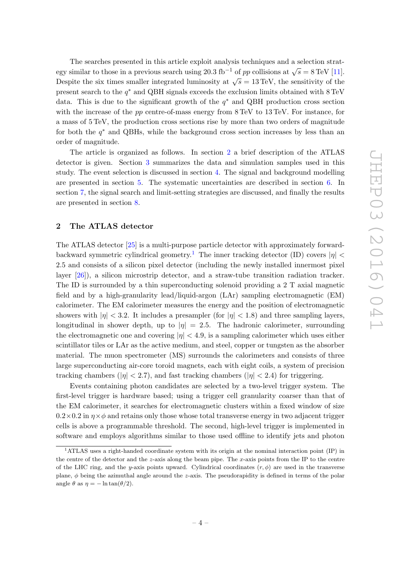<span id="page-5-0"></span>The searches presented in this article exploit analysis techniques and a selection strategy similar to those in a previous search using 20.3 fb<sup>-1</sup> of pp collisions at  $\sqrt{s} = 8 \text{ TeV}$  [\[11\]](#page-18-1). Despite the six times smaller integrated luminosity at  $\sqrt{s} = 13 \,\text{TeV}$ , the sensitivity of the present search to the  $q^*$  and QBH signals exceeds the exclusion limits obtained with  $8 \text{ TeV}$ data. This is due to the significant growth of the  $q^*$  and QBH production cross section with the increase of the  $pp$  centre-of-mass energy from  $8 \text{ TeV}$  to  $13 \text{ TeV}$ . For instance, for a mass of 5 TeV, the production cross sections rise by more than two orders of magnitude for both the  $q^*$  and QBHs, while the background cross section increases by less than an order of magnitude.

The article is organized as follows. In section [2](#page-4-0) a brief description of the ATLAS detector is given. Section [3](#page-5-0) summarizes the data and simulation samples used in this study. The event selection is discussed in section [4.](#page-6-0) The signal and background modelling are presented in section [5.](#page-8-0) The systematic uncertainties are described in section [6.](#page-10-1) In section [7,](#page-12-0) the signal search and limit-setting strategies are discussed, and finally the results are presented in section [8](#page-13-0) .

#### 2 The ATLAS detector

The ATLAS detector [\[25\]](#page-18-15) is a multi-purpose particle detector with approximately forward-backward symmetric cylindrical geometry.<sup>[1](#page-4-1)</sup> The inner tracking detector (ID) covers  $|\eta|$  < 2.5 and consists of a silicon pixel detector (including the newly installed innermost pixel layer [\[26\]](#page-19-0)), a silicon microstrip detector, and a straw-tube transition radiation tracker. The ID is surrounded by a thin superconducting solenoid providing a 2 T axial magnetic field and by a high-granularity lead/liquid-argon (LAr) sampling electromagnetic (EM) calorimeter. The EM calorimeter measures the energy and the position of electromagnetic showers with  $|\eta| < 3.2$ . It includes a presampler (for  $|\eta| < 1.8$ ) and three sampling layers, longitudinal in shower depth, up to  $|\eta| = 2.5$ . The hadronic calorimeter, surrounding the electromagnetic one and covering  $|\eta| < 4.9$ , is a sampling calorimeter which uses either scintillator tiles or LAr as the active medium, and steel, copper or tungsten as the absorber material. The muon spectrometer (MS) surrounds the calorimeters and consists of three large superconducting air-core toroid magnets, each with eight coils, a system of precision tracking chambers ( $|\eta|$  < 2.7), and fast tracking chambers ( $|\eta|$  < 2.4) for triggering.

Events containing photon candidates are selected by a two-level trigger system. The first-level trigger is hardware based; using a trigger cell granularity coarser than that of the EM calorimeter, it searches for electromagnetic clusters within a fixed window of size  $0.2\times0.2$  in  $\eta\times\phi$  and retains only those whose total transverse energy in two adjacent trigger cells is above a programmable threshold. The second, high-level trigger is implemented in software and employs algorithms similar to those used offline to identify jets and photon

<sup>1</sup>ATLAS uses a right-handed coordinate system with its origin at the nominal interaction point (IP) in the centre of the detector and the z-axis along the beam pipe. The x-axis points from the IP to the centre of the LHC ring, and the y-axis points upward. Cylindrical coordinates  $(r, \phi)$  are used in the transverse plane, φ being the azimuthal angle around the z-axis. The pseudorapidity is defined in terms of the polar angle  $\theta$  as  $\eta = -\ln \tan(\theta/2)$ .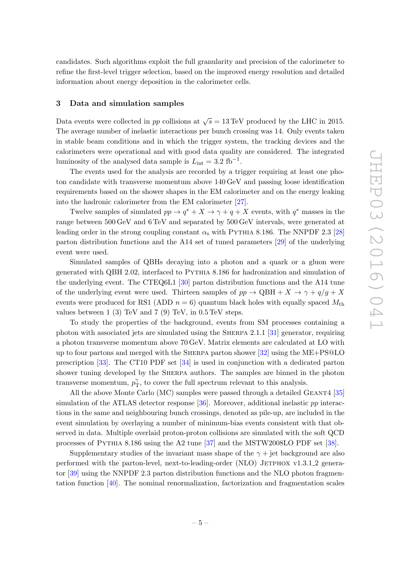candidates. Such algorithms exploit the full granularity and precision of the calorimeter to refine the first-level trigger selection, based on the improved energy resolution and detailed information about energy deposition in the calorimeter cells.

#### 3 Data and simulation samples

<span id="page-6-0"></span>Data events were collected in pp collisions at  $\sqrt{s} = 13 \,\text{TeV}$  produced by the LHC in 2015. The average number of inelastic interactions per bunch crossing was 14. Only events taken in stable beam conditions and in which the trigger system, the tracking devices and the calorimeters were operational and with good data quality are considered. The integrated luminosity of the analysed data sample is  $L_{\text{int}} = 3.2 \text{ fb}^{-1}$ .

The events used for the analysis are recorded by a trigger requiring at least one photon candidate with transverse momentum above 140 GeV and passing loose identification requirements based on the shower shapes in the EM calorimeter and on the energy leaking into the hadronic calorimeter from the EM calorimeter [\[27\]](#page-19-1).

Twelve samples of simulated  $pp \to q^* + X \to \gamma + q + X$  events, with  $q^*$  masses in the range between 500 GeV and 6 TeV and separated by 500 GeV intervals, were generated at leading order in the strong coupling constant  $\alpha_s$  with PYTHIA 8.186. The NNPDF 2.3 [\[28](#page-19-2)] parton distribution functions and the A14 set of tuned parameters [\[29\]](#page-19-3) of the underlying event were used.

Simulated samples of QBHs decaying into a photon and a quark or a gluon were generated with QBH 2.02, interfaced to Pythia 8.186 for hadronization and simulation of the underlying event. The CTEQ6L1 [\[30\]](#page-19-4) parton distribution functions and the A14 tune of the underlying event were used. Thirteen samples of  $pp \to \text{QBH} + X \to \gamma + q/g + X$ events were produced for RS1 (ADD  $n = 6$ ) quantum black holes with equally spaced  $M_{\rm th}$ values between 1 (3) TeV and 7 (9) TeV, in 0.5 TeV steps.

To study the properties of the background, events from SM processes containing a photon with associated jets are simulated using the Sherpa 2.1.1 [\[31\]](#page-19-5) generator, requiring a photon transverse momentum above 70 GeV. Matrix elements are calculated at LO with up to four partons and merged with the Sherpa parton shower [\[32\]](#page-19-6) using the ME+PS@LO prescription [\[33\]](#page-19-7). The CT10 PDF set [\[34\]](#page-19-8) is used in conjunction with a dedicated parton shower tuning developed by the SHERPA authors. The samples are binned in the photon transverse momentum,  $p_{\text{T}}^{\gamma}$  $T_{\rm T}^{\gamma}$ , to cover the full spectrum relevant to this analysis.

All the above Monte Carlo (MC) samples were passed through a detailed GEANT4 [\[35](#page-19-9)] simulation of the ATLAS detector response [\[36\]](#page-19-10). Moreover, additional inelastic pp interactions in the same and neighbouring bunch crossings, denoted as pile-up, are included in the event simulation by overlaying a number of minimum-bias events consistent with that observed in data. Multiple overlaid proton-proton collisions are simulated with the soft QCD processes of Pythia 8.186 using the A2 tune [\[37\]](#page-19-11) and the MSTW2008LO PDF set [\[38\]](#page-19-12).

Supplementary studies of the invariant mass shape of the  $\gamma$  + jet background are also performed with the parton-level, next-to-leading-order (NLO) JETPHOX v1.3.1.2 generator [\[39\]](#page-19-13) using the NNPDF 2.3 parton distribution functions and the NLO photon fragmentation function [\[40\]](#page-19-14). The nominal renormalization, factorization and fragmentation scales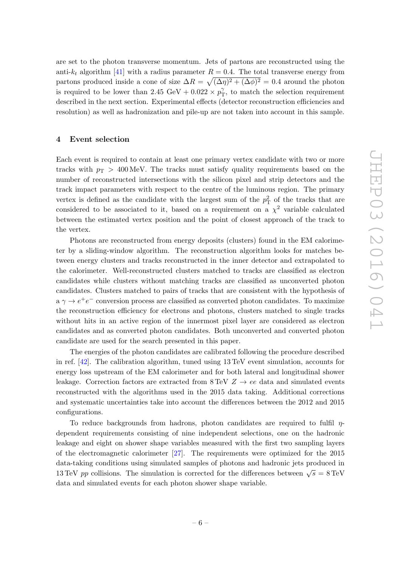are set to the photon transverse momentum. Jets of partons are reconstructed using the anti- $k_t$  algorithm [\[41\]](#page-19-15) with a radius parameter  $R = 0.4$ . The total transverse energy from partons produced inside a cone of size  $\Delta R = \sqrt{(\Delta \eta)^2 + (\Delta \phi)^2} = 0.4$  around the photon is required to be lower than 2.45 GeV +  $0.022 \times p_{\text{T}}^{\gamma}$  $T_{\rm T}^{\gamma}$ , to match the selection requirement described in the next section. Experimental effects (detector reconstruction efficiencies and resolution) as well as hadronization and pile-up are not taken into account in this sample.

#### 4 Event selection

Each event is required to contain at least one primary vertex candidate with two or more tracks with  $p_{\rm T} > 400 \,\text{MeV}$ . The tracks must satisfy quality requirements based on the number of reconstructed intersections with the silicon pixel and strip detectors and the track impact parameters with respect to the centre of the luminous region. The primary vertex is defined as the candidate with the largest sum of the  $p_T^2$  of the tracks that are considered to be associated to it, based on a requirement on a  $\chi^2$  variable calculated between the estimated vertex position and the point of closest approach of the track to the vertex.

Photons are reconstructed from energy deposits (clusters) found in the EM calorimeter by a sliding-window algorithm. The reconstruction algorithm looks for matches between energy clusters and tracks reconstructed in the inner detector and extrapolated to the calorimeter. Well-reconstructed clusters matched to tracks are classified as electron candidates while clusters without matching tracks are classified as unconverted photon candidates. Clusters matched to pairs of tracks that are consistent with the hypothesis of  $a \gamma \rightarrow e^+e^-$  conversion process are classified as converted photon candidates. To maximize the reconstruction efficiency for electrons and photons, clusters matched to single tracks without hits in an active region of the innermost pixel layer are considered as electron candidates and as converted photon candidates. Both unconverted and converted photon candidate are used for the search presented in this paper.

The energies of the photon candidates are calibrated following the procedure described in ref. [\[42\]](#page-19-16). The calibration algorithm, tuned using 13 TeV event simulation, accounts for energy loss upstream of the EM calorimeter and for both lateral and longitudinal shower leakage. Correction factors are extracted from  $8 \text{ TeV } Z \rightarrow ee$  data and simulated events reconstructed with the algorithms used in the 2015 data taking. Additional corrections and systematic uncertainties take into account the differences between the 2012 and 2015 configurations.

To reduce backgrounds from hadrons, photon candidates are required to fulfil  $\eta$ dependent requirements consisting of nine independent selections, one on the hadronic leakage and eight on shower shape variables measured with the first two sampling layers of the electromagnetic calorimeter [\[27\]](#page-19-1). The requirements were optimized for the 2015 data-taking conditions using simulated samples of photons and hadronic jets produced in 13 TeV pp collisions. The simulation is corrected for the differences between  $\sqrt{s} = 8 \text{ TeV}$ data and simulated events for each photon shower shape variable.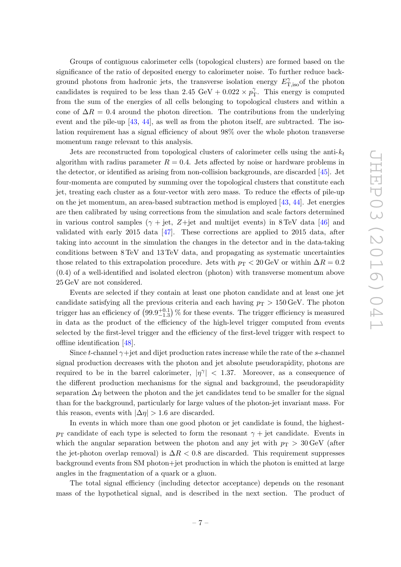Groups of contiguous calorimeter cells (topological clusters) are formed based on the significance of the ratio of deposited energy to calorimeter noise. To further reduce background photons from hadronic jets, the transverse isolation energy  $E_{\text{T,iso}}^{\gamma}$  of the photon candidates is required to be less than  $2.45 \text{ GeV} + 0.022 \times p_1^2$  $\tilde{T}_T$ . This energy is computed from the sum of the energies of all cells belonging to topological clusters and within a cone of  $\Delta R = 0.4$  around the photon direction. The contributions from the underlying event and the pile-up [\[43](#page-19-17), [44\]](#page-19-18), as well as from the photon itself, are subtracted. The isolation requirement has a signal efficiency of about 98% over the whole photon transverse momentum range relevant to this analysis.

Jets are reconstructed from topological clusters of calorimeter cells using the anti- $k_t$ algorithm with radius parameter  $R = 0.4$ . Jets affected by noise or hardware problems in the detector, or identified as arising from non-collision backgrounds, are discarded [\[45\]](#page-19-19). Jet four-momenta are computed by summing over the topological clusters that constitute each jet, treating each cluster as a four-vector with zero mass. To reduce the effects of pile-up on the jet momentum, an area-based subtraction method is employed [\[43](#page-19-17) , [44\]](#page-19-18). Jet energies are then calibrated by using corrections from the simulation and scale factors determined in various control samples  $(\gamma + jet, Z + jet$  and multijet events) in 8 TeV data [\[46\]](#page-19-20) and validated with early 2015 data [\[47\]](#page-20-0). These corrections are applied to 2015 data, after taking into account in the simulation the changes in the detector and in the data-taking conditions between 8 TeV and 13 TeV data, and propagating as systematic uncertainties those related to this extrapolation procedure. Jets with  $p_T < 20 \,\text{GeV}$  or within  $\Delta R = 0.2$ (0.4) of a well-identified and isolated electron (photon) with transverse momentum above 25 GeV are not considered.

Events are selected if they contain at least one photon candidate and at least one jet candidate satisfying all the previous criteria and each having  $p_{\text{T}} > 150 \,\text{GeV}$ . The photon trigger has an efficiency of  $(99.9_{-1.3}^{+0.1})$  % for these events. The trigger efficiency is measured in data as the product of the efficiency of the high-level trigger computed from events selected by the first-level trigger and the efficiency of the first-level trigger with respect to offline identification [\[48\]](#page-20-1).

<span id="page-8-0"></span>Since *t*-channel  $\gamma$ +jet and dijet production rates increase while the rate of the *s*-channel signal production decreases with the photon and jet absolute pseudorapidity, photons are required to be in the barrel calorimeter,  $|\eta^{\gamma}|$  < 1.37. Moreover, as a consequence of the different production mechanisms for the signal and background, the pseudorapidity separation  $\Delta \eta$  between the photon and the jet candidates tend to be smaller for the signal than for the background, particularly for large values of the photon-jet invariant mass. For this reason, events with  $|\Delta \eta| > 1.6$  are discarded.

<span id="page-8-1"></span>In events in which more than one good photon or jet candidate is found, the highest $p_{\rm T}$  candidate of each type is selected to form the resonant  $\gamma$  + jet candidate. Events in which the angular separation between the photon and any jet with  $p_T > 30 \,\text{GeV}$  (after the jet-photon overlap removal) is  $\Delta R < 0.8$  are discarded. This requirement suppresses background events from SM photon+jet production in which the photon is emitted at large angles in the fragmentation of a quark or a gluon.

The total signal efficiency (including detector acceptance) depends on the resonant mass of the hypothetical signal, and is described in the next section. The product of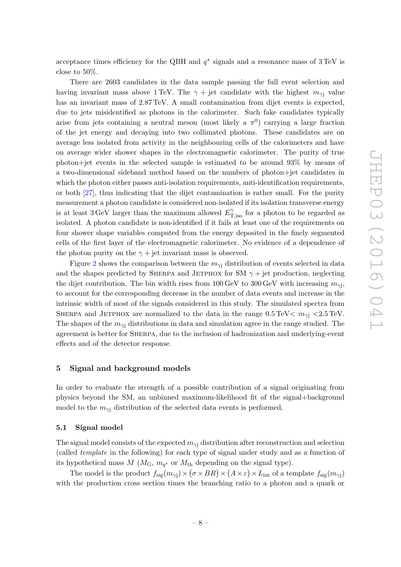acceptance times efficiency for the QBH and  $q^*$  signals and a resonance mass of 3 TeV is close to 50%.

There are 2603 candidates in the data sample passing the full event selection and having invariant mass above 1 TeV. The  $\gamma$  + jet candidate with the highest  $m_{\gamma}$  value has an invariant mass of 2.87 TeV. A small contamination from dijet events is expected, due to jets misidentified as photons in the calorimeter. Such fake candidates typically arise from jets containing a neutral meson (most likely a  $\pi$ <sup>0</sup>) carrying a large fraction of the jet energy and decaying into two collimated photons. These candidates are on average less isolated from activity in the neighbouring cells of the calorimeters and have on average wider shower shapes in the electromagnetic calorimeter. The purity of true photon+jet events in the selected sample is estimated to be around 93% by means of a two-dimensional sideband method based on the numbers of photon+jet candidates in which the photon either passes anti-isolation requirements, anti-identification requirements, or both [\[27\]](#page-19-1), thus indicating that the dijet contamination is rather small. For the purity measurement a photon candidate is considered non-isolated if its isolation transverse energy is at least 3 GeV larger than the maximum allowed  $E_{\text{T}}^{\gamma}$  $T_{\text{T,iso}}^{\gamma}$  for a photon to be regarded as isolated. A photon candidate is non-identified if it fails at least one of the requirements on four shower shape variables computed from the energy deposited in the finely segmented cells of the first layer of the electromagnetic calorimeter. No evidence of a dependence of the photon purity on the  $\gamma$  + jet invariant mass is observed.

<span id="page-9-0"></span>Figure [2](#page-9-0) shows the comparison between the  $m_{\gamma j}$  distribution of events selected in data and the shapes predicted by SHERPA and JETPHOX for SM  $\gamma$  + jet production, neglecting the dijet contribution. The bin width rises from  $100 \,\text{GeV}$  to  $300 \,\text{GeV}$  with increasing  $m_{\gamma j}$ , to account for the corresponding decrease in the number of data events and increase in the intrinsic width of most of the signals considered in this study. The simulated spectra from SHERPA and JETPHOX are normalized to the data in the range  $0.5 \text{ TeV} < m_{\gamma}$  < 2.5 TeV. The shapes of the  $m_{\gamma j}$  distributions in data and simulation agree in the range studied. The agreement is better for Sherpa, due to the inclusion of hadronization and underlying-event effects and of the detector response.

#### 5 Signal and background models

In order to evaluate the strength of a possible contribution of a signal originating from physics beyond the SM, an unbinned maximum-likelihood fit of the signal+background model to the  $m_{\gamma j}$  distribution of the selected data events is performed.

#### 5.1 Signal model

The signal model consists of the expected  $m_{\gamma j}$  distribution after reconstruction and selection (called *template* in the following) for each type of signal under study and as a function of its hypothetical mass  $M$  ( $M<sub>G</sub>$ ,  $m<sub>q</sub>$ <sup>\*</sup> or  $M<sub>th</sub>$  depending on the signal type).

The model is the product  $f_{\text{sig}}(m_{\gamma j}) \times (\sigma \times BR) \times (A \times \varepsilon) \times L_{\text{int}}$  of a template  $f_{\text{sig}}(m_{\gamma j})$ with the production cross section times the branching ratio to a photon and a quark or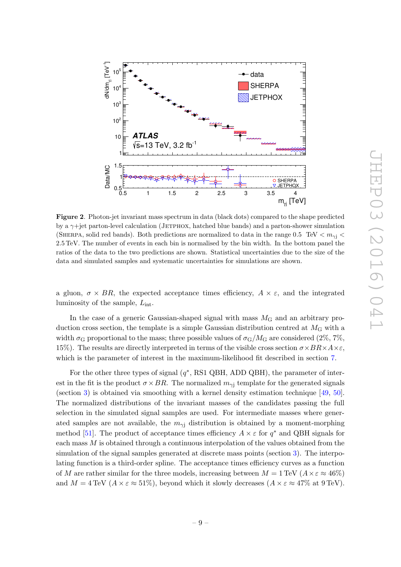<span id="page-10-0"></span>

Figure 2. Photon-jet invariant mass spectrum in data (black dots) compared to the shape predicted by a  $\gamma$ +jet parton-level calculation (JETPHOX, hatched blue bands) and a parton-shower simulation (SHERPA, solid red bands). Both predictions are normalized to data in the range 0.5 TeV  $\langle m_{\gamma} \rangle$ 2 .5 TeV. The number of events in each bin is normalised by the bin width. In the bottom panel the ratios of the data to the two predictions are shown. Statistical uncertainties due to the size of the data and simulated samples and systematic uncertainties for simulations are shown.

a gluon,  $\sigma \times BR$ , the expected acceptance times efficiency,  $A \times \varepsilon$ , and the integrated luminosity of the sample,  $L_{\text{int}}$ .

In the case of a generic Gaussian-shaped signal with mass  $M<sub>G</sub>$  and an arbitrary production cross section, the template is a simple Gaussian distribution centred at  $M<sub>G</sub>$  with a width  $\sigma_{\rm G}$  proportional to the mass; three possible values of  $\sigma_{\rm G}/M_{\rm G}$  are considered  $(2\%, 7\%,$ 15%). The results are directly interpreted in terms of the visible cross section  $\sigma \times BR \times A \times \varepsilon$ , which is the parameter of interest in the maximum-likelihood fit described in section [7](#page-12-0).

<span id="page-10-1"></span>For the other three types of signal  $(q^*$ , RS1 QBH, ADD QBH), the parameter of interest in the fit is the product  $\sigma \times BR$ . The normalized  $m_{\gamma i}$  template for the generated signals (section [3\)](#page-5-0) is obtained via smoothing with a kernel density estimation technique [\[49](#page-20-2) , [50\]](#page-20-3). The normalized distributions of the invariant masses of the candidates passing the full selection in the simulated signal samples are used. For intermediate masses where generated samples are not available, the  $m_{\gamma i}$  distribution is obtained by a moment-morphing method [\[51\]](#page-20-4). The product of acceptance times efficiency  $A \times \varepsilon$  for  $q^*$  and QBH signals for each mass  $M$  is obtained through a continuous interpolation of the values obtained from the simulation of the signal samples generated at discrete mass points (section [3\)](#page-5-0). The interpolating function is a third-order spline. The acceptance times efficiency curves as a function of M are rather similar for the three models, increasing between  $M = 1 \,\text{TeV}$   $(A \times \varepsilon \approx 46\%)$ and  $M = 4 \,\text{TeV}$   $(A \times \varepsilon \approx 51\%)$ , beyond which it slowly decreases  $(A \times \varepsilon \approx 47\% \text{ at } 9 \,\text{TeV})$ .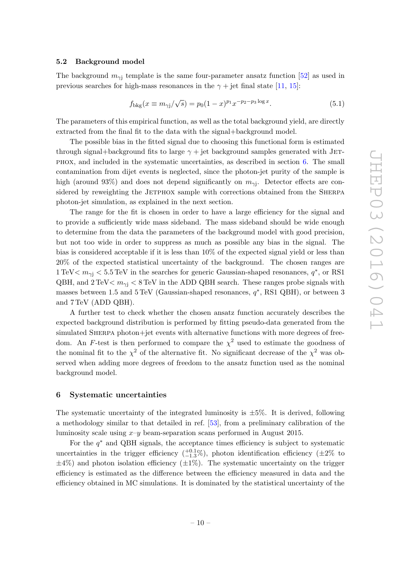#### 5.2 Background model

The background  $m_{\gamma j}$  template is the same four-parameter ansatz function [\[52\]](#page-20-5) as used in previous searches for high-mass resonances in the  $\gamma$  + jet final state [\[11](#page-18-1), [15\]](#page-18-5):

$$
f_{\text{bkg}}(x \equiv m_{\gamma j}/\sqrt{s}) = p_0 (1-x)^{p_1} x^{-p_2 - p_3 \log x}.
$$
 (5.1)

The parameters of this empirical function, as well as the total background yield, are directly extracted from the final fit to the data with the signal+background model.

The possible bias in the fitted signal due to choosing this functional form is estimated through signal+background fits to large  $\gamma$  + jet background samples generated with JETphox, and included in the systematic uncertainties, as described in section [6.](#page-10-1) The small contamination from dijet events is neglected, since the photon-jet purity of the sample is high (around 93%) and does not depend significantly on  $m_{\gamma j}$ . Detector effects are considered by reweighting the JETPHOX sample with corrections obtained from the SHERPA photon-jet simulation, as explained in the next section.

The range for the fit is chosen in order to have a large efficiency for the signal and to provide a sufficiently wide mass sideband. The mass sideband should be wide enough to determine from the data the parameters of the background model with good precision, but not too wide in order to suppress as much as possible any bias in the signal. The bias is considered acceptable if it is less than 10% of the expected signal yield or less than 20% of the expected statistical uncertainty of the background. The chosen ranges are 1 TeV  $m_{\gamma i}$  < 5.5 TeV in the searches for generic Gaussian-shaped resonances,  $q^*$ , or RS1 QBH, and  $2 \text{ TeV} < m_{\gamma}$   $< 8 \text{ TeV}$  in the ADD QBH search. These ranges probe signals with masses between 1.5 and  $5 \text{ TeV}$  (Gaussian-shaped resonances,  $q^*$ , RS1 QBH), or between 3 and 7 TeV (ADD QBH).

A further test to check whether the chosen ansatz function accurately describes the expected background distribution is performed by fitting pseudo-data generated from the simulated SHERPA photon+jet events with alternative functions with more degrees of freedom. An F-test is then performed to compare the  $\chi^2$  used to estimate the goodness of the nominal fit to the  $\chi^2$  of the alternative fit. No significant decrease of the  $\chi^2$  was observed when adding more degrees of freedom to the ansatz function used as the nominal background model.

#### 6 Systematic uncertainties

The systematic uncertainty of the integrated luminosity is  $\pm 5\%$ . It is derived, following a methodology similar to that detailed in ref. [\[53\]](#page-20-6), from a preliminary calibration of the luminosity scale using  $x-y$  beam-separation scans performed in August 2015.

For the  $q^*$  and QBH signals, the acceptance times efficiency is subject to systematic uncertainties in the trigger efficiency  $\binom{+0.1}{-1.3}$ , photon identification efficiency  $(\pm 2\%$  to  $\pm 4\%$ ) and photon isolation efficiency ( $\pm 1\%$ ). The systematic uncertainty on the trigger efficiency is estimated as the difference between the efficiency measured in data and the efficiency obtained in MC simulations. It is dominated by the statistical uncertainty of the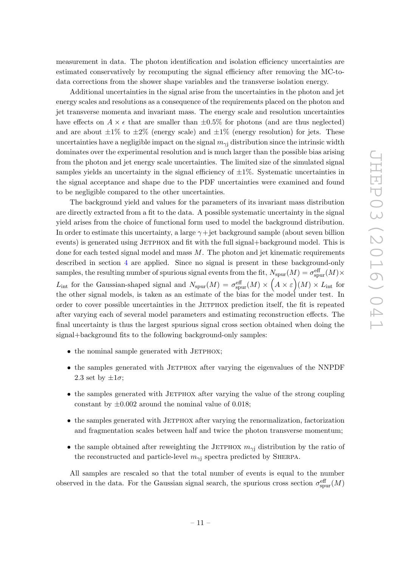measurement in data. The photon identification and isolation efficiency uncertainties are estimated conservatively by recomputing the signal efficiency after removing the MC-todata corrections from the shower shape variables and the transverse isolation energy.

<span id="page-12-0"></span>Additional uncertainties in the signal arise from the uncertainties in the photon and jet energy scales and resolutions as a consequence of the requirements placed on the photon and jet transverse momenta and invariant mass. The energy scale and resolution uncertainties have effects on  $A \times \epsilon$  that are smaller than  $\pm 0.5\%$  for photons (and are thus neglected) and are about  $\pm 1\%$  to  $\pm 2\%$  (energy scale) and  $\pm 1\%$  (energy resolution) for jets. These uncertainties have a negligible impact on the signal  $m_{\gamma j}$  distribution since the intrinsic width dominates over the experimental resolution and is much larger than the possible bias arising from the photon and jet energy scale uncertainties. The limited size of the simulated signal samples yields an uncertainty in the signal efficiency of  $\pm 1\%$ . Systematic uncertainties in the signal acceptance and shape due to the PDF uncertainties were examined and found to be negligible compared to the other uncertainties.

The background yield and values for the parameters of its invariant mass distribution are directly extracted from a fit to the data. A possible systematic uncertainty in the signal yield arises from the choice of functional form used to model the background distribution. In order to estimate this uncertainty, a large  $\gamma + {\rm jet}$  background sample (about seven billion events) is generated using JETPHOX and fit with the full signal+background model. This is done for each tested signal model and mass  $M$ . The photon and jet kinematic requirements described in section [4](#page-6-0) are applied. Since no signal is present in these background-only samples, the resulting number of spurious signal events from the fit,  $N_{\text{spur}}(M) = \sigma_{\text{spur}}^{\text{eff}}(M) \times$  $L_{\text{int}}$  for the Gaussian-shaped signal and  $N_{\text{spur}}(M) = \sigma_{\text{spur}}^{\text{eff}}(M) \times (A \times \varepsilon)(M) \times L_{\text{int}}$  for the other signal models, is taken as an estimate of the bias for the model under test. In order to cover possible uncertainties in the JETPHOX prediction itself, the fit is repeated after varying each of several model parameters and estimating reconstruction effects. The final uncertainty is thus the largest spurious signal cross section obtained when doing the signal+background fits to the following background-only samples:

- $\bullet$  the nominal sample generated with JETPHOX;
- the samples generated with JETPHOX after varying the eigenvalues of the NNPDF 2.3 set by  $\pm 1\sigma$ ;
- the samples generated with JETPHOX after varying the value of the strong coupling constant by  $\pm 0.002$  around the nominal value of 0.018;
- $\bullet$  the samples generated with JETPHOX after varying the renormalization, factorization and fragmentation scales between half and twice the photon transverse momentum;
- the sample obtained after reweighting the JETPHOX  $m_{\gamma j}$  distribution by the ratio of the reconstructed and particle-level  $m_{\gamma j}$  spectra predicted by SHERPA.

All samples are rescaled so that the total number of events is equal to the number observed in the data. For the Gaussian signal search, the spurious cross section  $\sigma_{\text{spur}}^{\text{eff}}(M)$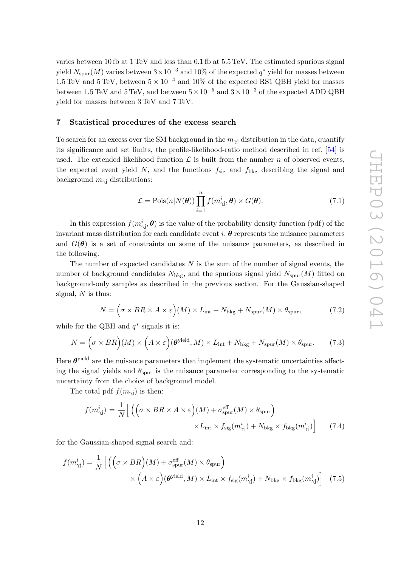varies between 10 fb at 1 TeV and less than 0.1 fb at 5.5 TeV. The estimated spurious signal yield  $N_{\text{spur}}(M)$  varies between  $3 \times 10^{-3}$  and  $10\%$  of the expected  $q^*$  yield for masses between 1.5 TeV and 5 TeV, between  $5 \times 10^{-4}$  and 10% of the expected RS1 QBH yield for masses between 1.5 TeV and 5 TeV, and between  $5 \times 10^{-5}$  and  $3 \times 10^{-3}$  of the expected ADD QBH yield for masses between 3 TeV and 7 TeV.

#### 7 Statistical procedures of the excess search

To search for an excess over the SM background in the  $m_{\gamma j}$  distribution in the data, quantify its significance and set limits, the profile-likelihood-ratio method described in ref. [\[54\]](#page-20-7) is used. The extended likelihood function  $\mathcal L$  is built from the number n of observed events, the expected event yield N, and the functions  $f_{\text{sig}}$  and  $f_{\text{bkg}}$  describing the signal and background  $m_{\gamma j}$  distributions:

$$
\mathcal{L} = \text{Pois}(n|N(\boldsymbol{\theta})) \prod_{i=1}^{n} f(m_{\gamma i}^{i}, \boldsymbol{\theta}) \times G(\boldsymbol{\theta}). \tag{7.1}
$$

<span id="page-13-0"></span>In this expression  $f(m_{\gamma j}^i, \theta)$  is the value of the probability density function (pdf) of the invariant mass distribution for each candidate event i,  $\theta$  represents the nuisance parameters and  $G(\theta)$  is a set of constraints on some of the nuisance parameters, as described in the following.

The number of expected candidates N is the sum of the number of signal events, the number of background candidates  $N_{\text{bkg}}$ , and the spurious signal yield  $N_{\text{spur}}(M)$  fitted on background-only samples as described in the previous section. For the Gaussian-shaped signal, N is thus:

$$
N = \left(\sigma \times BR \times A \times \varepsilon\right)(M) \times L_{\text{int}} + N_{\text{bkg}} + N_{\text{spur}}(M) \times \theta_{\text{spur}},\tag{7.2}
$$

while for the QBH and  $q^*$  signals it is:

$$
N = \left(\sigma \times BR\right)(M) \times \left(A \times \varepsilon\right)(\boldsymbol{\theta}^{\text{yield}}, M) \times L_{\text{int}} + N_{\text{bkg}} + N_{\text{spur}}(M) \times \theta_{\text{spur}}.\tag{7.3}
$$

Here  $\theta$ <sup>yield</sup> are the nuisance parameters that implement the systematic uncertainties affecting the signal yields and  $\theta_{\text{spur}}$  is the nuisance parameter corresponding to the systematic uncertainty from the choice of background model.

The total pdf  $f(m_{\gamma j})$  is then:

$$
f(m_{\gamma j}^{i}) = \frac{1}{N} \Big[ \Big( \Big( \sigma \times BR \times A \times \varepsilon \Big) (M) + \sigma_{\text{spur}}^{\text{eff}}(M) \times \theta_{\text{spur}} \Big) \times L_{\text{int}} \times f_{\text{sig}}(m_{\gamma j}^{i}) + N_{\text{bkg}} \times f_{\text{bkg}}(m_{\gamma j}^{i}) \Big] \tag{7.4}
$$

for the Gaussian-shaped signal search and:

<span id="page-13-1"></span>
$$
f(m_{\gamma j}^{i}) = \frac{1}{N} \left[ \left( \left( \sigma \times BR \right) (M) + \sigma_{\text{spur}}^{\text{eff}} (M) \times \theta_{\text{spur}} \right) \times \left( A \times \varepsilon \right) (\boldsymbol{\theta}^{\text{yield}}, M) \times L_{\text{int}} \times f_{\text{sig}}(m_{\gamma j}^{i}) + N_{\text{bkg}} \times f_{\text{bkg}}(m_{\gamma j}^{i}) \right] \tag{7.5}
$$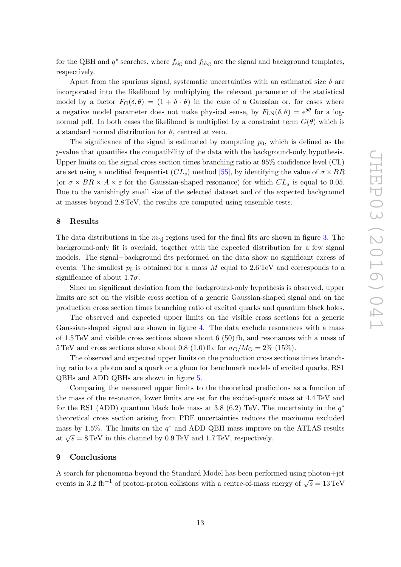for the QBH and  $q^*$  searches, where  $f_{\text{sig}}$  and  $f_{\text{bkg}}$  are the signal and background templates, respectively.

Apart from the spurious signal, systematic uncertainties with an estimated size  $\delta$  are incorporated into the likelihood by multiplying the relevant parameter of the statistical model by a factor  $F_{\text{G}}(\delta, \theta) = (1 + \delta \cdot \theta)$  in the case of a Gaussian or, for cases where a negative model parameter does not make physical sense, by  $F_{LN}(\delta, \theta) = e^{\delta \theta}$  for a lognormal pdf. In both cases the likelihood is multiplied by a constraint term  $G(\theta)$  which is a standard normal distribution for  $\theta$ , centred at zero.

The significance of the signal is estimated by computing  $p_0$ , which is defined as the  $p$ -value that quantifies the compatibility of the data with the background-only hypothesis. Upper limits on the signal cross section times branching ratio at 95% confidence level (CL) are set using a modified frequentist  $(CL_s)$  method [\[55\]](#page-20-8), by identifying the value of  $\sigma \times BR$ (or  $\sigma \times BR \times A \times \varepsilon$  for the Gaussian-shaped resonance) for which  $CL_s$  is equal to 0.05. Due to the vanishingly small size of the selected dataset and of the expected background at masses beyond 2.8 TeV, the results are computed using ensemble tests.

#### 8 Results

The data distributions in the  $m_{\gamma j}$  regions used for the final fits are shown in figure [3.](#page-14-0) The background-only fit is overlaid, together with the expected distribution for a few signal models. The signal+background fits performed on the data show no significant excess of events. The smallest  $p_0$  is obtained for a mass M equal to 2.6 TeV and corresponds to a significance of about  $1.7\sigma$ .

Since no significant deviation from the background-only hypothesis is observed, upper limits are set on the visible cross section of a generic Gaussian-shaped signal and on the production cross section times branching ratio of excited quarks and quantum black holes.

The observed and expected upper limits on the visible cross sections for a generic Gaussian-shaped signal are shown in figure [4.](#page-15-0) The data exclude resonances with a mass of 1.5 TeV and visible cross sections above about 6 (50) fb, and resonances with a mass of  $5 \text{ TeV}$  and cross sections above about 0.8 (1.0) fb, for  $\sigma_G/M_G = 2\%$  (15%).

<span id="page-14-0"></span>The observed and expected upper limits on the production cross sections times branching ratio to a photon and a quark or a gluon for benchmark models of excited quarks, RS1 QBHs and ADD QBHs are shown in figure [5](#page-16-0) .

Comparing the measured upper limits to the theoretical predictions as a function of the mass of the resonance, lower limits are set for the excited-quark mass at 4.4 TeV and for the RS1 (ADD) quantum black hole mass at 3.8 (6.2) TeV. The uncertainty in the  $q^*$ theoretical cross section arising from PDF uncertainties reduces the maximum excluded mass by 1.5%. The limits on the  $q^*$  and ADD QBH mass improve on the ATLAS results at  $\sqrt{s} = 8 \,\text{TeV}$  in this channel by 0.9 TeV and 1.7 TeV, respectively.

#### 9 Conclusions

A search for phenomena beyond the Standard Model has been performed using photon+jet events in 3.2 fb<sup>-1</sup> of proton-proton collisions with a centre-of-mass energy of  $\sqrt{s} = 13 \text{ TeV}$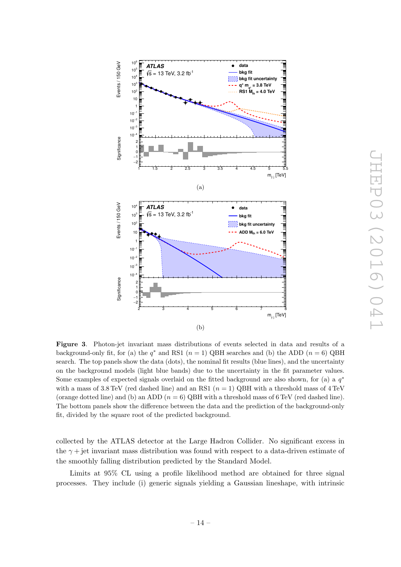<span id="page-15-0"></span>

Figure 3. Photon-jet invariant mass distributions of events selected in data and results of a background-only fit, for (a) the  $q^*$  and RS1  $(n = 1)$  QBH searches and (b) the ADD  $(n = 6)$  QBH search. The top panels show the data (dots), the nominal fit results (blue lines), and the uncertainty on the background models (light blue bands) due to the uncertainty in the fit parameter values. Some examples of expected signals overlaid on the fitted background are also shown, for (a) a  $q^*$ with a mass of 3.8 TeV (red dashed line) and an RS1  $(n = 1)$  QBH with a threshold mass of 4 TeV (orange dotted line) and (b) an ADD  $(n = 6)$  QBH with a threshold mass of 6 TeV (red dashed line). The bottom panels show the difference between the data and the prediction of the background-only fit, divided by the square root of the predicted background.

collected by the ATLAS detector at the Large Hadron Collider. No significant excess in the  $\gamma$  + jet invariant mass distribution was found with respect to a data-driven estimate of the smoothly falling distribution predicted by the Standard Model.

Limits at 95% CL using a profile likelihood method are obtained for three signal processes. They include (i) generic signals yielding a Gaussian lineshape, with intrinsic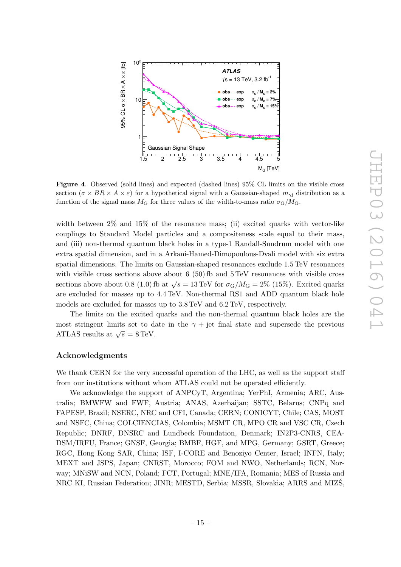

Figure 4. Observed (solid lines) and expected (dashed lines) 95% CL limits on the visible cross section ( $\sigma \times BR \times A \times \varepsilon$ ) for a hypothetical signal with a Gaussian-shaped  $m_{\gamma j}$  distribution as a function of the signal mass  $M<sub>G</sub>$  for three values of the width-to-mass ratio  $\sigma_{\rm G}/M_{\rm G}$ .

width between  $2\%$  and  $15\%$  of the resonance mass; (ii) excited quarks with vector-like couplings to Standard Model particles and a compositeness scale equal to their mass, and (iii) non-thermal quantum black holes in a type-1 Randall-Sundrum model with one extra spatial dimension, and in a Arkani-Hamed-Dimopoulous-Dvali model with six extra spatial dimensions. The limits on Gaussian-shaped resonances exclude 1.5 TeV resonances with visible cross sections above about  $6\,(50)$  fb and  $5\,\mathrm{TeV}$  resonances with visible cross sections above about 0.8 (1.0) fb at  $\sqrt{s} = 13 \text{ TeV}$  for  $\sigma_G/M_G = 2\%$  (15%). Excited quarks are excluded for masses up to 4.4 TeV. Non-thermal RS1 and ADD quantum black hole models are excluded for masses up to 3.8 TeV and 6.2 TeV, respectively.

The limits on the excited quarks and the non-thermal quantum black holes are the most stringent limits set to date in the  $\gamma +$  jet final state and supersede the previous ATLAS results at  $\sqrt{s} = 8 \text{ TeV}$ .

#### Acknowledgments

We thank CERN for the very successful operation of the LHC, as well as the support staff from our institutions without whom ATLAS could not be operated efficiently.

<span id="page-16-0"></span>We acknowledge the support of ANPCyT, Argentina; YerPhI, Armenia; ARC, Australia; BMWFW and FWF, Austria; ANAS, Azerbaijan; SSTC, Belarus; CNPq and FAPESP, Brazil; NSERC, NRC and CFI, Canada; CERN; CONICYT, Chile; CAS, MOST and NSFC, China; COLCIENCIAS, Colombia; MSMT CR, MPO CR and VSC CR, Czech Republic; DNRF, DNSRC and Lundbeck Foundation, Denmark; IN2P3-CNRS, CEA-DSM/IRFU, France; GNSF, Georgia; BMBF, HGF, and MPG, Germany; GSRT, Greece; RGC, Hong Kong SAR, China; ISF, I-CORE and Benoziyo Center, Israel; INFN, Italy; MEXT and JSPS, Japan; CNRST, Morocco; FOM and NWO, Netherlands; RCN, Norway; MNiSW and NCN, Poland; FCT, Portugal; MNE/IFA, Romania; MES of Russia and NRC KI, Russian Federation; JINR; MESTD, Serbia; MSSR, Slovakia; ARRS and MIZS,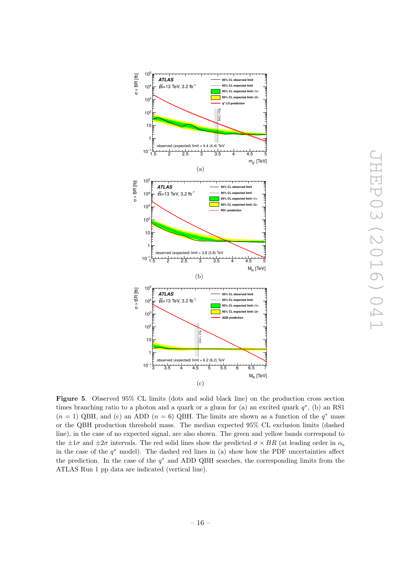

<span id="page-17-8"></span><span id="page-17-7"></span><span id="page-17-6"></span><span id="page-17-5"></span><span id="page-17-4"></span><span id="page-17-3"></span><span id="page-17-2"></span><span id="page-17-1"></span><span id="page-17-0"></span>Figure 5. Observed 95% CL limits (dots and solid black line) on the production cross section times branching ratio to a photon and a quark or a gluon for (a) an excited quark  $q^*$ , (b) an RS1  $(n = 1)$  QBH, and (c) an ADD  $(n = 6)$  QBH. The limits are shown as a function of the  $q^*$  mass or the QBH production threshold mass. The median expected 95% CL exclusion limits (dashed line), in the case of no expected signal, are also shown. The green and yellow bands correspond to the  $\pm 1\sigma$  and  $\pm 2\sigma$  intervals. The red solid lines show the predicted  $\sigma \times BR$  (at leading order in  $\alpha_s$ in the case of the  $q^*$  model). The dashed red lines in (a) show how the PDF uncertainties affect the prediction. In the case of the  $q^*$  and ADD QBH searches, the corresponding limits from the ATLAS Run 1 pp data are indicated (vertical line).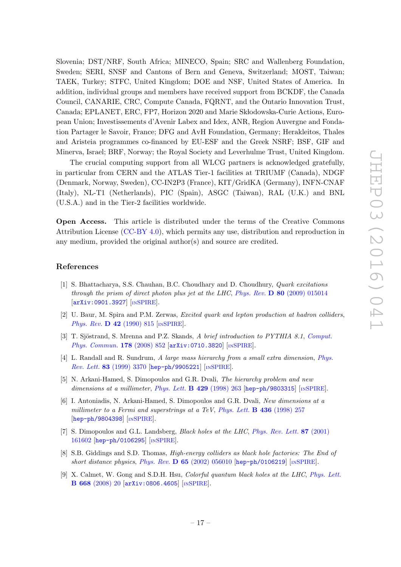<span id="page-18-2"></span><span id="page-18-1"></span><span id="page-18-0"></span>Slovenia; DST/NRF, South Africa; MINECO, Spain; SRC and Wallenberg Foundation, Sweden; SERI, SNSF and Cantons of Bern and Geneva, Switzerland; MOST, Taiwan; TAEK, Turkey; STFC, United Kingdom; DOE and NSF, United States of America. In addition, individual groups and members have received support from BCKDF, the Canada Council, CANARIE, CRC, Compute Canada, FQRNT, and the Ontario Innovation Trust, Canada; EPLANET, ERC, FP7, Horizon 2020 and Marie Skłodowska-Curie Actions, European Union; Investissements d'Avenir Labex and Idex, ANR, Region Auvergne and Fondation Partager le Savoir, France; DFG and AvH Foundation, Germany; Herakleitos, Thales and Aristeia programmes co-financed by EU-ESF and the Greek NSRF; BSF, GIF and Minerva, Israel; BRF, Norway; the Royal Society and Leverhulme Trust, United Kingdom.

<span id="page-18-4"></span><span id="page-18-3"></span>The crucial computing support from all WLCG partners is acknowledged gratefully, in particular from CERN and the ATLAS Tier-1 facilities at TRIUMF (Canada), NDGF (Denmark, Norway, Sweden), CC-IN2P3 (France), KIT/GridKA (Germany), INFN-CNAF (Italy), NL-T1 (Netherlands), PIC (Spain), ASGC (Taiwan), RAL (U.K.) and BNL (U.S.A.) and in the Tier-2 facilities worldwide.

<span id="page-18-6"></span><span id="page-18-5"></span>Open Access. This article is distributed under the terms of the Creative Commons Attribution License [\(CC-BY 4.0\)](http://creativecommons.org/licenses/by/4.0/), which permits any use, distribution and reproduction in any medium, provided the original author(s) and source are credited.

#### <span id="page-18-7"></span>References

- <span id="page-18-8"></span>[1] S. Bhattacharya, S.S. Chauhan, B.C. Choudhary and D. Choudhury, *Quark excitations through the prism of direct photon plus jet at the LHC* , *Phys. Rev.* D 80 [\(2009\) 015014](http://dx.doi.org/10.1103/PhysRevD.80.015014) [[arXiv:0901.3927](http://arxiv.org/abs/0901.3927)] [IN[SPIRE](http://inspirehep.net/search?p=find+EPRINT+arXiv:0901.3927)].
- <span id="page-18-9"></span>[2] U. Baur, M. Spira and P.M. Zerwas, *Excited quark and lepton production at hadron colliders* , *[Phys. Rev.](http://dx.doi.org/10.1103/PhysRevD.42.815)* **D** 42 (1990) 815 [IN[SPIRE](http://inspirehep.net/search?p=find+J+PHRVA,D42,815)].
- <span id="page-18-10"></span>[3] T. Sjöstrand, S. Mrenna and P.Z. Skands, A brief introduction to PYTHIA 8.1, [Comput.](http://dx.doi.org/10.1016/j.cpc.2008.01.036) [Phys. Commun.](http://dx.doi.org/10.1016/j.cpc.2008.01.036) 178 (2008) 852 [[arXiv:0710.3820](http://arxiv.org/abs/0710.3820)] [IN[SPIRE](http://inspirehep.net/search?p=find+EPRINT+arXiv:0710.3820)].
- <span id="page-18-11"></span>[4] L. Randall and R. Sundrum, *A large mass hierarchy from a small extra dimension* , *[Phys.](http://dx.doi.org/10.1103/PhysRevLett.83.3370) Rev. Lett.* 83 [\(1999\) 3370](http://dx.doi.org/10.1103/PhysRevLett.83.3370) [[hep-ph/9905221](http://arxiv.org/abs/hep-ph/9905221)] [IN[SPIRE](http://inspirehep.net/search?p=find+EPRINT+hep-ph/9905221)].
- <span id="page-18-12"></span>[5] N. Arkani-Hamed, S. Dimopoulos and G.R. Dvali, *The hierarchy problem and new* dimensions at a millimeter, *[Phys. Lett.](http://dx.doi.org/10.1016/S0370-2693(98)00466-3)* **B 429** (1998) 263 [[hep-ph/9803315](http://arxiv.org/abs/hep-ph/9803315)] [IN[SPIRE](http://inspirehep.net/search?p=find+EPRINT+hep-ph/9803315)].
- <span id="page-18-13"></span>[6] I. Antoniadis, N. Arkani-Hamed, S. Dimopoulos and G.R. Dvali, *New dimensions at a millimeter to a Fermi and superstrings at a TeV*, *[Phys. Lett.](http://dx.doi.org/10.1016/S0370-2693(98)00860-0)* B 436 (1998) 257 [[hep-ph/9804398](http://arxiv.org/abs/hep-ph/9804398)] [IN[SPIRE](http://inspirehep.net/search?p=find+EPRINT+hep-ph/9804398)].
- <span id="page-18-14"></span>[7] S. Dimopoulos and G.L. Landsberg, *Black holes at the LHC*, *[Phys. Rev. Lett.](http://dx.doi.org/10.1103/PhysRevLett.87.161602)* 87 (2001) [161602](http://dx.doi.org/10.1103/PhysRevLett.87.161602) [[hep-ph/0106295](http://arxiv.org/abs/hep-ph/0106295)] [IN[SPIRE](http://inspirehep.net/search?p=find+EPRINT+hep-ph/0106295)].
- [8] S.B. Giddings and S.D. Thomas, *High-energy colliders as black hole factories: The End of short distance physics* , *Phys. Rev.* D 65 [\(2002\) 056010](http://dx.doi.org/10.1103/PhysRevD.65.056010) [[hep-ph/0106219](http://arxiv.org/abs/hep-ph/0106219)] [IN[SPIRE](http://inspirehep.net/search?p=find+EPRINT+hep-ph/0106219)].
- <span id="page-18-15"></span>[9] X. Calmet, W. Gong and S.D.H. Hsu, *Colorful quantum black holes at the LHC* , *[Phys. Lett.](http://dx.doi.org/10.1016/j.physletb.2008.08.011)* B 668 [\(2008\) 20](http://dx.doi.org/10.1016/j.physletb.2008.08.011) [[arXiv:0806.4605](http://arxiv.org/abs/0806.4605)] [IN[SPIRE](http://inspirehep.net/search?p=find+EPRINT+arXiv:0806.4605)].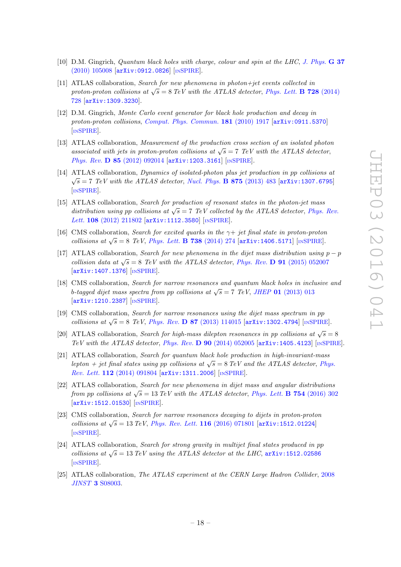- <span id="page-19-0"></span>[10] D.M. Gingrich, *Quantum black holes with charge, colour and spin at the LHC* , *[J. Phys.](http://dx.doi.org/10.1088/0954-3899/37/10/105008)* G 37 [\(2010\) 105008](http://dx.doi.org/10.1088/0954-3899/37/10/105008) [[arXiv:0912.0826](http://arxiv.org/abs/0912.0826)] [IN[SPIRE](http://inspirehep.net/search?p=find+EPRINT+arXiv:0912.0826)].
- <span id="page-19-1"></span>[11] ATLAS collaboration, *Search for new phenomena in photon+jet events collected in proton-proton collisions at*  $\sqrt{s} = 8$  *TeV with the ATLAS detector, [Phys. Lett.](http://dx.doi.org/10.1016/j.physletb.2013.12.029)* **B 728** (2014) [728](http://dx.doi.org/10.1016/j.physletb.2013.12.029) [[arXiv:1309.3230](http://arxiv.org/abs/1309.3230)].
- <span id="page-19-2"></span>[12] D.M. Gingrich, *Monte Carlo event generator for black hole production and decay in proton-proton collisions* , *[Comput. Phys. Commun.](http://dx.doi.org/10.1016/j.cpc.2010.07.027)* 181 (2010) 1917 [[arXiv:0911.5370](http://arxiv.org/abs/0911.5370) ] [IN[SPIRE](http://inspirehep.net/search?p=find+EPRINT+arXiv:0911.5370)].
- <span id="page-19-4"></span><span id="page-19-3"></span>[13] ATLAS collaboration, *Measurement of the production cross section of an isolated photon* associated with jets in proton-proton collisions at  $\sqrt{s} = 7$  TeV with the ATLAS detector, *Phys. Rev.* **D 85** [\(2012\) 092014](http://dx.doi.org/10.1103/PhysRevD.85.092014) [[arXiv:1203.3161](http://arxiv.org/abs/1203.3161)] [IN[SPIRE](http://inspirehep.net/search?p=find+EPRINT+arXiv:1203.3161)].
- <span id="page-19-6"></span><span id="page-19-5"></span>[14] ATLAS collaboration, *Dynamics of isolated-photon plus jet production in pp collisions at*  $\sqrt{s} = 7$  *TeV with the ATLAS detector, [Nucl. Phys.](http://dx.doi.org/10.1016/j.nuclphysb.2013.07.025)* **B 875** (2013) 483 [[arXiv:1307.6795](http://arxiv.org/abs/1307.6795)] [IN[SPIRE](http://inspirehep.net/search?p=find+EPRINT+arXiv:1307.6795)].
- <span id="page-19-7"></span>[15] ATLAS collaboration, *Search for production of resonant states in the photon-jet mass* distribution using pp collisions at  $\sqrt{s} = 7$  *TeV* collected by the ATLAS detector, *[Phys. Rev.](http://dx.doi.org/10.1103/PhysRevLett.108.211802)* Lett. **108** [\(2012\) 211802](http://dx.doi.org/10.1103/PhysRevLett.108.211802) [[arXiv:1112.3580](http://arxiv.org/abs/1112.3580)] [IN[SPIRE](http://inspirehep.net/search?p=find+EPRINT+arXiv:1112.3580)].
- <span id="page-19-8"></span>[16] CMS collaboration, *Search for excited quarks in the*  $\gamma$ + *jet final state in proton-proton collisions at*  $\sqrt{s} = 8$  *TeV*, *[Phys. Lett.](http://dx.doi.org/10.1016/j.physletb.2014.09.048)* **B** 738 (2014) 274 [arXiv: 1406.5171] [IN[SPIRE](http://inspirehep.net/search?p=find+EPRINT+arXiv:1406.5171)].
- <span id="page-19-10"></span><span id="page-19-9"></span>[17] ATLAS collaboration, *Search for new phenomena in the dijet mass distribution using*  $p - p$ *collision data at*  $\sqrt{s} = 8$  *TeV with the ATLAS detector, Phys. Rev.* **D** 91 [\(2015\) 052007](http://dx.doi.org/10.1103/PhysRevD.91.052007) [[arXiv:1407.1376](http://arxiv.org/abs/1407.1376)] [IN[SPIRE](http://inspirehep.net/search?p=find+EPRINT+arXiv:1407.1376)].
- <span id="page-19-11"></span>[18] CMS collaboration, *Search for narrow resonances and quantum black holes in inclusive and* b-tagged dijet mass spectra from pp collisions at  $\sqrt{s} = 7$  *TeV*, *JHEP* 01 [\(2013\) 013](http://dx.doi.org/10.1007/JHEP01(2013)013) [[arXiv:1210.2387](http://arxiv.org/abs/1210.2387)] [IN[SPIRE](http://inspirehep.net/search?p=find+EPRINT+arXiv:1210.2387)].
- <span id="page-19-12"></span>[19] CMS collaboration, *Search for narrow resonances using the dijet mass spectrum in* pp *collisions at*  $\sqrt{s} = 8$  *TeV*, *Phys. Rev.* **D 87** [\(2013\) 114015](http://dx.doi.org/10.1103/PhysRevD.87.114015) [[arXiv:1302.4794](http://arxiv.org/abs/1302.4794)] [IN[SPIRE](http://inspirehep.net/search?p=find+EPRINT+arXiv:1302.4794)].
- <span id="page-19-13"></span>[20] ATLAS collaboration, *Search for high-mass dilepton resonances in pp collisions at*  $\sqrt{s} = 8$ *TeV with the ATLAS detector* , *Phys. Rev.* D 90 [\(2014\) 052005](http://dx.doi.org/10.1103/PhysRevD.90.052005) [[arXiv:1405.4123](http://arxiv.org/abs/1405.4123)] [IN[SPIRE](http://inspirehep.net/search?p=find+EPRINT+arXiv:1405.4123)].
- <span id="page-19-15"></span><span id="page-19-14"></span>[21] ATLAS collaboration, *Search for quantum black hole production in high-invariant-mass* lepton + jet final states using pp collisions at  $\sqrt{s} = 8$  TeV and the ATLAS detector, [Phys.](http://dx.doi.org/10.1103/PhysRevLett.112.091804) *Rev. Lett.* **112** [\(2014\) 091804](http://dx.doi.org/10.1103/PhysRevLett.112.091804) [[arXiv:1311.2006](http://arxiv.org/abs/1311.2006)] [IN[SPIRE](http://inspirehep.net/search?p=find+EPRINT+arXiv:1311.2006)].
- <span id="page-19-16"></span>[22] ATLAS collaboration, *Search for new phenomena in dijet mass and angular distributions from pp collisions at*  $\sqrt{s} = 13 \text{ TeV}$  with the ATLAS detector, *[Phys. Lett.](http://dx.doi.org/10.1016/j.physletb.2016.01.032)* **B 754** (2016) 302 [[arXiv:1512.01530](http://arxiv.org/abs/1512.01530)] [IN[SPIRE](http://inspirehep.net/search?p=find+EPRINT+arXiv:1512.01530)].
- <span id="page-19-18"></span><span id="page-19-17"></span>[23] CMS collaboration, *Search for narrow resonances decaying to dijets in proton-proton collisions at*  $\sqrt{s} = 13 \text{ TeV}$ , *[Phys. Rev. Lett.](http://dx.doi.org/10.1103/PhysRevLett.116.071801)* **116** (2016) 071801 [arXiv: 1512.01224] [IN[SPIRE](http://inspirehep.net/search?p=find+EPRINT+arXiv:1512.01224)].
- <span id="page-19-19"></span>[24] ATLAS collaboration, *Search for strong gravity in multijet final states produced in* pp *collisions at*  $\sqrt{s} = 13 \text{ TeV}$  *using the ATLAS detector at the LHC*,  $\ar{xiv:1512.02586}$ [IN[SPIRE](http://inspirehep.net/search?p=find+EPRINT+arXiv:1512.02586)].
- <span id="page-19-20"></span>[25] ATLAS collaboration, *The ATLAS experiment at the CERN Large Hadron Collider* , [2008](http://dx.doi.org/10.1088/1748-0221/3/08/S08003) *JINST* 3 [S08003](http://dx.doi.org/10.1088/1748-0221/3/08/S08003) .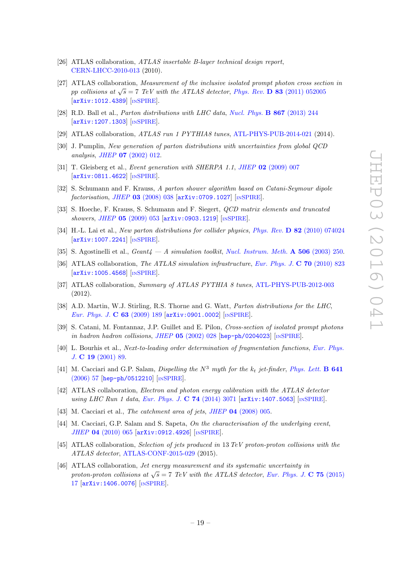- <span id="page-20-0"></span>[26] ATLAS collaboration, *ATLAS insertable B-layer technical design report* , [CERN-LHCC-2010-013](http://cds.cern.ch/record/1291633) (2010).
- <span id="page-20-1"></span>[27] ATLAS collaboration, *Measurement of the inclusive isolated prompt photon cross section in* pp collisions at  $\sqrt{s} = 7$  *TeV with the ATLAS detector*, *Phys. Rev.* **D 83** [\(2011\) 052005](http://dx.doi.org/10.1103/PhysRevD.83.052005) [[arXiv:1012.4389](http://arxiv.org/abs/1012.4389)] [IN[SPIRE](http://inspirehep.net/search?p=find+EPRINT+arXiv:1012.4389)].
- <span id="page-20-3"></span><span id="page-20-2"></span>[28] R.D. Ball et al., *Parton distributions with LHC data* , *[Nucl. Phys.](http://dx.doi.org/10.1016/j.nuclphysb.2012.10.003)* B 867 (2013) 244 [[arXiv:1207.1303](http://arxiv.org/abs/1207.1303)] [IN[SPIRE](http://inspirehep.net/search?p=find+EPRINT+arXiv:1207.1303)].
- [29] ATLAS collaboration, *ATLAS run 1 PYTHIA8 tunes* , [ATL-PHYS-PUB-2014-021](http://cds.cern.ch/record/1966419) (2014).
- <span id="page-20-4"></span>[30] J. Pumplin, *New generation of parton distributions with uncertainties from global QCD analysis* , *JHEP* 07 [\(2002\) 012](http://dx.doi.org/10.1088/1126-6708/2002/07/012) .
- <span id="page-20-5"></span>[31] T. Gleisberg et al., *Event generation with SHERPA 1.1* , *JHEP* 02 [\(2009\) 007](http://dx.doi.org/10.1088/1126-6708/2009/02/007) [[arXiv:0811.4622](http://arxiv.org/abs/0811.4622)] [IN[SPIRE](http://inspirehep.net/search?p=find+EPRINT+arXiv:0811.4622)].
- <span id="page-20-6"></span>[32] S. Schumann and F. Krauss, *A parton shower algorithm based on Catani-Seymour dipole factorisation* , *JHEP* 03 [\(2008\) 038](http://dx.doi.org/10.1088/1126-6708/2008/03/038) [[arXiv:0709.1027](http://arxiv.org/abs/0709.1027)] [IN[SPIRE](http://inspirehep.net/search?p=find+EPRINT+arXiv:0709.1027)].
- [33] S. Hoeche, F. Krauss, S. Schumann and F. Siegert, *QCD matrix elements and truncated showers* , *JHEP* 05 [\(2009\) 053](http://dx.doi.org/10.1088/1126-6708/2009/05/053) [[arXiv:0903.1219](http://arxiv.org/abs/0903.1219)] [IN[SPIRE](http://inspirehep.net/search?p=find+EPRINT+arXiv:0903.1219)].
- <span id="page-20-7"></span>[34] H.-L. Lai et al., *New parton distributions for collider physics* , *Phys. Rev.* D 82 [\(2010\) 074024](http://dx.doi.org/10.1103/PhysRevD.82.074024) [[arXiv:1007.2241](http://arxiv.org/abs/1007.2241)] [IN[SPIRE](http://inspirehep.net/search?p=find+EPRINT+arXiv:1007.2241)].
- <span id="page-20-8"></span>[35] S. Agostinelli et al., *Geant4 — A simulation toolkit* , *[Nucl. Instrum. Meth.](http://dx.doi.org/10.1016/S0168-9002(03)01368-8)* A 506 (2003) 250 .
- [36] ATLAS collaboration, *The ATLAS simulation infrastructure*, *[Eur. Phys. J.](http://dx.doi.org/10.1140/epjc/s10052-010-1429-9)* **C 70** (2010) 823 [[arXiv:1005.4568](http://arxiv.org/abs/1005.4568)] [IN[SPIRE](http://inspirehep.net/search?p=find+EPRINT+arXiv:1005.4568)].
- [37] ATLAS collaboration, *Summary of ATLAS PYTHIA 8 tunes* , [ATL-PHYS-PUB-2012-003](http://cds.cern.ch/record/1474107) (2012).
- [38] A.D. Martin, W.J. Stirling, R.S. Thorne and G. Watt, *Parton distributions for the LHC*, *[Eur. Phys. J.](http://dx.doi.org/10.1140/epjc/s10052-009-1072-5)* **C 63** (2009) 189 [[arXiv:0901.0002](http://arxiv.org/abs/0901.0002)] [IN[SPIRE](http://inspirehep.net/search?p=find+EPRINT+arXiv:0901.0002)].
- [39] S. Catani, M. Fontannaz, J.P. Guillet and E. Pilon, *Cross-section of isolated prompt photons in hadron hadron collisions* , *JHEP* 05 [\(2002\) 028](http://dx.doi.org/10.1088/1126-6708/2002/05/028) [[hep-ph/0204023](http://arxiv.org/abs/hep-ph/0204023)] [IN[SPIRE](http://inspirehep.net/search?p=find+EPRINT+hep-ph/0204023)].
- [40] L. Bourhis et al., *Next-to-leading order determination of fragmentation functions* , *[Eur. Phys.](http://dx.doi.org/10.1007/s100520100579) J.* C 19 [\(2001\) 89](http://dx.doi.org/10.1007/s100520100579) .
- [41] M. Cacciari and G.P. Salam, *Dispelling the*  $N^3$  *myth for the*  $k_t$  *jet-finder*, *[Phys. Lett.](http://dx.doi.org/10.1016/j.physletb.2006.08.037)* **B 641** [\(2006\) 57](http://dx.doi.org/10.1016/j.physletb.2006.08.037) [[hep-ph/0512210](http://arxiv.org/abs/hep-ph/0512210)] [IN[SPIRE](http://inspirehep.net/search?p=find+EPRINT+hep-ph/0512210)].
- [42] ATLAS collaboration, *Electron and photon energy calibration with the ATLAS detector* using LHC Run 1 data, *[Eur. Phys. J.](http://dx.doi.org/10.1140/epjc/s10052-014-3071-4)* **C 74** (2014) 3071 [[arXiv:1407.5063](http://arxiv.org/abs/1407.5063)] [IN[SPIRE](http://inspirehep.net/search?p=find+EPRINT+arXiv:1407.5063)].
- [43] M. Cacciari et al., *The catchment area of jets* , *JHEP* 04 [\(2008\) 005](http://dx.doi.org/10.1088/1126-6708/2008/04/005) .
- [44] M. Cacciari, G.P. Salam and S. Sapeta, *On the characterisation of the underlying event* , *JHEP* 04 [\(2010\) 065](http://dx.doi.org/10.1007/JHEP04(2010)065) [[arXiv:0912.4926](http://arxiv.org/abs/0912.4926)] [IN[SPIRE](http://inspirehep.net/search?p=find+J+"JHEP,1004,065")].
- [45] ATLAS collaboration, *Selection of jets produced in* 13 *TeV proton-proton collisions with the ATLAS detector* , [ATLAS-CONF-2015-029](http://cds.cern.ch/record/2037702) (2015).
- [46] ATLAS collaboration, *Jet energy measurement and its systematic uncertainty in* proton-proton collisions at  $\sqrt{s} = 7$  *TeV with the ATLAS detector, [Eur. Phys. J.](http://dx.doi.org/10.1140/epjc/s10052-014-3190-y)* **C 75** (2015) [17](http://dx.doi.org/10.1140/epjc/s10052-014-3190-y) [[arXiv:1406.0076](http://arxiv.org/abs/1406.0076)] [IN[SPIRE](http://inspirehep.net/search?p=find+EPRINT+arXiv:1406.0076)].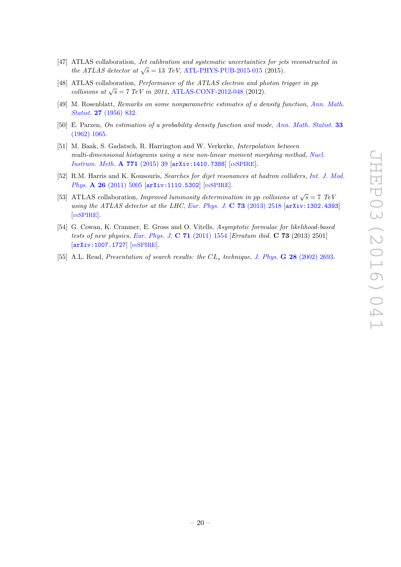- [47] ATLAS collaboration, *Jet calibration and systematic uncertainties for jets reconstructed in the ATLAS detector at*  $\sqrt{s} = 13$  *TeV*, [ATL-PHYS-PUB-2015-015](http://cds.cern.ch/record/2037613) (2015).
- <span id="page-21-0"></span>[48] ATLAS collaboration, *Performance of the ATLAS electron and photon trigger in* pp *collisions at*  $\sqrt{s} = 7 \text{ TeV}$  *in 2011*, [ATLAS-CONF-2012-048](http://cds.cern.ch/record/1450089) (2012).
- [49] M. Rosenblatt, *Remarks on some nonparametric estimates of a density function* , *[Ann. Math.](http://dx.doi.org/10.1214/aoms/1177728190) Statist.* 27 [\(1956\) 832](http://dx.doi.org/10.1214/aoms/1177728190) .
- [50] E. Parzen, *On estimation of a probability density function and mode* , *[Ann. Math. Statist.](http://dx.doi.org/10.1214/aoms/1177704472)* 33 [\(1962\) 1065](http://dx.doi.org/10.1214/aoms/1177704472) .
- [51] M. Baak, S. Gadatsch, R. Harrington and W. Verkerke, *Interpolation between multi-dimensional histograms using a new non-linear moment morphing method* , *[Nucl.](http://dx.doi.org/10.1016/j.nima.2014.10.033) [Instrum. Meth.](http://dx.doi.org/10.1016/j.nima.2014.10.033)* **A 771** (2015) 39 [[arXiv:1410.7388](http://arxiv.org/abs/1410.7388)] [IN[SPIRE](http://inspirehep.net/search?p=find+EPRINT+arXiv:1410.7388)].
- [52] R.M. Harris and K. Kousouris, *Searches for dijet resonances at hadron colliders* , *[Int. J. Mod.](http://dx.doi.org/10.1142/S0217751X11054905)* Phys. **A 26** [\(2011\) 5005](http://dx.doi.org/10.1142/S0217751X11054905) [[arXiv:1110.5302](http://arxiv.org/abs/1110.5302)] [IN[SPIRE](http://inspirehep.net/search?p=find+EPRINT+arXiv:1110.5302)].
- [53] ATLAS collaboration, *Improved luminosity determination in pp collisions at*  $\sqrt{s} = 7$  *TeV using the ATLAS detector at the LHC*, *[Eur. Phys. J.](http://dx.doi.org/10.1140/epjc/s10052-013-2518-3)* **C 73** (2013) 2518 [[arXiv:1302.4393](http://arxiv.org/abs/1302.4393)] [IN[SPIRE](http://inspirehep.net/search?p=find+EPRINT+arXiv:1302.4393)].
- [54] G. Cowan, K. Cranmer, E. Gross and O. Vitells, *Asymptotic formulae for likelihood-based tests of new physics* , *[Eur. Phys. J.](http://dx.doi.org/10.1140/epjc/s10052-011-1554-0)* C 71 (2011) 1554 [*Erratum ibid.* C 73 (2013) 2501] [[arXiv:1007.1727](http://arxiv.org/abs/1007.1727)] [IN[SPIRE](http://inspirehep.net/search?p=find+EPRINT+arXiv:1007.1727)].
- [55] A.L. Read, *Presentation of search results: the CL<sub>s</sub> technique, J. Phys. G 28 [\(2002\) 2693](http://dx.doi.org/10.1088/0954-3899/28/10/313).*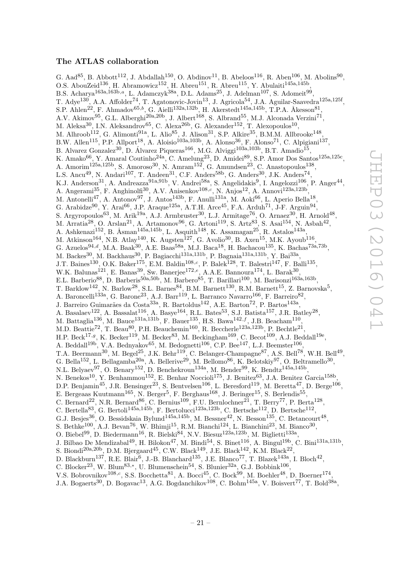#### The ATLAS collaboration

G. Aad<sup>85</sup>, B. Abbott<sup>112</sup>, J. Abdallah<sup>150</sup>, O. Abdinov<sup>11</sup>, B. Abeloos<sup>116</sup>, R. Aben<sup>106</sup>, M. Abolins<sup>90</sup>, O.S. AbouZeid<sup>136</sup>, H. Abramowicz<sup>152</sup>, H. Abreu<sup>151</sup>, R. Abreu<sup>115</sup>, Y. Abulaiti<sup>145a,145b</sup>, B.S. Acharya<sup>163a,163b,a</sup>, L. Adamczyk<sup>38a</sup>, D.L. Adams<sup>25</sup>, J. Adelman<sup>107</sup>, S. Adomeit<sup>99</sup>, T. Adye<sup>130</sup>, A.A. Affolder<sup>74</sup>, T. Agatonovic-Jovin<sup>13</sup>, J. Agricola<sup>54</sup>, J.A. Aguilar-Saavedra<sup>125a,125f</sup>, S.P. Ahlen<sup>22</sup>, F. Ahmadov<sup>65,b</sup>, G. Aielli<sup>132a,132b</sup>, H. Akerstedt<sup>145a,145b</sup>, T.P.A. Åkesson<sup>81</sup>, A.V. Akimov<sup>95</sup>, G.L. Alberghi<sup>20a, 20b</sup>, J. Albert<sup>168</sup>, S. Albrand<sup>55</sup>, M.J. Alconada Verzini<sup>71</sup>, M. Aleksa<sup>30</sup>, I.N. Aleksandrov<sup>65</sup>, C. Alexa<sup>26b</sup>, G. Alexander<sup>152</sup>, T. Alexopoulos<sup>10</sup>, M. Alhroob $^{112}$ , G. Alimonti $^{91a}$ , L. Alio $^{85}$ , J. Alison $^{31}$ , S.P. Alkire $^{35}$ , B.M.M. Allbrooke $^{148}$ , B.W. Allen<sup>115</sup>, P.P. Allport<sup>18</sup>, A. Aloisio<sup>103a,103b</sup>, A. Alonso<sup>36</sup>, F. Alonso<sup>71</sup>, C. Alpigiani<sup>137</sup>, B. Alvarez Gonzalez<sup>30</sup>, D. Álvarez Piqueras<sup>166</sup>, M.G. Alviggi<sup>103a,103b</sup>, B.T. Amadio<sup>15</sup>, K. Amako $^{66}$ , Y. Amaral Coutinho $^{24a}$ , C. Amelung $^{23}$ , D. Amidei $^{89}$ , S.P. Amor Dos Santos<sup>125a,125c</sup>, A. Amorim<sup>125a,125b</sup>, S. Amoroso<sup>30</sup>, N. Amram<sup>152</sup>, G. Amundsen<sup>23</sup>, C. Anastopoulos<sup>138</sup>, L.S. Ancu<sup>49</sup>, N. Andari<sup>107</sup>, T. Andeen<sup>31</sup>, C.F. Anders<sup>58b</sup>, G. Anders<sup>30</sup>, J.K. Anders<sup>74</sup>, K.J. Anderson<sup>31</sup>, A. Andreazza<sup>91a,91b</sup>, V. Andrei<sup>58a</sup>, S. Angelidakis<sup>9</sup>, I. Angelozzi<sup>106</sup>, P. Anger<sup>44</sup>, A. Angerami<sup>35</sup>, F. Anghinolfi<sup>30</sup>, A.V. Anisenkov<sup>108,c</sup>, N. Anjos<sup>12</sup>, A. Annovi<sup>123a,123b</sup>, M. Antonelli<sup>47</sup>, A. Antonov<sup>97</sup>, J. Antos<sup>143b</sup>, F. Anulli<sup>131a</sup>, M. Aoki<sup>66</sup>, L. Aperio Bella<sup>18</sup>, G. Arabidze<sup>90</sup>, Y. Arai<sup>66</sup>, J.P. Araque<sup>125a</sup>, A.T.H. Arce<sup>45</sup>, F.A. Arduh<sup>71</sup>, J-F. Arguin<sup>94</sup>, S. Argyropoulos<sup>63</sup>, M. Arik<sup>19a</sup>, A.J. Armbruster<sup>30</sup>, L.J. Armitage<sup>76</sup>, O. Arnaez<sup>30</sup>, H. Arnold<sup>48</sup>, M. Arratia $^{28}$ , O. Arslan $^{21}$ , A. Artamonov $^{96}$ , G. Artoni $^{119}$ , S. Artz $^{83}$ , S. Asai $^{154}$ , N. Asbah $^{42}$ , A. Ashkenazi<sup>152</sup>, B. Åsman<sup>145a,145b</sup>, L. Asquith<sup>148</sup>, K. Assamagan<sup>25</sup>, R. Astalos<sup>143a</sup>, M. Atkinson<sup>164</sup>, N.B. Atlay<sup>140</sup>, K. Augsten<sup>127</sup>, G. Avolio<sup>30</sup>, B. Axen<sup>15</sup>, M.K. Ayoub<sup>116</sup>, G. Azuelos<sup>94,d</sup>, M.A. Baak<sup>30</sup>, A.E. Baas<sup>58a</sup>, M.J. Baca<sup>18</sup>, H. Bachacou<sup>135</sup>, K. Bachas<sup>73a,73b</sup>, M. Backes<sup>30</sup>, M. Backhaus<sup>30</sup>, P. Bagiacchi<sup>131a,131b</sup>, P. Bagnaia<sup>131a,131b</sup>, Y. Bai<sup>33a</sup>, J.T. Baines<sup>130</sup>, O.K. Baker<sup>175</sup>, E.M. Baldin<sup>108,c</sup>, P. Balek<sup>128</sup>, T. Balestri<sup>147</sup>, F. Balli<sup>135</sup>, W.K. Balunas<sup>121</sup>, E. Banas<sup>39</sup>, Sw. Banerjee<sup>172,e</sup>, A.A.E. Bannoura<sup>174</sup>, L. Barak<sup>30</sup>, E.L. Barberio<sup>88</sup>, D. Barberis<sup>50a,50b</sup>, M. Barbero<sup>85</sup>, T. Barillari<sup>100</sup>, M. Barisonzi<sup>163a,163b</sup>, T. Barklow<sup>142</sup>, N. Barlow<sup>28</sup>, S.L. Barnes<sup>84</sup>, B.M. Barnett<sup>130</sup>, R.M. Barnett<sup>15</sup>, Z. Barnovska<sup>5</sup>, A. Baroncelli<sup>133a</sup>, G. Barone<sup>23</sup>, A.J. Barr<sup>119</sup>, L. Barranco Navarro<sup>166</sup>, F. Barreiro<sup>82</sup>, J. Barreiro Guimarães da Costa<sup>33a</sup>, R. Bartoldus<sup>142</sup>, A.E. Barton<sup>72</sup>, P. Bartos<sup>143a</sup>, A. Basalaev $^{122}$ , A. Bassalat $^{116}$ , A. Basye $^{164}$ , R.L. Bates $^{53}$ , S.J. Batista $^{157}$ , J.R. Batley $^{28}$ , M. Battaglia<sup>136</sup>, M. Bauce<sup>131a,131b</sup>, F. Bauer<sup>135</sup>, H.S. Bawa<sup>142,f</sup>, J.B. Beacham<sup>110</sup>, M.D. Beattie<sup>72</sup>, T. Beau<sup>80</sup>, P.H. Beauchemin<sup>160</sup>, R. Beccherle<sup>123a,123b</sup>, P. Bechtle<sup>21</sup>, H.P. Beck<sup>17,g</sup>, K. Becker<sup>119</sup>, M. Becker<sup>83</sup>, M. Beckingham<sup>169</sup>, C. Becot<sup>109</sup>, A.J. Beddall<sup>19e</sup>, A. Beddall<sup>19b</sup>, V.A. Bednyakov<sup>65</sup>, M. Bedognetti<sup>106</sup>, C.P. Bee<sup>147</sup>, L.J. Beemster<sup>106</sup>, T.A. Beermann<sup>30</sup>, M. Begel<sup>25</sup>, J.K. Behr<sup>119</sup>, C. Belanger-Champagne<sup>87</sup>, A.S. Bell<sup>78</sup>, W.H. Bell<sup>49</sup>, G. Bella<sup>152</sup>, L. Bellagamba<sup>20a</sup>, A. Bellerive<sup>29</sup>, M. Bellomo<sup>86</sup>, K. Belotskiy<sup>97</sup>, O. Beltramello<sup>30</sup>, N.L. Belyaev<sup>97</sup>, O. Benary<sup>152</sup>, D. Benchekroun<sup>134a</sup>, M. Bender<sup>99</sup>, K. Bendtz<sup>145a,145b</sup>, N. Benekos<sup>10</sup>, Y. Benhammou<sup>152</sup>, E. Benhar Noccioli<sup>175</sup>, J. Benitez<sup>63</sup>, J.A. Benitez Garcia<sup>158b</sup>, D.P. Benjamin<sup>45</sup>, J.R. Bensinger<sup>23</sup>, S. Bentvelsen<sup>106</sup>, L. Beresford<sup>119</sup>, M. Beretta<sup>47</sup>, D. Berge<sup>106</sup>, E. Bergeaas Kuutmann<sup>165</sup>, N. Berger<sup>5</sup>, F. Berghaus<sup>168</sup>, J. Beringer<sup>15</sup>, S. Berlendis<sup>55</sup>, C. Bernard<sup>22</sup>, N.R. Bernard<sup>86</sup>, C. Bernius<sup>109</sup>, F.U. Bernlochner<sup>21</sup>, T. Berry<sup>77</sup>, P. Berta<sup>128</sup>, C. Bertella<sup>83</sup>, G. Bertoli<sup>145a,145b</sup>, F. Bertolucci<sup>123a,123b</sup>, C. Bertsche<sup>112</sup>, D. Bertsche<sup>112</sup>, G.J. Besjes<sup>36</sup>, O. Bessidskaia Bylund<sup>145a,145b</sup>, M. Bessner<sup>42</sup>, N. Besson<sup>135</sup>, C. Betancourt<sup>48</sup>, S. Bethke<sup>100</sup>, A.J. Bevan<sup>76</sup>, W. Bhimji<sup>15</sup>, R.M. Bianchi<sup>124</sup>, L. Bianchini<sup>23</sup>, M. Bianco<sup>30</sup>, O. Biebel<sup>99</sup>, D. Biedermann<sup>16</sup>, R. Bielski<sup>84</sup>, N.V. Biesuz<sup>123a,123b</sup>, M. Biglietti<sup>133a</sup>, J. Bilbao De Mendizabal<sup>49</sup>, H. Bilokon<sup>47</sup>, M. Bindi<sup>54</sup>, S. Binet<sup>116</sup>, A. Bingul<sup>19b</sup>, C. Bini<sup>131a,131b</sup>, S. Biondi<sup>20a,20b</sup>, D.M. Bjergaard<sup>45</sup>, C.W. Black<sup>149</sup>, J.E. Black<sup>142</sup>, K.M. Black<sup>22</sup>, D. Blackburn<sup>137</sup>, R.E. Blair<sup>6</sup>, J.-B. Blanchard<sup>135</sup>, J.E. Blanco<sup>77</sup>, T. Blazek<sup>143a</sup>, I. Bloch<sup>42</sup>, C. Blocker<sup>23</sup>, W. Blum<sup>83,\*</sup>, U. Blumenschein<sup>54</sup>, S. Blunier<sup>32a</sup>, G.J. Bobbink<sup>106</sup>, V.S. Bobrovnikov<sup>108,c</sup>, S.S. Bocchetta<sup>81</sup>, A. Bocci<sup>45</sup>, C. Bock<sup>99</sup>, M. Boehler<sup>48</sup>, D. Boerner<sup>174</sup>,

J.A. Bogaerts<sup>30</sup>, D. Bogavac<sup>13</sup>, A.G. Bogdanchikov<sup>108</sup>, C. Bohm<sup>145a</sup>, V. Boisvert<sup>77</sup>, T. Bold<sup>38a</sup>,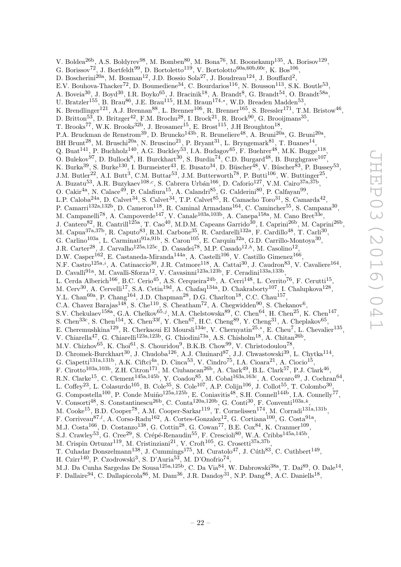V. Boldea<sup>26b</sup>, A.S. Boldyrev<sup>98</sup>, M. Bomben<sup>80</sup>, M. Bona<sup>76</sup>, M. Boonekamp<sup>135</sup>, A. Borisov<sup>129</sup>, G. Borissov<sup>72</sup>, J. Bortfeldt<sup>99</sup>, D. Bortoletto<sup>119</sup>, V. Bortolotto<sup>60a,60b,60c</sup>, K. Bos<sup>106</sup>, D. Boscherini<sup>20a</sup>, M. Bosman<sup>12</sup>, J.D. Bossio Sola<sup>27</sup>, J. Boudreau<sup>124</sup>, J. Bouffard<sup>2</sup>, E.V. Bouhova-Thacker<sup>72</sup>, D. Boumediene<sup>34</sup>, C. Bourdarios<sup>116</sup>, N. Bousson<sup>113</sup>, S.K. Boutle<sup>53</sup>, A. Boveia<sup>30</sup>, J. Boyd<sup>30</sup>, I.R. Boyko<sup>65</sup>, J. Bracinik<sup>18</sup>, A. Brandt<sup>8</sup>, G. Brandt<sup>54</sup>, O. Brandt<sup>58a</sup>, U. Bratzler<sup>155</sup>, B. Brau<sup>86</sup>, J.E. Brau<sup>115</sup>, H.M. Braun<sup>174,\*</sup>, W.D. Breaden Madden<sup>53</sup>, K. Brendlinger<sup>121</sup>, A.J. Brennan<sup>88</sup>, L. Brenner<sup>106</sup>, R. Brenner<sup>165</sup>, S. Bressler<sup>171</sup>, T.M. Bristow<sup>46</sup>, D. Britton<sup>53</sup>, D. Britzger<sup>42</sup>, F.M. Brochu<sup>28</sup>, I. Brock<sup>21</sup>, R. Brock<sup>90</sup>, G. Brooijmans<sup>35</sup>, T. Brooks<sup>77</sup>, W.K. Brooks<sup>32b</sup>, J. Brosamer<sup>15</sup>, E. Brost<sup>115</sup>, J.H Broughton<sup>18</sup>, P.A. Bruckman de Renstrom<sup>39</sup>, D. Bruncko<sup>143b</sup>, R. Bruneliere<sup>48</sup>, A. Bruni<sup>20a</sup>, G. Bruni<sup>20a</sup>, BH Brunt<sup>28</sup>, M. Bruschi<sup>20a</sup>, N. Bruscino<sup>21</sup>, P. Bryant<sup>31</sup>, L. Bryngemark<sup>81</sup>, T. Buanes<sup>14</sup>, Q. Buat<sup>141</sup>, P. Buchholz<sup>140</sup>, A.G. Buckley<sup>53</sup>, I.A. Budagov<sup>65</sup>, F. Buehrer<sup>48</sup>, M.K. Bugge<sup>118</sup>, O. Bulekov<sup>97</sup>, D. Bullock<sup>8</sup>, H. Burckhart<sup>30</sup>, S. Burdin<sup>74</sup>, C.D. Burgard<sup>48</sup>, B. Burghgrave<sup>107</sup>, K. Burka<sup>39</sup>, S. Burke<sup>130</sup>, I. Burmeister<sup>43</sup>, E. Busato<sup>34</sup>, D. Büscher<sup>48</sup>, V. Büscher<sup>83</sup>, P. Bussey<sup>53</sup>, J.M. Butler<sup>22</sup>, A.I. Butt<sup>3</sup>, C.M. Buttar<sup>53</sup>, J.M. Butterworth<sup>78</sup>, P. Butti<sup>106</sup>, W. Buttinger<sup>25</sup>, A. Buzatu<sup>53</sup>, A.R. Buzykaev<sup>108,c</sup>, S. Cabrera Urbán<sup>166</sup>, D. Caforio<sup>127</sup>, V.M. Cairo<sup>37a,37b</sup>, O. Cakir<sup>4a</sup>, N. Calace<sup>49</sup>, P. Calafiura<sup>15</sup>, A. Calandri<sup>85</sup>, G. Calderini<sup>80</sup>, P. Calfayan<sup>99</sup>, L.P. Caloba<sup>24a</sup>, D. Calvet<sup>34</sup>, S. Calvet<sup>34</sup>, T.P. Calvet<sup>85</sup>, R. Camacho Toro<sup>31</sup>, S. Camarda<sup>42</sup>, P. Camarri<sup>132a,132b</sup>, D. Cameron<sup>118</sup>, R. Caminal Armadans<sup>164</sup>, C. Camincher<sup>55</sup>, S. Campana<sup>30</sup>, M. Campanelli<sup>78</sup>, A. Campoverde<sup>147</sup>, V. Canale<sup>103a,103b</sup>, A. Canepa<sup>158a</sup>, M. Cano Bret<sup>33e</sup>, J. Cantero<sup>82</sup>, R. Cantrill<sup>125a</sup>, T. Cao<sup>40</sup>, M.D.M. Capeans Garrido<sup>30</sup>, I. Caprini<sup>26b</sup>, M. Caprini<sup>26b</sup>, M. Capua<sup>37a,37b</sup>, R. Caputo<sup>83</sup>, R.M. Carbone<sup>35</sup>, R. Cardarelli<sup>132a</sup>, F. Cardillo<sup>48</sup>, T. Carli<sup>30</sup>, G. Carlino<sup>103a</sup>, L. Carminati<sup>91a,91b</sup>, S. Caron<sup>105</sup>, E. Carquin<sup>32a</sup>, G.D. Carrillo-Montoya<sup>30</sup>, J.R. Carter<sup>28</sup>, J. Carvalho<sup>125a,125c</sup>, D. Casadei<sup>78</sup>, M.P. Casado<sup>12,h</sup>, M. Casolino<sup>12</sup>, D.W. Casper<sup>162</sup>, E. Castaneda-Miranda<sup>144a</sup>, A. Castelli<sup>106</sup>, V. Castillo Gimenez<sup>166</sup>, N.F. Castro<sup>125a,i</sup>, A. Catinaccio<sup>30</sup>, J.R. Catmore<sup>118</sup>, A. Cattai<sup>30</sup>, J. Caudron<sup>83</sup>, V. Cavaliere<sup>164</sup>, D. Cavalli<sup>91a</sup>, M. Cavalli-Sforza<sup>12</sup>, V. Cavasinni<sup>123a,123b</sup>, F. Ceradini<sup>133a,133b</sup>, L. Cerda Alberich<sup>166</sup>, B.C. Cerio<sup>45</sup>, A.S. Cerqueira<sup>24b</sup>, A. Cerri<sup>148</sup>, L. Cerrito<sup>76</sup>, F. Cerutti<sup>15</sup>, M. Cerv<sup>30</sup>, A. Cervelli<sup>17</sup>, S.A. Cetin<sup>19d</sup>, A. Chafaq<sup>134a</sup>, D. Chakraborty<sup>107</sup>, I. Chalupkova<sup>128</sup>, Y.L. Chan<sup>60a</sup>, P. Chang<sup>164</sup>, J.D. Chapman<sup>28</sup>, D.G. Charlton<sup>18</sup>, C.C. Chau<sup>157</sup>, C.A. Chavez Barajas<sup>148</sup>, S. Che<sup>110</sup>, S. Cheatham<sup>72</sup>, A. Chegwidden<sup>90</sup>, S. Chekanov<sup>6</sup>, S.V. Chekulaev<sup>158a</sup>, G.A. Chelkov<sup>65,j</sup>, M.A. Chelstowska<sup>89</sup>, C. Chen<sup>64</sup>, H. Chen<sup>25</sup>, K. Chen<sup>147</sup>, S. Chen<sup>33c</sup>, S. Chen<sup>154</sup>, X. Chen<sup>33f</sup>, Y. Chen<sup>67</sup>, H.C. Cheng<sup>89</sup>, Y. Cheng<sup>31</sup>, A. Cheplakov<sup>65</sup>, E. Cheremushkina<sup>129</sup>, R. Cherkaoui El Moursli<sup>134e</sup>, V. Chernyatin<sup>25,\*</sup>, E. Cheu<sup>7</sup>, L. Chevalier<sup>135</sup>, V. Chiarella<sup>47</sup>, G. Chiarelli<sup>123a,123b</sup>, G. Chiodini<sup>73a</sup>, A.S. Chisholm<sup>18</sup>, A. Chitan<sup>26b</sup>, M.V. Chizhov<sup>65</sup>, K. Choi<sup>61</sup>, S. Chouridou<sup>9</sup>, B.K.B. Chow<sup>99</sup>, V. Christodoulou<sup>78</sup>, D. Chromek-Burckhart<sup>30</sup>, J. Chudoba<sup>126</sup>, A.J. Chuinard<sup>87</sup>, J.J. Chwastowski<sup>39</sup>, L. Chytka<sup>114</sup>, G. Ciapetti<sup>131a,131b</sup>, A.K. Ciftci<sup>4a</sup>, D. Cinca<sup>53</sup>, V. Cindro<sup>75</sup>, I.A. Cioara<sup>21</sup>, A. Ciocio<sup>15</sup>, F. Cirotto<sup>103a,103b</sup>, Z.H. Citron<sup>171</sup>, M. Ciubancan<sup>26b</sup>, A. Clark<sup>49</sup>, B.L. Clark<sup>57</sup>, P.J. Clark<sup>46</sup>, R.N. Clarke<sup>15</sup>, C. Clement<sup>145a,145b</sup>, Y. Coadou<sup>85</sup>, M. Cobal<sup>163a,163c</sup>, A. Coccaro<sup>49</sup>, J. Cochran<sup>64</sup>, L. Coffey<sup>23</sup>, L. Colasurdo<sup>105</sup>, B. Cole<sup>35</sup>, S. Cole<sup>107</sup>, A.P. Colijn<sup>106</sup>, J. Collot<sup>55</sup>, T. Colombo<sup>30</sup>, G. Compostella<sup>100</sup>, P. Conde Muiño<sup>125a,125b</sup>, E. Coniavitis<sup>48</sup>, S.H. Connell<sup>144b</sup>, I.A. Connelly<sup>77</sup>, V. Consorti<sup>48</sup>, S. Constantinescu<sup>26b</sup>, C. Conta<sup>120a,120b</sup>, G. Conti<sup>30</sup>, F. Conventi<sup>103a,k</sup>, M. Cooke<sup>15</sup>, B.D. Cooper<sup>78</sup>, A.M. Cooper-Sarkar<sup>119</sup>, T. Cornelissen<sup>174</sup>, M. Corradi<sup>131a,131b</sup>, F. Corriveau<sup>87,1</sup>, A. Corso-Radu<sup>162</sup>, A. Cortes-Gonzalez<sup>12</sup>, G. Cortiana<sup>100</sup>, G. Costa<sup>91a</sup>, M.J. Costa<sup>166</sup>, D. Costanzo<sup>138</sup>, G. Cottin<sup>28</sup>, G. Cowan<sup>77</sup>, B.E. Cox<sup>84</sup>, K. Cranmer<sup>109</sup>, S.J. Crawley<sup>53</sup>, G. Cree<sup>29</sup>, S. Crépé-Renaudin<sup>55</sup>, F. Crescioli<sup>80</sup>, W.A. Cribbs<sup>145a,145b</sup>, M. Crispin Ortuzar<sup>119</sup>, M. Cristinziani<sup>21</sup>, V. Croft<sup>105</sup>, G. Crosetti<sup>37a,37b</sup>,

- T. Cuhadar Donszelmann<sup>138</sup>, J. Cummings<sup>175</sup>, M. Curatolo<sup>47</sup>, J. Cúth<sup>83</sup>, C. Cuthbert<sup>149</sup>,
- H. Czirr<sup>140</sup>, P. Czodrowski<sup>3</sup>, S. D'Auria<sup>53</sup>, M. D'Onofrio<sup>74</sup>,
- M.J. Da Cunha Sargedas De Sousa<sup>125a,125b</sup>, C. Da Via<sup>84</sup>, W. Dabrowski<sup>38a</sup>, T. Dai<sup>89</sup>, O. Dale<sup>14</sup>,
- F. Dallaire<sup>94</sup>, C. Dallapiccola<sup>86</sup>, M. Dam<sup>36</sup>, J.R. Dandoy<sup>31</sup>, N.P. Dang<sup>48</sup>, A.C. Daniells<sup>18</sup>,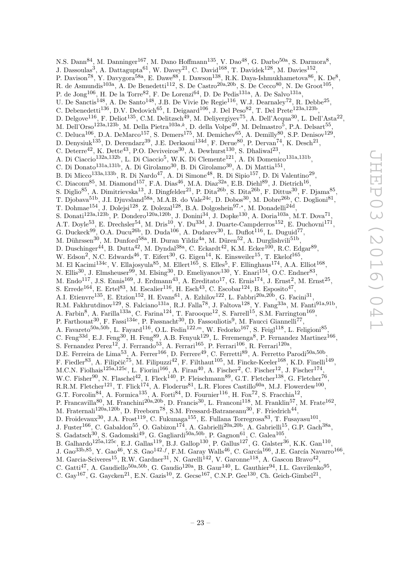N.S. Dann $^{84}$ , M. Danninger $^{167}$ , M. Dano Hoffmann $^{135}$ , V. Dao $^{48}$ , G. Darbo $^{50a}$ , S. Darmora $^8$ , J. Dassoulas<sup>3</sup>, A. Dattagupta<sup>61</sup>, W. Davey<sup>21</sup>, C. David<sup>168</sup>, T. Davidek<sup>128</sup>, M. Davies<sup>152</sup>, P. Davison<sup>78</sup>, Y. Davygora<sup>58a</sup>, E. Dawe<sup>88</sup>, I. Dawson<sup>138</sup>, R.K. Daya-Ishmukhametova<sup>86</sup>, K. De<sup>8</sup>, R. de Asmundis<sup>103a</sup>, A. De Benedetti<sup>112</sup>, S. De Castro<sup>20a, 20b</sup>, S. De Cecco<sup>80</sup>, N. De Groot<sup>105</sup>, P. de Jong<sup>106</sup>, H. De la Torre<sup>82</sup>, F. De Lorenzi<sup>64</sup>, D. De Pedis<sup>131a</sup>, A. De Salvo<sup>131a</sup>, U. De Sanctis<sup>148</sup>, A. De Santo<sup>148</sup>, J.B. De Vivie De Regie<sup>116</sup>, W.J. Dearnaley<sup>72</sup>, R. Debbe<sup>25</sup>, C. Debenedetti<sup>136</sup>, D.V. Dedovich<sup>65</sup>, I. Deigaard<sup>106</sup>, J. Del Peso<sup>82</sup>, T. Del Prete<sup>123a,123b</sup>, D. Delgove<sup>116</sup>, F. Deliot<sup>135</sup>, C.M. Delitzsch<sup>49</sup>, M. Deliyergiyev<sup>75</sup>, A. Dell'Acqua<sup>30</sup>, L. Dell'Asta<sup>22</sup>, M. Dell'Orso $^{123\text{a},123\text{b}},$  M. Della Pietra $^{103\text{a},k},$  D. della Volpe $^{49},$  M. Delmastro $^5,$  P.A. Delsart $^{55},$ C. Deluca<sup>106</sup>, D.A. DeMarco<sup>157</sup>, S. Demers<sup>175</sup>, M. Demichev<sup>65</sup>, A. Demilly<sup>80</sup>, S.P. Denisov<sup>129</sup>, D. Denysiuk<sup>135</sup>, D. Derendarz<sup>39</sup>, J.E. Derkaoui<sup>134d</sup>, F. Derue<sup>80</sup>, P. Dervan<sup>74</sup>, K. Desch<sup>21</sup>, C. Deterre<sup>42</sup>, K. Dette<sup>43</sup>, P.O. Deviveiros<sup>30</sup>, A. Dewhurst<sup>130</sup>, S. Dhaliwal<sup>23</sup>, A. Di Ciaccio<sup>132a,132b</sup>, L. Di Ciaccio<sup>5</sup>, W.K. Di Clemente<sup>121</sup>, A. Di Domenico<sup>131a,131b</sup>, C. Di Donato<sup>131a,131b</sup>, A. Di Girolamo<sup>30</sup>, B. Di Girolamo<sup>30</sup>, A. Di Mattia<sup>151</sup>, B. Di Micco<sup>133a,133b</sup>, R. Di Nardo<sup>47</sup>, A. Di Simone<sup>48</sup>, R. Di Sipio<sup>157</sup>, D. Di Valentino<sup>29</sup>, C. Diaconu<sup>85</sup>, M. Diamond<sup>157</sup>, F.A. Dias<sup>46</sup>, M.A. Diaz<sup>32a</sup>, E.B. Diehl<sup>89</sup>, J. Dietrich<sup>16</sup>, S. Diglio<sup>85</sup>, A. Dimitrievska<sup>13</sup>, J. Dingfelder<sup>21</sup>, P. Dita<sup>26b</sup>, S. Dita<sup>26b</sup>, F. Dittus<sup>30</sup>, F. Djama<sup>85</sup>, T. Djobava<sup>51b</sup>, J.I. Djuvsland<sup>58a</sup>, M.A.B. do Vale<sup>24c</sup>, D. Dobos<sup>30</sup>, M. Dobre<sup>26b</sup>, C. Doglioni<sup>81</sup>, T. Dohmae<sup>154</sup>, J. Dolejsi<sup>128</sup>, Z. Dolezal<sup>128</sup>, B.A. Dolgoshein<sup>97,\*</sup>, M. Donadelli<sup>24d</sup>, S. Donati<sup>123a,123b</sup>, P. Dondero<sup>120a,120b</sup>, J. Donini<sup>34</sup>, J. Dopke<sup>130</sup>, A. Doria<sup>103a</sup>, M.T. Dova<sup>71</sup>, A.T. Doyle<sup>53</sup>, E. Drechsler<sup>54</sup>, M. Dris<sup>10</sup>, Y. Du<sup>33d</sup>, J. Duarte-Campderros<sup>152</sup>, E. Duchovni<sup>171</sup>, G. Duckeck<sup>99</sup>, O.A. Ducu<sup>26b</sup>, D. Duda<sup>106</sup>, A. Dudarev<sup>30</sup>, L. Duflot<sup>116</sup>, L. Duguid<sup>77</sup>, M. Dührssen $^{30}$ , M. Dunford $^{58a}$ , H. Duran Yildiz $^{4a}$ , M. Düren $^{52}$ , A. Durglishvili $^{51b}$ , D. Duschinger<sup>44</sup>, B. Dutta<sup>42</sup>, M. Dyndal<sup>38a</sup>, C. Eckardt<sup>42</sup>, K.M. Ecker<sup>100</sup>, R.C. Edgar<sup>89</sup>, W. Edson<sup>2</sup>, N.C. Edwards<sup>46</sup>, T. Eifert<sup>30</sup>, G. Eigen<sup>14</sup>, K. Einsweiler<sup>15</sup>, T. Ekelof<sup>165</sup>, M. El Kacimi<sup>134c</sup>, V. Ellajosyula<sup>85</sup>, M. Ellert<sup>165</sup>, S. Elles<sup>5</sup>, F. Ellinghaus<sup>174</sup>, A.A. Elliot<sup>168</sup>, N. Ellis<sup>30</sup>, J. Elmsheuser<sup>99</sup>, M. Elsing<sup>30</sup>, D. Emeliyanov<sup>130</sup>, Y. Enari<sup>154</sup>, O.C. Endner<sup>83</sup>, M. Endo<sup>117</sup>, J.S. Ennis<sup>169</sup>, J. Erdmann<sup>43</sup>, A. Ereditato<sup>17</sup>, G. Ernis<sup>174</sup>, J. Ernst<sup>2</sup>, M. Ernst<sup>25</sup>, S. Errede<sup>164</sup>, E. Ertel<sup>83</sup>, M. Escalier<sup>116</sup>, H. Esch<sup>43</sup>, C. Escobar<sup>124</sup>, B. Esposito<sup>47</sup>, A.I. Etienvre<sup>135</sup>, E. Etzion<sup>152</sup>, H. Evans<sup>61</sup>, A. Ezhilov<sup>122</sup>, L. Fabbri<sup>20a,20b</sup>, G. Facini<sup>31</sup>, R.M. Fakhrutdinov<sup>129</sup>, S. Falciano<sup>131a</sup>, R.J. Falla<sup>78</sup>, J. Faltova<sup>128</sup>, Y. Fang<sup>33a</sup>, M. Fanti<sup>91a,91b</sup>, A. Farbin<sup>8</sup>, A. Farilla<sup>133a</sup>, C. Farina<sup>124</sup>, T. Farooque<sup>12</sup>, S. Farrell<sup>15</sup>, S.M. Farrington<sup>169</sup>, P. Farthouat<sup>30</sup>, F. Fassi<sup>134e</sup>, P. Fassnacht<sup>30</sup>, D. Fassouliotis<sup>9</sup>, M. Faucci Giannelli<sup>77</sup>, A. Favareto<sup>50a,50b</sup>, L. Fayard<sup>116</sup>, O.L. Fedin<sup>122,*m*</sup>, W. Fedorko<sup>167</sup>, S. Feigl<sup>118</sup>, L. Feligioni<sup>85</sup>, C. Feng<sup>33d</sup>, E.J. Feng<sup>30</sup>, H. Feng<sup>89</sup>, A.B. Fenyuk<sup>129</sup>, L. Feremenga<sup>8</sup>, P. Fernandez Martinez<sup>166</sup>, S. Fernandez Perez<sup>12</sup>, J. Ferrando<sup>53</sup>, A. Ferrari<sup>165</sup>, P. Ferrari<sup>106</sup>, R. Ferrari<sup>120a</sup>, D.E. Ferreira de Lima<sup>53</sup>, A. Ferrer<sup>166</sup>, D. Ferrere<sup>49</sup>, C. Ferretti<sup>89</sup>, A. Ferretto Parodi<sup>50a,50b</sup>, F. Fiedler<sup>83</sup>, A. Filipčič<sup>75</sup>, M. Filipuzzi<sup>42</sup>, F. Filthaut<sup>105</sup>, M. Fincke-Keeler<sup>168</sup>, K.D. Finelli<sup>149</sup>, M.C.N. Fiolhais<sup>125a,125c</sup>, L. Fiorini<sup>166</sup>, A. Firan<sup>40</sup>, A. Fischer<sup>2</sup>, C. Fischer<sup>12</sup>, J. Fischer<sup>174</sup>, W.C. Fisher<sup>90</sup>, N. Flaschel<sup>42</sup>, I. Fleck<sup>140</sup>, P. Fleischmann<sup>89</sup>, G.T. Fletcher<sup>138</sup>, G. Fletcher<sup>76</sup>, R.R.M. Fletcher<sup>121</sup>, T. Flick<sup>174</sup>, A. Floderus<sup>81</sup>, L.R. Flores Castillo<sup>60a</sup>, M.J. Flowerdew<sup>100</sup>, G.T. Forcolin<sup>84</sup>, A. Formica<sup>135</sup>, A. Forti<sup>84</sup>, D. Fournier<sup>116</sup>, H. Fox<sup>72</sup>, S. Fracchia<sup>12</sup>, P. Francavilla<sup>80</sup>, M. Franchini<sup>20a,20b</sup>, D. Francis<sup>30</sup>, L. Franconi<sup>118</sup>, M. Franklin<sup>57</sup>, M. Frate<sup>162</sup>, M. Fraternali<sup>120a,120b</sup>, D. Freeborn<sup>78</sup>, S.M. Fressard-Batraneanu<sup>30</sup>, F. Friedrich<sup>44</sup>, D. Froidevaux $^{30}$ , J.A. Frost $^{119}$ , C. Fukunaga $^{155}$ , E. Fullana Torregrosa $^{83}$ , T. Fusayasu $^{101}$ , J. Fuster<sup>166</sup>, C. Gabaldon<sup>55</sup>, O. Gabizon<sup>174</sup>, A. Gabrielli<sup>20a,20b</sup>, A. Gabrielli<sup>15</sup>, G.P. Gach<sup>38a</sup>, S. Gadatsch<sup>30</sup>, S. Gadomski<sup>49</sup>, G. Gagliardi<sup>50a,50b</sup>, P. Gagnon<sup>61</sup>, C. Galea<sup>105</sup>, B. Galhardo<sup>125a,125c</sup>, E.J. Gallas<sup>119</sup>, B.J. Gallop<sup>130</sup>, P. Gallus<sup>127</sup>, G. Galster<sup>36</sup>, K.K. Gan<sup>110</sup>, J. Gao $^{33b,85}$ , Y. Gao $^{46}$ , Y.S. Gao $^{142,f}$ , F.M. Garay Walls<sup>46</sup>, C. García<sup>166</sup>, J.E. García Navarro $^{166}$ , M. Garcia-Sciveres<sup>15</sup>, R.W. Gardner<sup>31</sup>, N. Garelli<sup>142</sup>, V. Garonne<sup>118</sup>, A. Gascon Bravo<sup>42</sup>,

- C. Gatti<sup>47</sup>, A. Gaudiello<sup>50a, 50b</sup>, G. Gaudio<sup>120a</sup>, B. Gaur<sup>140</sup>, L. Gauthier<sup>94</sup>, I.L. Gavrilenko<sup>95</sup>,
- C. Gay<sup>167</sup>, G. Gaycken<sup>21</sup>, E.N. Gazis<sup>10</sup>, Z. Gecse<sup>167</sup>, C.N.P. Gee<sup>130</sup>, Ch. Geich-Gimbel<sup>21</sup>,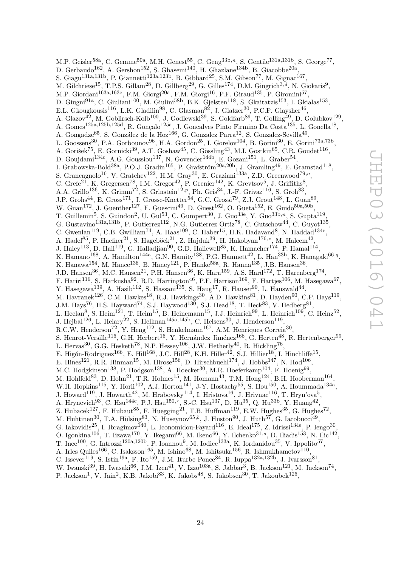M.P. Geisler<sup>58a</sup>, C. Gemme<sup>50a</sup>, M.H. Genest<sup>55</sup>, C. Geng<sup>33b,n</sup>, S. Gentile<sup>131a,131b</sup>, S. George<sup>77</sup>, D. Gerbaudo<sup>162</sup>, A. Gershon<sup>152</sup>, S. Ghasemi<sup>140</sup>, H. Ghazlane<sup>134b</sup>, B. Giacobbe<sup>20a</sup>, S. Giagu<sup>131a,131b</sup>, P. Giannetti<sup>123a,123b</sup>, B. Gibbard<sup>25</sup>, S.M. Gibson<sup>77</sup>, M. Gignac<sup>167</sup>, M. Gilchriese<sup>15</sup>, T.P.S. Gillam<sup>28</sup>, D. Gillberg<sup>29</sup>, G. Gilles<sup>174</sup>, D.M. Gingrich<sup>3,d</sup>, N. Giokaris<sup>9</sup>, M.P. Giordani<sup>163a,163c</sup>, F.M. Giorgi<sup>20a</sup>, F.M. Giorgi<sup>16</sup>, P.F. Giraud<sup>135</sup>, P. Giromini<sup>57</sup>, D. Giugni<sup>91a</sup>, C. Giuliani<sup>100</sup>, M. Giulini<sup>58b</sup>, B.K. Gjelsten<sup>118</sup>, S. Gkaitatzis<sup>153</sup>, I. Gkialas<sup>153</sup>, E.L. Gkougkousis<sup>116</sup>, L.K. Gladilin<sup>98</sup>, C. Glasman<sup>82</sup>, J. Glatzer<sup>30</sup>, P.C.F. Glaysher<sup>46</sup>, A. Glazov<sup>42</sup>, M. Goblirsch-Kolb<sup>100</sup>, J. Godlewski<sup>39</sup>, S. Goldfarb<sup>89</sup>, T. Golling<sup>49</sup>, D. Golubkov<sup>129</sup>, A. Gomes<sup>125a,125b,125d</sup>, R. Gonçalo<sup>125a</sup>, J. Goncalves Pinto Firmino Da Costa<sup>135</sup>, L. Gonella<sup>18</sup>, A. Gongadze $^{65}$ , S. González de la Hoz $^{166}$ , G. Gonzalez Parra<sup>12</sup>, S. Gonzalez-Sevilla<sup>49</sup>, L. Goossens<sup>30</sup>, P.A. Gorbounov<sup>96</sup>, H.A. Gordon<sup>25</sup>, I. Gorelov<sup>104</sup>, B. Gorini<sup>30</sup>, E. Gorini<sup>73a,73b</sup>, A. Gorišek<sup>75</sup>, E. Gornicki<sup>39</sup>, A.T. Goshaw<sup>45</sup>, C. Gössling<sup>43</sup>, M.I. Gostkin<sup>65</sup>, C.R. Goudet<sup>116</sup>, D. Goujdami<sup>134c</sup>, A.G. Goussiou<sup>137</sup>, N. Govender<sup>144b</sup>, E. Gozani<sup>151</sup>, L. Graber<sup>54</sup>, I. Grabowska-Bold $^{38a}$ , P.O.J. Gradin $^{165}$ , P. Grafström $^{20a,20b}$ , J. Gramling $^{49}$ , E. Gramstad $^{118}$ , S. Grancagnolo<sup>16</sup>, V. Gratchev<sup>122</sup>, H.M. Gray<sup>30</sup>, E. Graziani<sup>133a</sup>, Z.D. Greenwood<sup>79,</sup><sup>o</sup>, C. Grefe<sup>21</sup>, K. Gregersen<sup>78</sup>, I.M. Gregor<sup>42</sup>, P. Grenier<sup>142</sup>, K. Grevtsov<sup>5</sup>, J. Griffiths<sup>8</sup>, A.A. Grillo<sup>136</sup>, K. Grimm<sup>72</sup>, S. Grinstein<sup>12,p</sup>, Ph. Gris<sup>34</sup>, J.-F. Grivaz<sup>116</sup>, S. Groh<sup>83</sup>, J.P. Grohs<sup>44</sup>, E. Gross<sup>171</sup>, J. Grosse-Knetter<sup>54</sup>, G.C. Grossi<sup>79</sup>, Z.J. Grout<sup>148</sup>, L. Guan<sup>89</sup>, W. Guan<sup>172</sup>, J. Guenther<sup>127</sup>, F. Guescini<sup>49</sup>, D. Guest<sup>162</sup>, O. Gueta<sup>152</sup>, E. Guido<sup>50a,50b</sup>, T. Guillemin<sup>5</sup>, S. Guindon<sup>2</sup>, U. Gul<sup>53</sup>, C. Gumpert<sup>30</sup>, J. Guo<sup>33e</sup>, Y. Guo<sup>33b,n</sup>, S. Gupta<sup>119</sup>, G. Gustavino<sup>131a,131b</sup>, P. Gutierrez<sup>112</sup>, N.G. Gutierrez Ortiz<sup>78</sup>, C. Gutschow<sup>44</sup>, C. Guyot<sup>135</sup>, C. Gwenlan<sup>119</sup>, C.B. Gwilliam<sup>74</sup>, A. Haas<sup>109</sup>, C. Haber<sup>15</sup>, H.K. Hadavand<sup>8</sup>, N. Haddad<sup>134e</sup>, A. Hadef<sup>85</sup>, P. Haefner<sup>21</sup>, S. Hageböck<sup>21</sup>, Z. Hajduk<sup>39</sup>, H. Hakobyan<sup>176,\*</sup>, M. Haleem<sup>42</sup>, J. Haley<sup>113</sup>, D. Hall<sup>119</sup>, G. Halladjian<sup>90</sup>, G.D. Hallewell<sup>85</sup>, K. Hamacher<sup>174</sup>, P. Hamal<sup>114</sup>, K. Hamano<sup>168</sup>, A. Hamilton<sup>144a</sup>, G.N. Hamity<sup>138</sup>, P.G. Hamnett<sup>42</sup>, L. Han<sup>33b</sup>, K. Hanagaki<sup>66,q</sup>, K. Hanawa $^{154}$ , M. Hance $^{136}$ , B. Haney $^{121}$ , P. Hanke $^{58a}$ , R. Hanna $^{135}$ , J.B. Hansen $^{36}$ , J.D. Hansen<sup>36</sup>, M.C. Hansen<sup>21</sup>, P.H. Hansen<sup>36</sup>, K. Hara<sup>159</sup>, A.S. Hard<sup>172</sup>, T. Harenberg<sup>174</sup>, F. Hariri<sup>116</sup>, S. Harkusha<sup>92</sup>, R.D. Harrington<sup>46</sup>, P.F. Harrison<sup>169</sup>, F. Hartjes<sup>106</sup>, M. Hasegawa<sup>67</sup>, Y. Hasegawa<sup>139</sup>, A. Hasib<sup>112</sup>, S. Hassani<sup>135</sup>, S. Haug<sup>17</sup>, R. Hauser<sup>90</sup>, L. Hauswald<sup>44</sup>, M. Havranek<sup>126</sup>, C.M. Hawkes<sup>18</sup>, R.J. Hawkings<sup>30</sup>, A.D. Hawkins<sup>81</sup>, D. Hayden<sup>90</sup>, C.P. Hays<sup>119</sup>, J.M. Hays<sup>76</sup>, H.S. Hayward<sup>74</sup>, S.J. Haywood<sup>130</sup>, S.J. Head<sup>18</sup>, T. Heck<sup>83</sup>, V. Hedberg<sup>81</sup>, L. Heelan<sup>8</sup>, S. Heim<sup>121</sup>, T. Heim<sup>15</sup>, B. Heinemann<sup>15</sup>, J.J. Heinrich<sup>99</sup>, L. Heinrich<sup>109</sup>, C. Heinz<sup>52</sup>, J. Hejbal<sup>126</sup>, L. Helary<sup>22</sup>, S. Hellman<sup>145a,145b</sup>, C. Helsens<sup>30</sup>, J. Henderson<sup>119</sup>, R.C.W. Henderson<sup>72</sup>, Y. Heng<sup>172</sup>, S. Henkelmann<sup>167</sup>, A.M. Henriques Correia<sup>30</sup>, S. Henrot-Versille<sup>116</sup>, G.H. Herbert<sup>16</sup>, Y. Hernández Jiménez<sup>166</sup>, G. Herten<sup>48</sup>, R. Hertenberger<sup>99</sup>, L. Hervas<sup>30</sup>, G.G. Hesketh<sup>78</sup>, N.P. Hessey<sup>106</sup>, J.W. Hetherly<sup>40</sup>, R. Hickling<sup>76</sup>, E. Higón-Rodriguez<sup>166</sup>, E. Hill<sup>168</sup>, J.C. Hill<sup>28</sup>, K.H. Hiller<sup>42</sup>, S.J. Hillier<sup>18</sup>, I. Hinchliffe<sup>15</sup>, E. Hines<sup>121</sup>, R.R. Hinman<sup>15</sup>, M. Hirose<sup>156</sup>, D. Hirschbuehl<sup>174</sup>, J. Hobbs<sup>147</sup>, N. Hod<sup>106</sup>, M.C. Hodgkinson<sup>138</sup>, P. Hodgson<sup>138</sup>, A. Hoecker<sup>30</sup>, M.R. Hoeferkamp<sup>104</sup>, F. Hoenig<sup>99</sup>, M. Hohlfeld<sup>83</sup>, D. Hohn<sup>21</sup>, T.R. Holmes<sup>15</sup>, M. Homann<sup>43</sup>, T.M. Hong<sup>124</sup>, B.H. Hooberman<sup>164</sup>, W.H. Hopkins<sup>115</sup>, Y. Horii<sup>102</sup>, A.J. Horton<sup>141</sup>, J-Y. Hostachy<sup>55</sup>, S. Hou<sup>150</sup>, A. Hoummada<sup>134a</sup>, J. Howard $^{119}$ , J. Howarth $^{42}$ , M. Hrabovsky $^{114}$ , I. Hristova $^{16}$ , J. Hrivnac $^{116}$ , T. Hryn'ova $^5$ , A. Hrynevich<sup>93</sup>, C. Hsu<sup>144c</sup>, P.J. Hsu<sup>150,r</sup>, S.-C. Hsu<sup>137</sup>, D. Hu<sup>35</sup>, Q. Hu<sup>33b</sup>, Y. Huang<sup>42</sup>, Z. Hubacek<sup>127</sup>, F. Hubaut<sup>85</sup>, F. Huegging<sup>21</sup>, T.B. Huffman<sup>119</sup>, E.W. Hughes<sup>35</sup>, G. Hughes<sup>72</sup>, M. Huhtinen<sup>30</sup>, T.A. Hülsing<sup>83</sup>, N. Huseynov<sup>65,b</sup>, J. Huston<sup>90</sup>, J. Huth<sup>57</sup>, G. Iacobucci<sup>49</sup>, G. Iakovidis<sup>25</sup>, I. Ibragimov<sup>140</sup>, L. Iconomidou-Fayard<sup>116</sup>, E. Ideal<sup>175</sup>, Z. Idrissi<sup>134e</sup>, P. Iengo<sup>30</sup>, O. Igonkina<sup>106</sup>, T. Iizawa<sup>170</sup>, Y. Ikegami<sup>66</sup>, M. Ikeno<sup>66</sup>, Y. Ilchenko<sup>31,s</sup>, D. Iliadis<sup>153</sup>, N. Ilic<sup>142</sup>, T. Ince<sup>100</sup>, G. Introzzi<sup>120a,120b</sup>, P. Ioannou<sup>9</sup>, M. Iodice<sup>133a</sup>, K. Iordanidou<sup>35</sup>, V. Ippolito<sup>57</sup>, A. Irles Quiles<sup>166</sup>, C. Isaksson<sup>165</sup>, M. Ishino<sup>68</sup>, M. Ishitsuka<sup>156</sup>, R. Ishmukhametov<sup>110</sup>, C. Issever<sup>119</sup>, S. Istin<sup>19a</sup>, F. Ito<sup>159</sup>, J.M. Iturbe Ponce<sup>84</sup>, R. Iuppa<sup>132a,132b</sup>, J. Ivarsson<sup>81</sup>, W. Iwanski<sup>39</sup>, H. Iwasaki<sup>66</sup>, J.M. Izen<sup>41</sup>, V. Izzo<sup>103a</sup>, S. Jabbar<sup>3</sup>, B. Jackson<sup>121</sup>, M. Jackson<sup>74</sup>,

P. Jackson<sup>1</sup>, V. Jain<sup>2</sup>, K.B. Jakobi<sup>83</sup>, K. Jakobs<sup>48</sup>, S. Jakobsen<sup>30</sup>, T. Jakoubek<sup>126</sup>,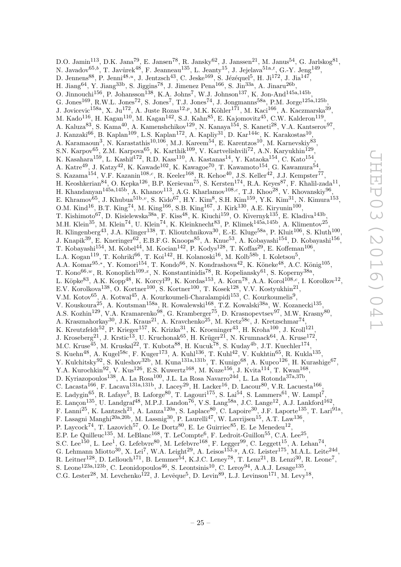D.O. Jamin<sup>113</sup>, D.K. Jana<sup>79</sup>, E. Jansen<sup>78</sup>, R. Jansky<sup>62</sup>, J. Janssen<sup>21</sup>, M. Janus<sup>54</sup>, G. Jarlskog<sup>81</sup>, N. Javadov $^{65,b}$ , T. Javůrek $^{48}$ , F. Jeanneau $^{135}$ , L. Jeanty $^{15}$ , J. Jejelava $^{51a,t}$ , G.-Y. Jeng $^{149}$ , D. Jennens $^{88}$ , P. Jenni $^{48,u}$ , J. Jentzsch $^{43}$ , C. Jeske $^{169}$ , S. Jézéquel $^5$ , H. Ji $^{172}$ , J. Jia $^{147}$ , H. Jiang<sup>64</sup>, Y. Jiang<sup>33b</sup>, S. Jiggins<sup>78</sup>, J. Jimenez Pena<sup>166</sup>, S. Jin<sup>33a</sup>, A. Jinaru<sup>26b</sup>, O. Jinnouchi<sup>156</sup>, P. Johansson<sup>138</sup>, K.A. Johns<sup>7</sup>, W.J. Johnson<sup>137</sup>, K. Jon-And<sup>145a,145b</sup>, G. Jones<sup>169</sup>, R.W.L. Jones<sup>72</sup>, S. Jones<sup>7</sup>, T.J. Jones<sup>74</sup>, J. Jongmanns<sup>58a</sup>, P.M. Jorge<sup>125a,125b</sup>, J. Jovicevic<sup>158a</sup>, X. Ju<sup>172</sup>, A. Juste Rozas<sup>12,p</sup>, M.K. Köhler<sup>171</sup>, M. Kaci<sup>166</sup>, A. Kaczmarska<sup>39</sup>, M. Kado $^{116}$ , H. Kagan $^{110}$ , M. Kagan $^{142}$ , S.J. Kahn $^{85}$ , E. Kajomovitz $^{45}$ , C.W. Kalderon $^{119}$ , A. Kaluza<sup>83</sup>, S. Kama<sup>40</sup>, A. Kamenshchikov<sup>129</sup>, N. Kanaya<sup>154</sup>, S. Kaneti<sup>28</sup>, V.A. Kantserov<sup>97</sup>, J. Kanzaki $^{66}$ , B. Kaplan $^{109}$ , L.S. Kaplan $^{172}$ , A. Kapliy $^{31}$ , D. Kar $^{144c}$ , K. Karakostas $^{10}$ , A. Karamaoun<sup>3</sup>, N. Karastathis<sup>10,106</sup>, M.J. Kareem<sup>54</sup>, E. Karentzos<sup>10</sup>, M. Karnevskiy<sup>83</sup>, S.N. Karpov $^{65}$ , Z.M. Karpova $^{65}$ , K. Karthik $^{109}$ , V. Kartvelishvili<sup>72</sup>, A.N. Karyukhin $^{129}$ , K. Kasahara<sup>159</sup>, L. Kashif<sup>172</sup>, R.D. Kass<sup>110</sup>, A. Kastanas<sup>14</sup>, Y. Kataoka<sup>154</sup>, C. Kato<sup>154</sup>, A. Katre $^{49}$ , J. Katzy $^{42}$ , K. Kawade<sup>102</sup>, K. Kawagoe<sup>70</sup>, T. Kawamoto<sup>154</sup>, G. Kawamura<sup>54</sup>, S. Kazama<sup>154</sup>, V.F. Kazanin<sup>108,c</sup>, R. Keeler<sup>168</sup>, R. Kehoe<sup>40</sup>, J.S. Keller<sup>42</sup>, J.J. Kempster<sup>77</sup>, H. Keoshkerian $^{84}$ , O. Kepka $^{126}$ , B.P. Kerševan $^{75}$ , S. Kersten $^{174}$ , R.A. Keyes $^{87}$ , F. Khalil-zada $^{11}$ , H. Khandanyan<sup>145a,145b</sup>, A. Khanov<sup>113</sup>, A.G. Kharlamov<sup>108,c</sup>, T.J. Khoo<sup>28</sup>, V. Khovanskiy<sup>96</sup>, E. Khramov $^{65}$ , J. Khubua $^{51b,v}$ , S. Kido $^{67}$ , H.Y. Kim $^8$ , S.H. Kim $^{159}$ , Y.K. Kim $^{31}$ , N. Kimura $^{153}$ , O.M. Kind<sup>16</sup>, B.T. King<sup>74</sup>, M. King<sup>166</sup>, S.B. King<sup>167</sup>, J. Kirk<sup>130</sup>, A.E. Kiryunin<sup>100</sup>, T. Kishimoto<sup>67</sup>, D. Kisielewska<sup>38a</sup>, F. Kiss<sup>48</sup>, K. Kiuchi<sup>159</sup>, O. Kivernyk<sup>135</sup>, E. Kladiva<sup>143b</sup>, M.H. Klein<sup>35</sup>, M. Klein<sup>74</sup>, U. Klein<sup>74</sup>, K. Kleinknecht<sup>83</sup>, P. Klimek<sup>145a,145b</sup>, A. Klimentov<sup>25</sup>, R. Klingenberg<sup>43</sup>, J.A. Klinger<sup>138</sup>, T. Klioutchnikova<sup>30</sup>, E.-E. Kluge<sup>58a</sup>, P. Kluit<sup>106</sup>, S. Kluth<sup>100</sup>, J. Knapik<sup>39</sup>, E. Kneringer<sup>62</sup>, E.B.F.G. Knoops<sup>85</sup>, A. Knue<sup>53</sup>, A. Kobayashi<sup>154</sup>, D. Kobayashi<sup>156</sup>, T. Kobayashi<sup>154</sup>, M. Kobel<sup>44</sup>, M. Kocian<sup>142</sup>, P. Kodys<sup>128</sup>, T. Koffas<sup>29</sup>, E. Koffeman<sup>106</sup>, L.A. Kogan $^{119}$ , T. Kohriki $^{66}$ , T. Koi $^{142}$ , H. Kolanoski $^{16}$ , M. Kolb $^{58b}$ , I. Koletsou $^5$ , A.A. Komar<sup>95,\*</sup>, Y. Komori<sup>154</sup>, T. Kondo<sup>66</sup>, N. Kondrashova<sup>42</sup>, K. Köneke<sup>48</sup>, A.C. König<sup>105</sup>, T. Kono $^{66,w}$ , R. Konoplich<sup>109,x</sup>, N. Konstantinidis<sup>78</sup>, R. Kopeliansky<sup>61</sup>, S. Koperny<sup>38a</sup>, L. Köpke $^{83}$ , A.K. Kopp $^{48}$ , K. Korcyl $^{39}$ , K. Kordas $^{153}$ , A. Korn $^{78}$ , A.A. Korol $^{108,c}$ , I. Korolkov $^{12}$ , E.V. Korolkova<sup>138</sup>, O. Kortner<sup>100</sup>, S. Kortner<sup>100</sup>, T. Kosek<sup>128</sup>, V.V. Kostyukhin<sup>21</sup>, V.M. Kotov<sup>65</sup>, A. Kotwal<sup>45</sup>, A. Kourkoumeli-Charalampidi<sup>153</sup>, C. Kourkoumelis<sup>9</sup>, V. Kouskoura<sup>25</sup>, A. Koutsman<sup>158a</sup>, R. Kowalewski<sup>168</sup>, T.Z. Kowalski<sup>38a</sup>, W. Kozanecki<sup>135</sup>, A.S. Kozhin<sup>129</sup>, V.A. Kramarenko<sup>98</sup>, G. Kramberger<sup>75</sup>, D. Krasnopevtsev<sup>97</sup>, M.W. Krasny<sup>80</sup>, A. Krasznahorkay<sup>30</sup>, J.K. Kraus<sup>21</sup>, A. Kravchenko<sup>25</sup>, M. Kretz<sup>58c</sup>, J. Kretzschmar<sup>74</sup>, K. Kreutzfeldt<sup>52</sup>, P. Krieger<sup>157</sup>, K. Krizka<sup>31</sup>, K. Kroeninger<sup>43</sup>, H. Kroha<sup>100</sup>, J. Kroll<sup>121</sup>, J. Kroseberg<sup>21</sup>, J. Krstic<sup>13</sup>, U. Kruchonak<sup>65</sup>, H. Krüger<sup>21</sup>, N. Krumnack<sup>64</sup>, A. Kruse<sup>172</sup>, M.C. Kruse $^{45}$ , M. Kruskal $^{22}$ , T. Kubota $^{88}$ , H. Kucuk $^{78}$ , S. Kuday $^{4b}$ , J.T. Kuechler $^{174}$ , S. Kuehn $^{48}$ , A. Kugel $^{58c}$ , F. Kuger $^{173}$ , A. Kuhl $^{136}$ , T. Kuhl $^{42}$ , V. Kukhtin $^{65}$ , R. Kukla $^{135}$ , Y. Kulchitsky<sup>92</sup>, S. Kuleshov<sup>32b</sup>, M. Kuna<sup>131a,131b</sup>, T. Kunigo<sup>68</sup>, A. Kupco<sup>126</sup>, H. Kurashige<sup>67</sup>, Y.A. Kurochkin<sup>92</sup>, V. Kus<sup>126</sup>, E.S. Kuwertz<sup>168</sup>, M. Kuze<sup>156</sup>, J. Kvita<sup>114</sup>, T. Kwan<sup>168</sup>, D. Kyriazopoulos<sup>138</sup>, A. La Rosa<sup>100</sup>, J.L. La Rosa Navarro<sup>24d</sup>, L. La Rotonda<sup>37a,37b</sup>, C. Lacasta<sup>166</sup>, F. Lacava<sup>131a,131b</sup>, J. Lacey<sup>29</sup>, H. Lacker<sup>16</sup>, D. Lacour<sup>80</sup>, V.R. Lacuesta<sup>166</sup>, E. Ladygin<sup>65</sup>, R. Lafaye<sup>5</sup>, B. Laforge<sup>80</sup>, T. Lagouri<sup>175</sup>, S. Lai<sup>54</sup>, S. Lammers<sup>61</sup>, W. Lampl<sup>7</sup>, E. Lançon<sup>135</sup>, U. Landgraf<sup>48</sup>, M.P.J. Landon<sup>76</sup>, V.S. Lang<sup>58a</sup>, J.C. Lange<sup>12</sup>, A.J. Lankford<sup>162</sup>, F. Lanni<sup>25</sup>, K. Lantzsch<sup>21</sup>, A. Lanza<sup>120a</sup>, S. Laplace<sup>80</sup>, C. Lapoire<sup>30</sup>, J.F. Laporte<sup>135</sup>, T. Lari<sup>91a</sup>, F. Lasagni Manghi<sup>20a,20b</sup>, M. Lassnig<sup>30</sup>, P. Laurelli<sup>47</sup>, W. Lavrijsen<sup>15</sup>, A.T. Law<sup>136</sup>, P. Laycock<sup>74</sup>, T. Lazovich<sup>57</sup>, O. Le Dortz<sup>80</sup>, E. Le Guirriec<sup>85</sup>, E. Le Menedeu<sup>12</sup>, E.P. Le Quilleuc<sup>135</sup>, M. LeBlanc<sup>168</sup>, T. LeCompte<sup>6</sup>, F. Ledroit-Guillon<sup>55</sup>, C.A. Lee<sup>25</sup>, S.C. Lee<sup>150</sup>, L. Lee<sup>1</sup>, G. Lefebvre<sup>80</sup>, M. Lefebvre<sup>168</sup>, F. Legger<sup>99</sup>, C. Leggett<sup>15</sup>, A. Lehan<sup>74</sup>, G. Lehmann Miotto<sup>30</sup>, X. Lei<sup>7</sup>, W.A. Leight<sup>29</sup>, A. Leisos<sup>153,y</sup>, A.G. Leister<sup>175</sup>, M.A.L. Leite<sup>24d</sup>, R. Leitner<sup>128</sup>, D. Lellouch<sup>171</sup>, B. Lemmer<sup>54</sup>, K.J.C. Leney<sup>78</sup>, T. Lenz<sup>21</sup>, B. Lenzi<sup>30</sup>, R. Leone<sup>7</sup>, S. Leone<sup>123a,123b</sup>, C. Leonidopoulos<sup>46</sup>, S. Leontsinis<sup>10</sup>, C. Leroy<sup>94</sup>, A.A.J. Lesage<sup>135</sup>,

C.G. Lester<sup>28</sup>, M. Levchenko<sup>122</sup>, J. Levêque<sup>5</sup>, D. Levin<sup>89</sup>, L.J. Levinson<sup>171</sup>, M. Levy<sup>18</sup>,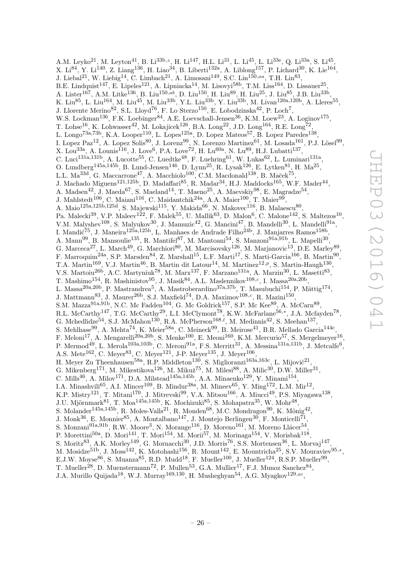A.M. Leyko<sup>21</sup>, M. Leyton<sup>41</sup>, B. Li<sup>33b, z</sup>, H. Li<sup>147</sup>, H.L. Li<sup>31</sup>, L. Li<sup>45</sup>, L. Li<sup>33e</sup>, Q. Li<sup>33a</sup>, S. Li<sup>45</sup> , X. Li<sup>84</sup>, Y. Li<sup>140</sup>, Z. Liang<sup>136</sup>, H. Liao<sup>34</sup>, B. Liberti<sup>132a</sup>, A. Liblong<sup>157</sup>, P. Lichard<sup>30</sup>, K. Lie<sup>164</sup>, J. Liebal<sup>21</sup>, W. Liebig<sup>14</sup>, C. Limbach<sup>21</sup>, A. Limosani<sup>149</sup>, S.C. Lin<sup>150,aa</sup>, T.H. Lin<sup>83</sup>, B.E. Lindquist<sup>147</sup>, E. Lipeles<sup>121</sup>, A. Lipniacka<sup>14</sup>, M. Lisovyi<sup>58b</sup>, T.M. Liss<sup>164</sup>, D. Lissauer<sup>25</sup>, A. Lister<sup>167</sup>, A.M. Litke<sup>136</sup>, B. Liu<sup>150,ab</sup>, D. Liu<sup>150</sup>, H. Liu<sup>89</sup>, H. Liu<sup>25</sup>, J. Liu<sup>85</sup>, J.B. Liu<sup>33b</sup>, K. Liu<sup>85</sup>, L. Liu<sup>164</sup>, M. Liu<sup>45</sup>, M. Liu<sup>33b</sup>, Y.L. Liu<sup>33b</sup>, Y. Liu<sup>33b</sup>, M. Livan<sup>120a,120b</sup>, A. Lleres<sup>55</sup>, J. Llorente Merino<sup>82</sup>, S.L. Lloyd<sup>76</sup>, F. Lo Sterzo<sup>150</sup>, E. Lobodzinska<sup>42</sup>, P. Loch<sup>7</sup>, W.S. Lockman<sup>136</sup>, F.K. Loebinger<sup>84</sup>, A.E. Loevschall-Jensen<sup>36</sup>, K.M. Loew<sup>23</sup>, A. Loginov<sup>175</sup>, T. Lohse<sup>16</sup>, K. Lohwasser<sup>42</sup>, M. Lokajicek<sup>126</sup>, B.A. Long<sup>22</sup>, J.D. Long<sup>164</sup>, R.E. Long<sup>72</sup>, L. Longo<sup>73a,73b</sup>, K.A. Looper<sup>110</sup>, L. Lopes<sup>125a</sup>, D. Lopez Mateos<sup>57</sup>, B. Lopez Paredes<sup>138</sup>, I. Lopez Paz<sup>12</sup>, A. Lopez Solis<sup>80</sup>, J. Lorenz<sup>99</sup>, N. Lorenzo Martinez<sup>61</sup>, M. Losada<sup>161</sup>, P.J. Lösel<sup>99</sup>, X. Lou<sup>33a</sup>, A. Lounis<sup>116</sup>, J. Love<sup>6</sup>, P.A. Love<sup>72</sup>, H. Lu<sup>60a</sup>, N. Lu<sup>89</sup>, H.J. Lubatti<sup>137</sup>, C. Luci<sup>131a,131b</sup>, A. Lucotte<sup>55</sup>, C. Luedtke<sup>48</sup>, F. Luehring<sup>61</sup>, W. Lukas<sup>62</sup>, L. Luminari<sup>131a</sup>, O. Lundberg<sup>145a,145b</sup>, B. Lund-Jensen<sup>146</sup>, D. Lynn<sup>25</sup>, R. Lysak<sup>126</sup>, E. Lytken<sup>81</sup>, H. Ma<sup>25</sup>, L.L. Ma $^{33d}$ , G. Maccarrone<sup>47</sup>, A. Macchiolo<sup>100</sup>, C.M. Macdonald<sup>138</sup>, B. Maček<sup>75</sup>, J. Machado Miguens<sup>121,125b</sup>, D. Madaffari<sup>85</sup>, R. Madar<sup>34</sup>, H.J. Maddocks<sup>165</sup>, W.F. Mader<sup>44</sup>, A. Madsen<sup>42</sup>, J. Maeda<sup>67</sup>, S. Maeland<sup>14</sup>, T. Maeno<sup>25</sup>, A. Maevskiy<sup>98</sup>, E. Magradze<sup>54</sup>, J. Mahlstedt $^{106}$ , C. Maiani $^{116}$ , C. Maidantchik $^{24a}$ , A.A. Maier $^{100}$ , T. Maier $^{99}$ , A. Maio $^{125a,125b,125d}$ , S. Majewski $^{115}$ , Y. Makida<sup>66</sup>, N. Makovec<sup>116</sup>, B. Malaescu<sup>80</sup>, Pa. Malecki<sup>39</sup>, V.P. Maleev<sup>122</sup>, F. Malek<sup>55</sup>, U. Mallik<sup>63</sup>, D. Malon<sup>6</sup>, C. Malone<sup>142</sup>, S. Maltezos<sup>10</sup>, V.M. Malyshev<sup>108</sup>, S. Malyukov<sup>30</sup>, J. Mamuzic<sup>42</sup>, G. Mancini<sup>47</sup>, B. Mandelli<sup>30</sup>, L. Mandelli<sup>91a</sup>, I. Mandić<sup>75</sup>, J. Maneira<sup>125a,125b</sup>, L. Manhaes de Andrade Filho<sup>24b</sup>, J. Manjarres Ramos<sup>158b</sup>, A. Mann<sup>99</sup>, B. Mansoulie<sup>135</sup>, R. Mantifel<sup>87</sup>, M. Mantoani<sup>54</sup>, S. Manzoni<sup>91a,91b</sup>, L. Mapelli<sup>30</sup>, G. Marceca<sup>27</sup>, L. March<sup>49</sup>, G. Marchiori<sup>80</sup>, M. Marcisovsky<sup>126</sup>, M. Marjanovic<sup>13</sup>, D.E. Marley<sup>89</sup>, F. Marroquim<sup>24a</sup>, S.P. Marsden<sup>84</sup>, Z. Marshall<sup>15</sup>, L.F. Marti<sup>17</sup>, S. Marti-Garcia<sup>166</sup>, B. Martin<sup>90</sup>, T.A. Martin<sup>169</sup>, V.J. Martin<sup>46</sup>, B. Martin dit Latour<sup>14</sup>, M. Martinez<sup>12,p</sup>, S. Martin-Haugh<sup>130</sup>, V.S. Martoiu<sup>26b</sup>, A.C. Martyniuk<sup>78</sup>, M. Marx<sup>137</sup>, F. Marzano<sup>131a</sup>, A. Marzin<sup>30</sup>, L. Masetti<sup>83</sup>, T. Mashimo<sup>154</sup>, R. Mashinistov<sup>95</sup>, J. Masik<sup>84</sup>, A.L. Maslennikov<sup>108,c</sup>, I. Massa<sup>20a,20b</sup>, L. Massa<sup>20a,20b</sup>, P. Mastrandrea<sup>5</sup>, A. Mastroberardino<sup>37a,37b</sup>, T. Masubuchi<sup>154</sup>, P. Mättig<sup>174</sup>, J. Mattmann<sup>83</sup>, J. Maurer<sup>26b</sup>, S.J. Maxfield<sup>74</sup>, D.A. Maximov<sup>108,c</sup>, R. Mazini<sup>150</sup>, S.M. Mazza<sup>91a,91b</sup>, N.C. Mc Fadden<sup>104</sup>, G. Mc Goldrick<sup>157</sup>, S.P. Mc Kee<sup>89</sup>, A. McCarn<sup>89</sup>, R.L. McCarthy<sup>147</sup>, T.G. McCarthy<sup>29</sup>, L.I. McClymont<sup>78</sup>, K.W. McFarlane<sup>56,\*</sup>, J.A. Mcfayden<sup>78</sup>, G. Mchedlidze<sup>54</sup>, S.J. McMahon<sup>130</sup>, R.A. McPherson<sup>168,*l*</sup>, M. Medinnis<sup>42</sup>, S. Meehan<sup>137</sup>, S. Mehlhase<sup>99</sup>, A. Mehta<sup>74</sup>, K. Meier<sup>58a</sup>, C. Meineck<sup>99</sup>, B. Meirose<sup>41</sup>, B.R. Mellado Garcia<sup>144c</sup>, F. Meloni<sup>17</sup>, A. Mengarelli<sup>20a, 20b</sup>, S. Menke<sup>100</sup>, E. Meoni<sup>160</sup>, K.M. Mercurio<sup>57</sup>, S. Mergelmeyer<sup>16</sup>, P. Mermod<sup>49</sup>, L. Merola<sup>103a,103b</sup>, C. Meroni<sup>91a</sup>, F.S. Merritt<sup>31</sup>, A. Messina<sup>131a,131b</sup>, J. Metcalfe<sup>6</sup>, A.S. Mete<sup>162</sup>, C. Meyer<sup>83</sup>, C. Meyer<sup>121</sup>, J-P. Meyer<sup>135</sup>, J. Meyer<sup>106</sup>, H. Meyer Zu Theenhausen<sup>58a</sup>, R.P. Middleton<sup>130</sup>, S. Miglioranzi<sup>163a,163c</sup>, L. Mijović<sup>21</sup>, G. Mikenberg<sup>171</sup>, M. Mikestikova<sup>126</sup>, M. Mikuž<sup>75</sup>, M. Milesi<sup>88</sup>, A. Milic<sup>30</sup>, D.W. Miller<sup>31</sup>, C. Mills<sup>46</sup>, A. Milov<sup>171</sup>, D.A. Milstead<sup>145a,145b</sup>, A.A. Minaenko<sup>129</sup>, Y. Minami<sup>154</sup>, I.A. Minashvili<sup>65</sup>, A.I. Mincer<sup>109</sup>, B. Mindur<sup>38a</sup>, M. Mineev<sup>65</sup>, Y. Ming<sup>172</sup>, L.M. Mir<sup>12</sup>, K.P. Mistry<sup>121</sup>, T. Mitani<sup>170</sup>, J. Mitrevski<sup>99</sup>, V.A. Mitsou<sup>166</sup>, A. Miucci<sup>49</sup>, P.S. Miyagawa<sup>138</sup>, J.U. Mjörnmark $^{81}$ , T. Moa $^{145a,145b}$ , K. Mochizuki $^{85}$ , S. Mohapatra $^{35}$ , W. Mohr $^{48}$ , S. Molander<sup>145a,145b</sup>, R. Moles-Valls<sup>21</sup>, R. Monden<sup>68</sup>, M.C. Mondragon<sup>90</sup>, K. Mönig<sup>42</sup>, J. Monk $^{36}$ , E. Monnier $^{85}$ , A. Montalbano $^{147}$ , J. Montejo Berlingen $^{30}$ , F. Monticelli $^{71}$ , S. Monzani $^{91a,91b}$ , R.W. Moore<sup>3</sup>, N. Morange<sup>116</sup>, D. Moreno<sup>161</sup>, M. Moreno Llácer<sup>54</sup>, P. Morettini<sup>50a</sup>, D. Mori<sup>141</sup>, T. Mori<sup>154</sup>, M. Morii<sup>57</sup>, M. Morinaga<sup>154</sup>, V. Morisbak<sup>118</sup>, S. Moritz<sup>83</sup>, A.K. Morley<sup>149</sup>, G. Mornacchi<sup>30</sup>, J.D. Morris<sup>76</sup>, S.S. Mortensen<sup>36</sup>, L. Morvaj<sup>147</sup>, M. Mosidze<sup>51b</sup>, J. Moss<sup>142</sup>, K. Motohashi<sup>156</sup>, R. Mount<sup>142</sup>, E. Mountricha<sup>25</sup>, S.V. Mouraviev<sup>95,\*</sup>, E.J.W. Moyse<sup>86</sup>, S. Muanza<sup>85</sup>, R.D. Mudd<sup>18</sup>, F. Mueller<sup>100</sup>, J. Mueller<sup>124</sup>, R.S.P. Mueller<sup>99</sup>, T. Mueller<sup>28</sup>, D. Muenstermann<sup>72</sup>, P. Mullen<sup>53</sup>, G.A. Mullier<sup>17</sup>, F.J. Munoz Sanchez<sup>84</sup>,

J.A. Murillo Quijada<sup>18</sup>, W.J. Murray<sup>169,130</sup>, H. Musheghyan<sup>54</sup>, A.G. Myagkov<sup>129,ac</sup>,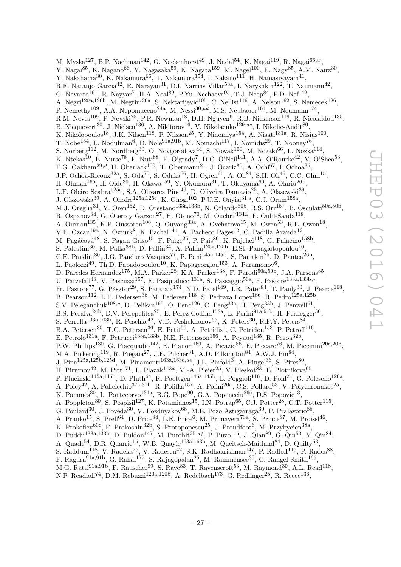M. Myska $^{127}$ , B.P. Nachman $^{142}$ , O. Nackenhorst $^{49}$ , J. Nadal $^{54}$ , K. Nagai $^{119}$ , R. Nagai $^{66,w}$ , Y. Nagai $^{85}$ , K. Nagano $^{66}$ , Y. Nagasaka $^{59}$ , K. Nagata $^{159}$ , M. Nagel $^{100}$ , E. Nagy $^{85}$ , A.M. Nairz $^{30}$ , Y. Nakahama $^{30}$ , K. Nakamura $^{66}$ , T. Nakamura $^{154}$ , I. Nakano $^{111}$ , H. Namasivayam $^{41}$ , R.F. Naranjo Garcia<sup>42</sup>, R. Narayan<sup>31</sup>, D.I. Narrias Villar<sup>58a</sup>, I. Naryshkin<sup>122</sup>, T. Naumann<sup>42</sup>, G. Navarro $^{161}$ , R. Nayyar<sup>7</sup>, H.A. Neal<sup>89</sup>, P.Yu. Nechaeva<sup>95</sup>, T.J. Neep<sup>84</sup>, P.D. Nef<sup>142</sup>, A. Negri<sup>120a,120b</sup>, M. Negrini<sup>20a</sup>, S. Nektarijevic<sup>105</sup>, C. Nellist<sup>116</sup>, A. Nelson<sup>162</sup>, S. Nemecek<sup>126</sup>, P. Nemethy<sup>109</sup>, A.A. Nepomuceno<sup>24a</sup>, M. Nessi<sup>30,ad</sup>, M.S. Neubauer<sup>164</sup>, M. Neumann<sup>174</sup>, R.M. Neves $^{109}$ , P. Nevski $^{25}$ , P.R. Newman $^{18}$ , D.H. Nguyen $^6$ , R.B. Nickerson $^{119}$ , R. Nicolaidou $^{135}$ , B. Nicquevert $^{30}$ , J. Nielsen $^{136}$ , A. Nikiforov $^{16}$ , V. Nikolaenko $^{129,ac}$ , I. Nikolic-Audit $^{80},$ K. Nikolopoulos<sup>18</sup>, J.K. Nilsen<sup>118</sup>, P. Nilsson<sup>25</sup>, Y. Ninomiya<sup>154</sup>, A. Nisati<sup>131a</sup>, R. Nisius<sup>100</sup>, T. Nobe<sup>154</sup>, L. Nodulman<sup>6</sup>, D. Nole<sup>91a,91b</sup>, M. Nomachi<sup>117</sup>, I. Nomidis<sup>29</sup>, T. Nooney<sup>76</sup>, S. Norberg $^{112}$ , M. Nordberg $^{30}$ , O. Novgorodova $^{44}$ , S. Nowak $^{100}$ , M. Nozaki $^{66}$ , L. Nozka $^{114}$ , K. Ntekas<sup>10</sup>, E. Nurse<sup>78</sup>, F. Nuti<sup>88</sup>, F. O'grady<sup>7</sup>, D.C. O'Neil<sup>141</sup>, A.A. O'Rourke<sup>42</sup>, V. O'Shea<sup>53</sup>, F.G. Oakham<sup>29,d</sup>, H. Oberlack<sup>100</sup>, T. Obermann<sup>21</sup>, J. Ocariz<sup>80</sup>, A. Ochi<sup>67</sup>, I. Ochoa<sup>35</sup>, J.P. Ochoa-Ricoux<sup>32a</sup>, S. Oda<sup>70</sup>, S. Odaka<sup>66</sup>, H. Ogren<sup>61</sup>, A. Oh<sup>84</sup>, S.H. Oh<sup>45</sup>, C.C. Ohm<sup>15</sup>, H. Ohman<sup>165</sup>, H. Oide<sup>30</sup>, H. Okawa<sup>159</sup>, Y. Okumura<sup>31</sup>, T. Okuyama<sup>66</sup>, A. Olariu<sup>26b</sup>, L.F. Oleiro Seabra<sup>125a</sup>, S.A. Olivares Pino<sup>46</sup>, D. Oliveira Damazio<sup>25</sup>, A. Olszewski<sup>39</sup>, J. Olszowska $^{39}$ , A. Onofre $^{125a,125e}$ , K. Onogi $^{102}$ , P.U.E. Onyisi $^{31,s}$ , C.J. Oram $^{158a}$ , M.J. Oreglia<sup>31</sup>, Y. Oren<sup>152</sup>, D. Orestano<sup>133a,133b</sup>, N. Orlando<sup>60b</sup>, R.S. Orr<sup>157</sup>, B. Osculati<sup>50a,50b</sup>, R. Ospanov $^{84}$ , G. Otero y Garzon<sup>27</sup>, H. Otono<sup>70</sup>, M. Ouchrif<sup>134d</sup>, F. Ould-Saada<sup>118</sup>, A. Ouraou<sup>135</sup>, K.P. Oussoren<sup>106</sup>, Q. Ouyang<sup>33a</sup>, A. Ovcharova<sup>15</sup>, M. Owen<sup>53</sup>, R.E. Owen<sup>18</sup>, V.E. Ozcan<sup>19a</sup>, N. Ozturk<sup>8</sup>, K. Pachal<sup>141</sup>, A. Pacheco Pages<sup>12</sup>, C. Padilla Aranda<sup>12</sup>, M. Pagáčová $^{48}$ , S. Pagan Griso $^{15}$ , F. Paige $^{25}$ , P. Pais $^{86}$ , K. Pajchel $^{118}$ , G. Palacino $^{158b}$ , S. Palestini<sup>30</sup>, M. Palka<sup>38b</sup>, D. Pallin<sup>34</sup>, A. Palma<sup>125a,125b</sup>, E.St. Panagiotopoulou<sup>10</sup>, C.E. Pandini<sup>80</sup>, J.G. Panduro Vazquez<sup>77</sup>, P. Pani<sup>145a,145b</sup>, S. Panitkin<sup>25</sup>, D. Pantea<sup>26b</sup>, L. Paolozzi<sup>49</sup>, Th.D. Papadopoulou<sup>10</sup>, K. Papageorgiou<sup>153</sup>, A. Paramonov<sup>6</sup>, D. Paredes Hernandez<sup>175</sup>, M.A. Parker<sup>28</sup>, K.A. Parker<sup>138</sup>, F. Parodi<sup>50a,50b</sup>, J.A. Parsons<sup>35</sup>, U. Parzefall<sup>48</sup>, V. Pascuzzi<sup>157</sup>, E. Pasqualucci<sup>131a</sup>, S. Passaggio<sup>50a</sup>, F. Pastore<sup>133a,133b,\*</sup>, Fr. Pastore<sup>77</sup>, G. Pásztor<sup>29</sup>, S. Pataraia<sup>174</sup>, N.D. Patel<sup>149</sup>, J.R. Pater<sup>84</sup>, T. Pauly<sup>30</sup>, J. Pearce<sup>168</sup>, B. Pearson<sup>112</sup>, L.E. Pedersen<sup>36</sup>, M. Pedersen<sup>118</sup>, S. Pedraza Lopez<sup>166</sup>, R. Pedro<sup>125a,125b</sup>, S.V. Peleganchuk<sup>108,c</sup>, D. Pelikan<sup>165</sup>, O. Penc<sup>126</sup>, C. Peng<sup>33a</sup>, H. Peng<sup>33b</sup>, J. Penwell<sup>61</sup>, B.S. Peralva<sup>24b</sup>, D.V. Perepelitsa<sup>25</sup>, E. Perez Codina<sup>158a</sup>, L. Perini<sup>91a,91b</sup>, H. Pernegger<sup>30</sup>, S. Perrella<sup>103a,103b</sup>, R. Peschke<sup>42</sup>, V.D. Peshekhonov<sup>65</sup>, K. Peters<sup>30</sup>, R.F.Y. Peters<sup>84</sup>, B.A. Petersen<sup>30</sup>, T.C. Petersen<sup>36</sup>, E. Petit<sup>55</sup>, A. Petridis<sup>1</sup>, C. Petridou<sup>153</sup>, P. Petroff<sup>116</sup>, E. Petrolo<sup>131a</sup>, F. Petrucci<sup>133a,133b</sup>, N.E. Pettersson<sup>156</sup>, A. Peyaud<sup>135</sup>, R. Pezoa<sup>32b</sup>, P.W. Phillips<sup>130</sup>, G. Piacquadio<sup>142</sup>, E. Pianori<sup>169</sup>, A. Picazio<sup>86</sup>, E. Piccaro<sup>76</sup>, M. Piccinini<sup>20a,20b</sup>, M.A. Pickering<sup>119</sup>, R. Piegaia<sup>27</sup>, J.E. Pilcher<sup>31</sup>, A.D. Pilkington<sup>84</sup>, A.W.J. Pin<sup>84</sup>, J. Pina<sup>125a,125b,125d</sup>, M. Pinamonti<sup>163a,163c,ae</sup>, J.L. Pinfold<sup>3</sup>, A. Pingel<sup>36</sup>, S. Pires<sup>80</sup>, H. Pirumov<sup>42</sup>, M. Pitt<sup>171</sup>, L. Plazak<sup>143a</sup>, M.-A. Pleier<sup>25</sup>, V. Pleskot<sup>83</sup>, E. Plotnikova<sup>65</sup>, P. Plucinski<sup>145a,145b</sup>, D. Pluth<sup>64</sup>, R. Poettgen<sup>145a,145b</sup>, L. Poggioli<sup>116</sup>, D. Pohl<sup>21</sup>, G. Polesello<sup>120a</sup>, A. Poley<sup>42</sup>, A. Policicchio<sup>37a,37b</sup>, R. Polifka<sup>157</sup>, A. Polini<sup>20a</sup>, C.S. Pollard<sup>53</sup>, V. Polychronakos<sup>25</sup>, K. Pommès<sup>30</sup>, L. Pontecorvo<sup>131a</sup>, B.G. Pope<sup>90</sup>, G.A. Popeneciu<sup>26c</sup>, D.S. Popovic<sup>13</sup>, A. Poppleton<sup>30</sup>, S. Pospisil<sup>127</sup>, K. Potamianos<sup>15</sup>, I.N. Potrap<sup>65</sup>, C.J. Potter<sup>28</sup>, C.T. Potter<sup>115</sup>, G. Poulard<sup>30</sup>, J. Poveda<sup>30</sup>, V. Pozdnyakov<sup>65</sup>, M.E. Pozo Astigarraga<sup>30</sup>, P. Pralavorio<sup>85</sup>, A. Pranko<sup>15</sup>, S. Prell<sup>64</sup>, D. Price<sup>84</sup>, L.E. Price<sup>6</sup>, M. Primavera<sup>73a</sup>, S. Prince<sup>87</sup>, M. Proissl<sup>46</sup>, K. Prokofiev ${}^{60c}$ , F. Prokoshin ${}^{32b}$ , S. Protopopescu ${}^{25}$ , J. Proudfoot<sup>6</sup>, M. Przybycien ${}^{38a}$ , D. Puddu<sup>133a,133b</sup>, D. Puldon<sup>147</sup>, M. Purohit<sup>25,af</sup>, P. Puzo<sup>116</sup>, J. Qian<sup>89</sup>, G. Qin<sup>53</sup>, Y. Qin<sup>84</sup>, A. Quadt<sup>54</sup>, D.R. Quarrie<sup>15</sup>, W.B. Quayle<sup>163a,163b</sup>, M. Queitsch-Maitland<sup>84</sup>, D. Quilty<sup>53</sup>, S. Raddum<sup>118</sup>, V. Radeka<sup>25</sup>, V. Radescu<sup>42</sup>, S.K. Radhakrishnan<sup>147</sup>, P. Radloff<sup>115</sup>, P. Rados<sup>88</sup>, F. Ragusa<sup>91a,91b</sup>, G. Rahal<sup>177</sup>, S. Rajagopalan<sup>25</sup>, M. Rammensee<sup>30</sup>, C. Rangel-Smith<sup>165</sup>,

M.G. Ratti<sup>91a,91b</sup>, F. Rauscher<sup>99</sup>, S. Rave<sup>83</sup>, T. Ravenscroft<sup>53</sup>, M. Raymond<sup>30</sup>, A.L. Read<sup>118</sup>,

N.P. Readioff<sup>74</sup>, D.M. Rebuzzi<sup>120a,120b</sup>, A. Redelbach<sup>173</sup>, G. Redlinger<sup>25</sup>, R. Reece<sup>136</sup>,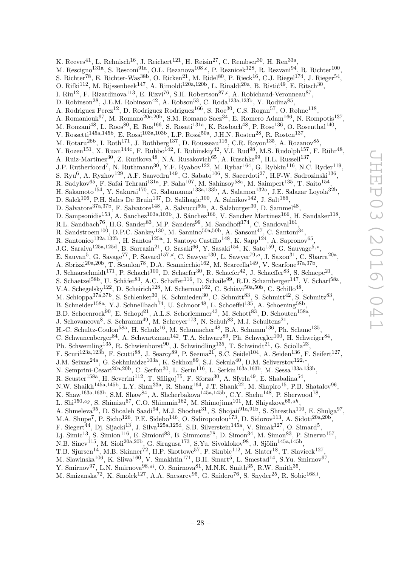K. Reeves<sup>41</sup>, L. Rehnisch<sup>16</sup>, J. Reichert<sup>121</sup>, H. Reisin<sup>27</sup>, C. Rembser<sup>30</sup>, H. Ren<sup>33a</sup>, M. Rescigno<sup>131a</sup>, S. Resconi<sup>91a</sup>, O.L. Rezanova<sup>108,c</sup>, P. Reznicek<sup>128</sup>, R. Rezvani<sup>94</sup>, R. Richter<sup>100</sup>, S. Richter<sup>78</sup>, E. Richter-Was<sup>38b</sup>, O. Ricken<sup>21</sup>, M. Ridel<sup>80</sup>, P. Rieck<sup>16</sup>, C.J. Riegel<sup>174</sup>, J. Rieger<sup>54</sup>, O. Rifki<sup>112</sup>, M. Rijssenbeek<sup>147</sup>, A. Rimoldi<sup>120a,120b</sup>, L. Rinaldi<sup>20a</sup>, B. Ristić<sup>49</sup>, E. Ritsch<sup>30</sup>, I. Riu<sup>12</sup>, F. Rizatdinova<sup>113</sup>, E. Rizvi<sup>76</sup>, S.H. Robertson<sup>87,*l*</sup>, A. Robichaud-Veronneau<sup>87</sup>, D. Robinson<sup>28</sup>, J.E.M. Robinson<sup>42</sup>, A. Robson<sup>53</sup>, C. Roda<sup>123a,123b</sup>, Y. Rodina<sup>85</sup>, A. Rodriguez Perez<sup>12</sup>, D. Rodriguez Rodriguez<sup>166</sup>, S. Roe<sup>30</sup>, C.S. Rogan<sup>57</sup>, O. Røhne<sup>118</sup>, A. Romaniouk<sup>97</sup>, M. Romano<sup>20a,20b</sup>, S.M. Romano Saez<sup>34</sup>, E. Romero Adam<sup>166</sup>, N. Rompotis<sup>137</sup>, M. Ronzani $^{48}$ , L. Roos $^{80}$ , E. Ros $^{166}$ , S. Rosati $^{131a}$ , K. Rosbach $^{48}$ , P. Rose $^{136}$ , O. Rosenthal $^{140}$ , V. Rossetti<sup>145a,145b</sup>, E. Rossi<sup>103a,103b</sup>, L.P. Rossi<sup>50a</sup>, J.H.N. Rosten<sup>28</sup>, R. Rosten<sup>137</sup>, M. Rotaru<sup>26b</sup>, I. Roth<sup>171</sup>, J. Rothberg<sup>137</sup>, D. Rousseau<sup>116</sup>, C.R. Royon<sup>135</sup>, A. Rozanov<sup>85</sup>, Y. Rozen<sup>151</sup>, X. Ruan<sup>144c</sup>, F. Rubbo<sup>142</sup>, I. Rubinskiy<sup>42</sup>, V.I. Rud<sup>98</sup>, M.S. Rudolph<sup>157</sup>, F. Rühr<sup>48</sup>, A. Ruiz-Martinez<sup>30</sup>, Z. Rurikova<sup>48</sup>, N.A. Rusakovich<sup>65</sup>, A. Ruschke<sup>99</sup>, H.L. Russell<sup>137</sup>, J.P. Rutherfoord<sup>7</sup>, N. Ruthmann<sup>30</sup>, Y.F. Ryabov<sup>122</sup>, M. Rybar<sup>164</sup>, G. Rybkin<sup>116</sup>, N.C. Ryder<sup>119</sup>, S. Ryu<sup>6</sup>, A. Ryzhov<sup>129</sup>, A.F. Saavedra<sup>149</sup>, G. Sabato<sup>106</sup>, S. Sacerdoti<sup>27</sup>, H.F-W. Sadrozinski<sup>136</sup>, R. Sadykov $^{65}$ , F. Safai Tehrani $^{131a}$ , P. Saha $^{107}$ , M. Sahinsoy $^{58a}$ , M. Saimpert $^{135}$ , T. Saito $^{154}$ , H. Sakamoto<sup>154</sup>, Y. Sakurai<sup>170</sup>, G. Salamanna<sup>133a,133b</sup>, A. Salamon<sup>132a</sup>, J.E. Salazar Loyola<sup>32b</sup>, D. Salek $^{106}$ , P.H. Sales De Bruin<sup>137</sup>, D. Salihagic<sup>100</sup>, A. Salnikov<sup>142</sup>, J. Salt<sup>166</sup>, D. Salvatore<sup>37a, 37b</sup>, F. Salvatore<sup>148</sup>, A. Salvucci<sup>60a</sup>, A. Salzburger<sup>30</sup>, D. Sammel<sup>48</sup>, D. Sampsonidis<sup>153</sup>, A. Sanchez<sup>103a,103b</sup>, J. Sánchez<sup>166</sup>, V. Sanchez Martinez<sup>166</sup>, H. Sandaker<sup>118</sup>, R.L. Sandbach<sup>76</sup>, H.G. Sander<sup>83</sup>, M.P. Sanders<sup>99</sup>, M. Sandhoff<sup>174</sup>, C. Sandoval<sup>161</sup>, R. Sandstroem<sup>100</sup>, D.P.C. Sankey<sup>130</sup>, M. Sannino<sup>50a,50b</sup>, A. Sansoni<sup>47</sup>, C. Santoni<sup>34</sup> , R. Santonico<sup>132a,132b</sup>, H. Santos<sup>125a</sup>, I. Santoyo Castillo<sup>148</sup>, K. Sapp<sup>124</sup>, A. Sapronov<sup>65</sup>, J.G. Saraiva<sup>125a,125d</sup>, B. Sarrazin<sup>21</sup>, O. Sasaki<sup>66</sup>, Y. Sasaki<sup>154</sup>, K. Sato<sup>159</sup>, G. Sauvage<sup>5,\*</sup>, E. Sauvan<sup>5</sup>, G. Savage<sup>77</sup>, P. Savard<sup>157,d</sup>, C. Sawyer<sup>130</sup>, L. Sawyer<sup>79,o</sup>, J. Saxon<sup>31</sup>, C. Sbarra<sup>20a</sup>, A. Sbrizzi<sup>20a, 20b</sup>, T. Scanlon<sup>78</sup>, D.A. Scannicchio<sup>162</sup>, M. Scarcella<sup>149</sup>, V. Scarfone<sup>37a, 37b</sup>, J. Schaarschmidt<sup>171</sup>, P. Schacht<sup>100</sup>, D. Schaefer<sup>30</sup>, R. Schaefer<sup>42</sup>, J. Schaeffer<sup>83</sup>, S. Schaepe<sup>21</sup>, S. Schaetzel<sup>58b</sup>, U. Schäfer<sup>83</sup>, A.C. Schaffer<sup>116</sup>, D. Schaile<sup>99</sup>, R.D. Schamberger<sup>147</sup>, V. Scharf<sup>58a</sup>, V.A. Schegelsky<sup>122</sup>, D. Scheirich<sup>128</sup>, M. Schernau<sup>162</sup>, C. Schiavi<sup>50a,50b</sup>, C. Schillo<sup>48</sup>, M. Schioppa<sup>37a,37b</sup>, S. Schlenker<sup>30</sup>, K. Schmieden<sup>30</sup>, C. Schmitt<sup>83</sup>, S. Schmitt<sup>42</sup>, S. Schmitz<sup>83</sup>, B. Schneider<sup>158a</sup>, Y.J. Schnellbach<sup>74</sup>, U. Schnoor<sup>48</sup>, L. Schoeffel<sup>135</sup>, A. Schoening<sup>58b</sup>, B.D. Schoenrock<sup>90</sup>, E. Schopf<sup>21</sup>, A.L.S. Schorlemmer<sup>43</sup>, M. Schott<sup>83</sup>, D. Schouten<sup>158a</sup>, J. Schovancova<sup>8</sup>, S. Schramm<sup>49</sup>, M. Schreyer<sup>173</sup>, N. Schuh<sup>83</sup>, M.J. Schultens<sup>21</sup>, H.-C. Schultz-Coulon<sup>58a</sup>, H. Schulz<sup>16</sup>, M. Schumacher<sup>48</sup>, B.A. Schumm<sup>136</sup>, Ph. Schune<sup>135</sup>, C. Schwanenberger<sup>84</sup>, A. Schwartzman<sup>142</sup>, T.A. Schwarz<sup>89</sup>, Ph. Schwegler<sup>100</sup>, H. Schweiger<sup>84</sup>, Ph. Schwemling<sup>135</sup>, R. Schwienhorst<sup>90</sup>, J. Schwindling<sup>135</sup>, T. Schwindt<sup>21</sup>, G. Sciolla<sup>23</sup>, F. Scuri<sup>123a,123b</sup>, F. Scutti<sup>88</sup>, J. Searcy<sup>89</sup>, P. Seema<sup>21</sup>, S.C. Seidel<sup>104</sup>, A. Seiden<sup>136</sup>, F. Seifert<sup>127</sup>, J.M. Seixas<sup>24a</sup>, G. Sekhniaidze<sup>103a</sup>, K. Sekhon<sup>89</sup>, S.J. Sekula<sup>40</sup>, D.M. Seliverstov<sup>122,\*</sup>, N. Semprini-Cesari<sup>20a,20b</sup>, C. Serfon<sup>30</sup>, L. Serin<sup>116</sup>, L. Serkin<sup>163a,163b</sup>, M. Sessa<sup>133a,133b</sup>, R. Seuster<sup>158a</sup>, H. Severini<sup>112</sup>, T. Sfiligoj<sup>75</sup>, F. Sforza<sup>30</sup>, A. Sfyrla<sup>49</sup>, E. Shabalina<sup>54</sup>, N.W. Shaikh<sup>145a,145b</sup>, L.Y. Shan<sup>33a</sup>, R. Shang<sup>164</sup>, J.T. Shank<sup>22</sup>, M. Shapiro<sup>15</sup>, P.B. Shatalov<sup>96</sup>, K. Shaw<sup>163a,163b</sup>, S.M. Shaw<sup>84</sup>, A. Shcherbakova<sup>145a,145b</sup>, C.Y. Shehu<sup>148</sup>, P. Sherwood<sup>78</sup>, L. Shi $^{150,ag}$ , S. Shimizu<sup>67</sup>, C.O. Shimmin<sup>162</sup>, M. Shimojima<sup>101</sup>, M. Shiyakova<sup>65,ah</sup>, A. Shmeleva<sup>95</sup>, D. Shoaleh Saadi<sup>94</sup>, M.J. Shochet<sup>31</sup>, S. Shojaii<sup>91a,91b</sup>, S. Shrestha<sup>110</sup>, E. Shulga<sup>97</sup>, M.A. Shupe<sup>7</sup>, P. Sicho<sup>126</sup>, P.E. Sidebo<sup>146</sup>, O. Sidiropoulou<sup>173</sup>, D. Sidorov<sup>113</sup>, A. Sidoti<sup>20a,20b</sup>, F. Siegert<sup>44</sup>, Dj. Sijacki<sup>13</sup>, J. Silva<sup>125a,125d</sup>, S.B. Silverstein<sup>145a</sup>, V. Simak<sup>127</sup>, O. Simard<sup>5</sup>, Lj. Simic $^{13}$ , S. Simion $^{116}$ , E. Simioni $^{83}$ , B. Simmons $^{78}$ , D. Simon $^{34}$ , M. Simon $^{83}$ , P. Sinervo $^{157}$ , N.B. Sinev $^{115}$ , M. Sioli $^{20a,20b}$ , G. Siragusa $^{173}$ , S.Yu. Sivoklokov $^{98}$ , J. Sjölin $^{145a,145b}$ , T.B. Sjursen<sup>14</sup>, M.B. Skinner<sup>72</sup>, H.P. Skottowe<sup>57</sup>, P. Skubic<sup>112</sup>, M. Slater<sup>18</sup>, T. Slavicek<sup>127</sup>, M. Slawinska<sup>106</sup>, K. Sliwa<sup>160</sup>, V. Smakhtin<sup>171</sup>, B.H. Smart<sup>5</sup>, L. Smestad<sup>14</sup>, S.Yu. Smirnov<sup>97</sup>, Y. Smirnov<sup>97</sup>, L.N. Smirnova<sup>98,ai</sup>, O. Smirnova<sup>81</sup>, M.N.K. Smith<sup>35</sup>, R.W. Smith<sup>35</sup>,

M. Smizanska<sup>72</sup>, K. Smolek<sup>127</sup>, A.A. Snesarev<sup>95</sup>, G. Snidero<sup>76</sup>, S. Snyder<sup>25</sup>, R. Sobie<sup>168,*l*</sup>,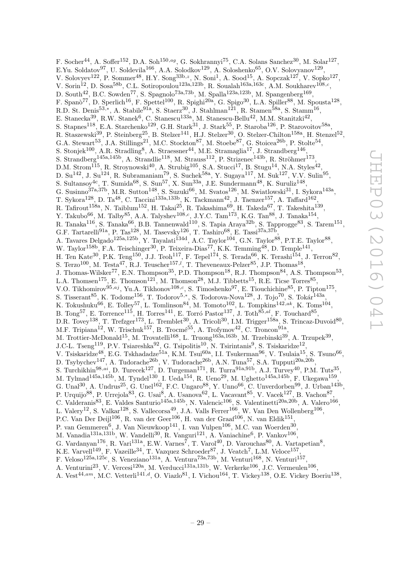F. Socher<sup>44</sup>, A. Soffer<sup>152</sup>, D.A. Soh<sup>150,ag</sup>, G. Sokhrannyi<sup>75</sup>, C.A. Solans Sanchez<sup>30</sup>, M. Solar<sup>127</sup>, E.Yu. Soldatov<sup>97</sup>, U. Soldevila<sup>166</sup>, A.A. Solodkov<sup>129</sup>, A. Soloshenko<sup>65</sup>, O.V. Solovyanov<sup>129</sup>, V. Solovyev<sup>122</sup>, P. Sommer<sup>48</sup>, H.Y. Song<sup>33b,z</sup>, N. Soni<sup>1</sup>, A. Sood<sup>15</sup>, A. Sopczak<sup>127</sup>, V. Sopko<sup>127</sup>, V. Sorin<sup>12</sup>, D. Sosa<sup>58b</sup>, C.L. Sotiropoulou<sup>123a,123b</sup>, R. Soualah<sup>163a,163c</sup>, A.M. Soukharev<sup>108,c</sup>, D. South<sup>42</sup>, B.C. Sowden<sup>77</sup>, S. Spagnolo<sup>73a,73b</sup>, M. Spalla<sup>123a,123b</sup>, M. Spangenberg<sup>169</sup>, F. Spanò<sup>77</sup>, D. Sperlich<sup>16</sup>, F. Spettel<sup>100</sup>, R. Spighi<sup>20a</sup>, G. Spigo<sup>30</sup>, L.A. Spiller<sup>88</sup>, M. Spousta<sup>128</sup>, R.D. St. Denis<sup>53,\*</sup>, A. Stabile<sup>91a</sup>, S. Staerz<sup>30</sup>, J. Stahlman<sup>121</sup>, R. Stamen<sup>58a</sup>, S. Stamm<sup>16</sup>, E. Stanecka<sup>39</sup>, R.W. Stanek<sup>6</sup>, C. Stanescu<sup>133a</sup>, M. Stanescu-Bellu<sup>42</sup>, M.M. Stanitzki<sup>42</sup> , S. Stapnes<sup>118</sup>, E.A. Starchenko<sup>129</sup>, G.H. Stark<sup>31</sup>, J. Stark<sup>55</sup>, P. Staroba<sup>126</sup>, P. Starovoitov<sup>58a</sup>, R. Staszewski<sup>39</sup>, P. Steinberg<sup>25</sup>, B. Stelzer<sup>141</sup>, H.J. Stelzer<sup>30</sup>, O. Stelzer-Chilton<sup>158a</sup>, H. Stenzel<sup>52</sup>, G.A. Stewart<sup>53</sup>, J.A. Stillings<sup>21</sup>, M.C. Stockton<sup>87</sup>, M. Stoebe<sup>87</sup>, G. Stoicea<sup>26b</sup>, P. Stolte<sup>54</sup>, S. Stonjek<sup>100</sup>, A.R. Stradling<sup>8</sup>, A. Straessner<sup>44</sup>, M.E. Stramaglia<sup>17</sup>, J. Strandberg<sup>146</sup>, S. Strandberg<sup>145a,145b</sup>, A. Strandlie<sup>118</sup>, M. Strauss<sup>112</sup>, P. Strizenec<sup>143b</sup>, R. Ströhmer<sup>173</sup>, D.M. Strom<sup>115</sup>, R. Stroynowski<sup>40</sup>, A. Strubig<sup>105</sup>, S.A. Stucci<sup>17</sup>, B. Stugu<sup>14</sup>, N.A. Styles<sup>42</sup>, D. Su<sup>142</sup>, J. Su<sup>124</sup>, R. Subramaniam<sup>79</sup>, S. Suchek<sup>58a</sup>, Y. Sugaya<sup>117</sup>, M. Suk<sup>127</sup>, V.V. Sulin<sup>95</sup>, S. Sultansoy<sup>4c</sup>, T. Sumida<sup>68</sup>, S. Sun<sup>57</sup>, X. Sun<sup>33a</sup>, J.E. Sundermann<sup>48</sup>, K. Suruliz<sup>148</sup>, G. Susinno<sup>37a,37b</sup>, M.R. Sutton<sup>148</sup>, S. Suzuki<sup>66</sup>, M. Svatos<sup>126</sup>, M. Swiatlowski<sup>31</sup>, I. Sykora<sup>143a</sup>, T. Sykora<sup>128</sup>, D. Ta<sup>48</sup>, C. Taccini<sup>133a,133b</sup>, K. Tackmann<sup>42</sup>, J. Taenzer<sup>157</sup>, A. Taffard<sup>162</sup>, R. Tafirout $^{158a}$ , N. Taiblum $^{152}$ , H. Takai $^{25}$ , R. Takashima $^{69}$ , H. Takeda $^{67}$ , T. Takeshita $^{139}$ , Y. Takubo<sup>66</sup>, M. Talby<sup>85</sup>, A.A. Talyshev<sup>108,c</sup>, J.Y.C. Tam<sup>173</sup>, K.G. Tan<sup>88</sup>, J. Tanaka<sup>154</sup>, R. Tanaka $^{116}$ , S. Tanaka $^{66}$ , B.B. Tannenwald $^{110}$ , S. Tapia Araya $^{32b}$ , S. Tapprogge $^{83}$ , S. Tarem $^{151}$ , G.F. Tartarelli<sup>91a</sup>, P. Tas<sup>128</sup>, M. Tasevsky<sup>126</sup>, T. Tashiro<sup>68</sup>, E. Tassi<sup>37a,37b</sup>, A. Tavares Delgado<sup>125a,125b</sup>, Y. Tayalati<sup>134d</sup>, A.C. Taylor<sup>104</sup>, G.N. Taylor<sup>88</sup>, P.T.E. Taylor<sup>88</sup>, W. Taylor<sup>158b</sup>, F.A. Teischinger<sup>30</sup>, P. Teixeira-Dias<sup>77</sup>, K.K. Temming<sup>48</sup>, D. Temple<sup>141</sup>, H. Ten Kate<sup>30</sup>, P.K. Teng<sup>150</sup>, J.J. Teoh<sup>117</sup>, F. Tepel<sup>174</sup>, S. Terada<sup>66</sup>, K. Terashi<sup>154</sup>, J. Terron<sup>82</sup>, S. Terzo<sup>100</sup>, M. Testa<sup>47</sup>, R.J. Teuscher<sup>157,*l*</sup>, T. Theveneaux-Pelzer<sup>85</sup>, J.P. Thomas<sup>18</sup>, J. Thomas-Wilsker<sup>77</sup>, E.N. Thompson<sup>35</sup>, P.D. Thompson<sup>18</sup>, R.J. Thompson<sup>84</sup>, A.S. Thompson<sup>53</sup>, L.A. Thomsen<sup>175</sup>, E. Thomson<sup>121</sup>, M. Thomson<sup>28</sup>, M.J. Tibbetts<sup>15</sup>, R.E. Ticse Torres<sup>85</sup>, V.O. Tikhomirov<sup>95,aj</sup>, Yu.A. Tikhonov<sup>108,c</sup>, S. Timoshenko<sup>97</sup>, E. Tiouchichine<sup>85</sup>, P. Tipton<sup>175</sup>, S. Tisserant<sup>85</sup>, K. Todome<sup>156</sup>, T. Todorov<sup>5,\*</sup>, S. Todorova-Nova<sup>128</sup>, J. Tojo<sup>70</sup>, S. Tokár<sup>143a</sup>, K. Tokushuku<sup>66</sup>, E. Tolley<sup>57</sup>, L. Tomlinson<sup>84</sup>, M. Tomoto<sup>102</sup>, L. Tompkins<sup>142,ak</sup>, K. Toms<sup>104</sup>, B. Tong<sup>57</sup>, E. Torrence<sup>115</sup>, H. Torres<sup>141</sup>, E. Torró Pastor<sup>137</sup>, J. Toth<sup>85,al</sup>, F. Touchard<sup>85</sup>, D.R. Tovey<sup>138</sup>, T. Trefzger<sup>173</sup>, L. Tremblet<sup>30</sup>, A. Tricoli<sup>30</sup>, I.M. Trigger<sup>158a</sup>, S. Trincaz-Duvoid<sup>80</sup>, M.F. Tripiana<sup>12</sup>, W. Trischuk<sup>157</sup>, B. Trocmé<sup>55</sup>, A. Trofymov<sup>42</sup>, C. Troncon<sup>91a</sup>, M. Trottier-McDonald<sup>15</sup>, M. Trovatelli<sup>168</sup>, L. Truong<sup>163a,163b</sup>, M. Trzebinski<sup>39</sup>, A. Trzupek<sup>39</sup>, J.C-L. Tseng<sup>119</sup>, P.V. Tsiareshka<sup>92</sup>, G. Tsipolitis<sup>10</sup>, N. Tsirintanis<sup>9</sup>, S. Tsiskaridze<sup>12</sup>, V. Tsiskaridze<sup>48</sup>, E.G. Tskhadadze<sup>51a</sup>, K.M. Tsui<sup>60a</sup>, I.I. Tsukerman<sup>96</sup>, V. Tsulaia<sup>15</sup>, S. Tsuno<sup>66</sup>, D. Tsybychev<sup>147</sup>, A. Tudorache<sup>26b</sup>, V. Tudorache<sup>26b</sup>, A.N. Tuna<sup>57</sup>, S.A. Tupputi<sup>20a,20b</sup>, S. Turchikhin<sup>98,ai</sup>, D. Turecek<sup>127</sup>, D. Turgeman<sup>171</sup>, R. Turra<sup>91a,91b</sup>, A.J. Turvey<sup>40</sup>, P.M. Tuts<sup>35</sup>, M. Tylmad $^{145a,145b}$ , M. Tyndel $^{130}$ , I. Ueda $^{154}$ , R. Ueno $^{29}$ , M. Ughetto $^{145a,145b}$ , F. Ukegawa $^{159}$ , G. Unal<sup>30</sup>, A. Undrus<sup>25</sup>, G. Unel<sup>162</sup>, F.C. Ungaro<sup>88</sup>, Y. Unno<sup>66</sup>, C. Unverdorben<sup>99</sup>, J. Urban<sup>143b</sup>, P. Urquijo<sup>88</sup>, P. Urrejola<sup>83</sup>, G. Usai<sup>8</sup>, A. Usanova<sup>62</sup>, L. Vacavant<sup>85</sup>, V. Vacek<sup>127</sup>, B. Vachon<sup>87</sup>, C. Valderanis<sup>83</sup>, E. Valdes Santurio<sup>145a,145b</sup>, N. Valencic<sup>106</sup>, S. Valentinetti<sup>20a,20b</sup>, A. Valero<sup>166</sup>, L. Valery<sup>12</sup>, S. Valkar<sup>128</sup>, S. Vallecorsa<sup>49</sup>, J.A. Valls Ferrer<sup>166</sup>, W. Van Den Wollenberg<sup>106</sup>, P.C. Van Der Deijl $^{106}$ , R. van der Geer $^{106}$ , H. van der Graaf $^{106}$ , N. van Eldik $^{151}$ , P. van Gemmeren $^6$ , J. Van Nieuwkoop $^{141}$ , I. van Vulpen $^{106}$ , M.C. van Woerden $^{30}$ , M. Vanadia<sup>131a,131b</sup>, W. Vandelli<sup>30</sup>, R. Vanguri<sup>121</sup>, A. Vaniachine<sup>6</sup>, P. Vankov<sup>106</sup>, G. Vardanyan<sup>176</sup>, R. Vari<sup>131a</sup>, E.W. Varnes<sup>7</sup>, T. Varol<sup>40</sup>, D. Varouchas<sup>80</sup>, A. Vartapetian<sup>8</sup>, K.E. Varvell<sup>149</sup>, F. Vazeille<sup>34</sup>, T. Vazquez Schroeder<sup>87</sup>, J. Veatch<sup>7</sup>, L.M. Veloce<sup>157</sup>, F. Veloso<sup>125a,125c</sup>, S. Veneziano<sup>131a</sup>, A. Ventura<sup>73a,73b</sup>, M. Venturi<sup>168</sup>, N. Venturi<sup>157</sup>, A. Venturini<sup>23</sup>, V. Vercesi<sup>120a</sup>, M. Verducci<sup>131a,131b</sup>, W. Verkerke<sup>106</sup>, J.C. Vermeulen<sup>106</sup>,

A. Vest<sup>44,am</sup>, M.C. Vetterli<sup>141,d</sup>, O. Viazlo<sup>81</sup>, I. Vichou<sup>164</sup>, T. Vickey<sup>138</sup>, O.E. Vickey Boeriu<sup>138</sup>,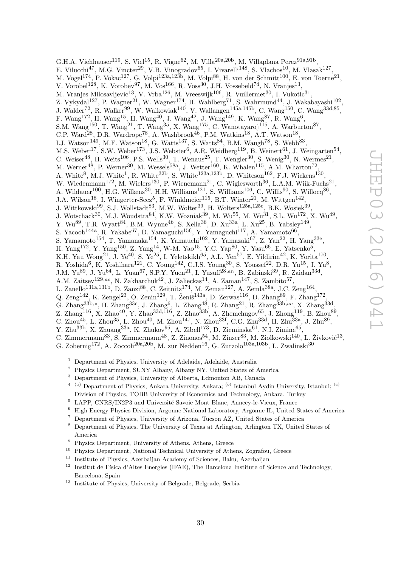G.H.A. Viehhauser $^{119}$ , S. Viel $^{15}$ , R. Vigne $^{62}$ , M. Villa $^{20a,20b}$ , M. Villaplana Perez $^{91a,91b}$ , E. Vilucchi<sup>47</sup>, M.G. Vincter<sup>29</sup>, V.B. Vinogradov<sup>65</sup>, I. Vivarelli<sup>148</sup>, S. Vlachos<sup>10</sup>, M. Vlasak<sup>127</sup>, M. Vogel<sup>174</sup>, P. Vokac<sup>127</sup>, G. Volpi<sup>123a,123b</sup>, M. Volpi<sup>88</sup>, H. von der Schmitt<sup>100</sup>, E. von Toerne<sup>21</sup>, V. Vorobel<sup>128</sup>, K. Vorobev<sup>97</sup>, M. Vos<sup>166</sup>, R. Voss<sup>30</sup>, J.H. Vossebeld<sup>74</sup>, N. Vranjes<sup>13</sup>, M. Vranjes Milosavljevic<sup>13</sup>, V. Vrba<sup>126</sup>, M. Vreeswijk<sup>106</sup>, R. Vuillermet<sup>30</sup>, I. Vukotic<sup>31</sup>, Z. Vykydal<sup>127</sup>, P. Wagner<sup>21</sup>, W. Wagner<sup>174</sup>, H. Wahlberg<sup>71</sup>, S. Wahrmund<sup>44</sup>, J. Wakabayashi<sup>102</sup>, J. Walder<sup>72</sup>, R. Walker<sup>99</sup>, W. Walkowiak<sup>140</sup>, V. Wallangen<sup>145a,145b</sup>, C. Wang<sup>150</sup>, C. Wang<sup>33d,85</sup>, F. Wang<sup>172</sup>, H. Wang<sup>15</sup>, H. Wang<sup>40</sup>, J. Wang<sup>42</sup>, J. Wang<sup>149</sup>, K. Wang<sup>87</sup>, R. Wang<sup>6</sup>, S.M. Wang<sup>150</sup>, T. Wang<sup>21</sup>, T. Wang<sup>35</sup>, X. Wang<sup>175</sup>, C. Wanotayaroj<sup>115</sup>, A. Warburton<sup>87</sup>, C.P. Ward<sup>28</sup>, D.R. Wardrope<sup>78</sup>, A. Washbrook<sup>46</sup>, P.M. Watkins<sup>18</sup>, A.T. Watson<sup>18</sup>, I.J. Watson<sup>149</sup>, M.F. Watson<sup>18</sup>, G. Watts<sup>137</sup>, S. Watts<sup>84</sup>, B.M. Waugh<sup>78</sup>, S. Webb<sup>83</sup>, M.S. Weber<sup>17</sup>, S.W. Weber<sup>173</sup>, J.S. Webster<sup>6</sup>, A.R. Weidberg<sup>119</sup>, B. Weinert<sup>61</sup>, J. Weingarten<sup>54</sup>, C. Weiser<sup>48</sup>, H. Weits<sup>106</sup>, P.S. Wells<sup>30</sup>, T. Wenaus<sup>25</sup>, T. Wengler<sup>30</sup>, S. Wenig<sup>30</sup>, N. Wermes<sup>21</sup>, M. Werner<sup>48</sup>, P. Werner<sup>30</sup>, M. Wessels<sup>58a</sup>, J. Wetter<sup>160</sup>, K. Whalen<sup>115</sup>, A.M. Wharton<sup>72</sup>, A. White<sup>8</sup>, M.J. White<sup>1</sup>, R. White<sup>32b</sup>, S. White<sup>123a,123b</sup>, D. Whiteson<sup>162</sup>, F.J. Wickens<sup>130</sup>, W. Wiedenmann<sup>172</sup>, M. Wielers<sup>130</sup>, P. Wienemann<sup>21</sup>, C. Wiglesworth<sup>36</sup>, L.A.M. Wiik-Fuchs<sup>21</sup>, A. Wildauer<sup>100</sup>, H.G. Wilkens<sup>30</sup>, H.H. Williams<sup>121</sup>, S. Williams<sup>106</sup>, C. Willis<sup>90</sup>, S. Willocq<sup>86</sup>, J.A. Wilson<sup>18</sup>, I. Wingerter-Seez<sup>5</sup>, F. Winklmeier<sup>115</sup>, B.T. Winter<sup>21</sup>, M. Wittgen<sup>142</sup>, J. Wittkowski<sup>99</sup>, S.J. Wollstadt<sup>83</sup>, M.W. Wolter<sup>39</sup>, H. Wolters<sup>125a,125c</sup>, B.K. Wosiek<sup>39</sup>, J. Wotschack<sup>30</sup>, M.J. Woudstra<sup>84</sup>, K.W. Wozniak<sup>39</sup>, M. Wu<sup>55</sup>, M. Wu<sup>31</sup>, S.L. Wu<sup>172</sup>, X. Wu<sup>49</sup>, Y. Wu<sup>89</sup>, T.R. Wyatt<sup>84</sup>, B.M. Wynne<sup>46</sup>, S. Xella<sup>36</sup>, D. Xu<sup>33a</sup>, L. Xu<sup>25</sup>, B. Yabsley<sup>149</sup>, S. Yacoob<sup>144a</sup>, R. Yakabe<sup>67</sup>, D. Yamaguchi<sup>156</sup>, Y. Yamaguchi<sup>117</sup>, A. Yamamoto<sup>66</sup>, S. Yamamoto<sup>154</sup>, T. Yamanaka<sup>154</sup>, K. Yamauchi<sup>102</sup>, Y. Yamazaki<sup>67</sup>, Z. Yan<sup>22</sup>, H. Yang<sup>33e</sup>, H. Yang<sup>172</sup>, Y. Yang<sup>150</sup>, Z. Yang<sup>14</sup>, W-M. Yao<sup>15</sup>, Y.C. Yap<sup>80</sup>, Y. Yasu<sup>66</sup>, E. Yatsenko<sup>5</sup>, K.H. Yau Wong<sup>21</sup>, J. Ye<sup>40</sup>, S. Ye<sup>25</sup>, I. Yeletskikh<sup>65</sup>, A.L. Yen<sup>57</sup>, E. Yildirim<sup>42</sup>, K. Yorita<sup>170</sup>, R. Yoshida<sup>6</sup>, K. Yoshihara<sup>121</sup>, C. Young<sup>142</sup>, C.J.S. Young<sup>30</sup>, S. Youssef<sup>22</sup>, D.R. Yu<sup>15</sup>, J. Yu<sup>8</sup>, J.M. Yu<sup>89</sup>, J. Yu<sup>64</sup>, L. Yuan<sup>67</sup>, S.P.Y. Yuen<sup>21</sup>, I. Yusuff<sup>28,an</sup>, B. Zabinski<sup>39</sup>, R. Zaidan<sup>33d</sup>, A.M. Zaitsev $^{129,ac}$ , N. Zakharchuk $^{42}$ , J. Zalieckas<sup>14</sup>, A. Zaman<sup>147</sup>, S. Zambito<sup>57</sup>, L. Zanello<sup>131a,131b</sup>, D. Zanzi<sup>88</sup>, C. Zeitnitz<sup>174</sup>, M. Zeman<sup>127</sup>, A. Zemla<sup>38a</sup>, J.C. Zeng<sup>164</sup>, Q. Zeng<sup>142</sup>, K. Zengel<sup>23</sup>, O. Zenin<sup>129</sup>, T. Ženiš<sup>143a</sup>, D. Zerwas<sup>116</sup>, D. Zhang<sup>89</sup>, F. Zhang<sup>172</sup>,

- G. Zhang<sup>33b,z</sup>, H. Zhang<sup>33c</sup>, J. Zhang<sup>6</sup>, L. Zhang<sup>48</sup>, R. Zhang<sup>21</sup>, R. Zhang<sup>33b,ao</sup>, X. Zhang<sup>33d</sup>,
- Z. Zhang<sup>116</sup>, X. Zhao<sup>40</sup>, Y. Zhao<sup>33d,116</sup>, Z. Zhao<sup>33b</sup>, A. Zhemchugov<sup>65</sup>, J. Zhong<sup>119</sup>, B. Zhou<sup>89</sup>,
- C. Zhou $^{45}$ , L. Zhou $^{35}$ , L. Zhou $^{40}$ , M. Zhou $^{147}$ , N. Zhou $^{33f}$ , C.G. Zhu $^{33d}$ , H. Zhu $^{33a}$ , J. Zhu $^{89}$ ,
- Y. Zhu<sup>33b</sup>, X. Zhuang<sup>33a</sup>, K. Zhukov<sup>95</sup>, A. Zibell<sup>173</sup>, D. Zieminska<sup>61</sup>, N.I. Zimine<sup>65</sup>,
- C. Zimmermann $^{83}$ , S. Zimmermann $^{48}$ , Z. Zinonos $^{54}$ , M. Zinser $^{83}$ , M. Ziolkowski $^{140}$ , L. Živković $^{13}$ ,
- G. Zobernig<sup>172</sup>, A. Zoccoli<sup>20a, 20b</sup>, M. zur Nedden<sup>16</sup>, G. Zurzolo<sup>103a, 103b</sup>, L. Zwalinski<sup>30</sup>
	- <sup>1</sup> Department of Physics, University of Adelaide, Adelaide, Australia
	- <sup>2</sup> Physics Department, SUNY Albany, Albany NY, United States of America
	- <sup>3</sup> Department of Physics, University of Alberta, Edmonton AB, Canada
	- <sup>4</sup> <sup>(a)</sup> Department of Physics, Ankara University, Ankara; <sup>(b)</sup> Istanbul Aydin University, Istanbul; <sup>(c)</sup> Division of Physics, TOBB University of Economics and Technology, Ankara, Turkey
	- $5$  LAPP, CNRS/IN2P3 and Université Savoie Mont Blanc, Annecy-le-Vieux, France
	- <sup>6</sup> High Energy Physics Division, Argonne National Laboratory, Argonne IL, United States of America
	- <sup>7</sup> Department of Physics, University of Arizona, Tucson AZ, United States of America
	- <sup>8</sup> Department of Physics, The University of Texas at Arlington, Arlington TX, United States of America
	- <sup>9</sup> Physics Department, University of Athens, Athens, Greece
	- <sup>10</sup> Physics Department, National Technical University of Athens, Zografou, Greece
	- <sup>11</sup> Institute of Physics, Azerbaijan Academy of Sciences, Baku, Azerbaijan
	- $12$  Institut de Física d'Altes Energies (IFAE), The Barcelona Institute of Science and Technology, Barcelona, Spain
	- <sup>13</sup> Institute of Physics, University of Belgrade, Belgrade, Serbia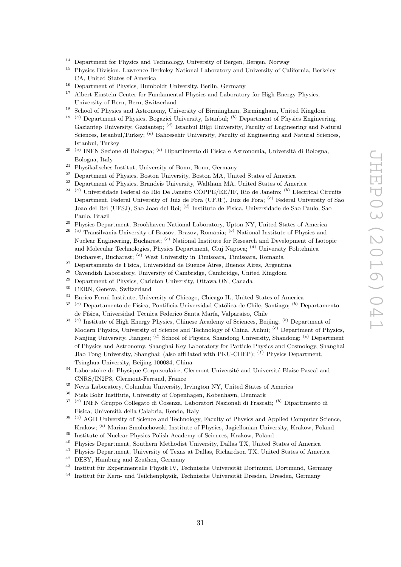- <sup>14</sup> Department for Physics and Technology, University of Bergen, Bergen, Norway<br><sup>15</sup> Dhysics Division, Lawrence Berkeley National Laboratory and University of Ca
- <sup>15</sup> Physics Division, Lawrence Berkeley National Laboratory and University of California, Berkeley CA, United States of America
- <sup>16</sup> Department of Physics, Humboldt University, Berlin, Germany
- <sup>17</sup> Albert Einstein Center for Fundamental Physics and Laboratory for High Energy Physics, University of Bern, Bern, Switzerland
- <sup>18</sup> School of Physics and Astronomy, University of Birmingham, Birmingham, United Kingdom
- <sup>19 (a)</sup> Department of Physics, Bogazici University, Istanbul; <sup>(b)</sup> Department of Physics Engineering, Gaziantep University, Gaziantep; <sup>(d)</sup> Istanbul Bilgi University, Faculty of Engineering and Natural Sciences, Istanbul,Turkey; <sup>(e)</sup> Bahcesehir University, Faculty of Engineering and Natural Sciences, Istanbul, Turkey
- <sup>20 (a)</sup> INFN Sezione di Bologna; <sup>(b)</sup> Dipartimento di Fisica e Astronomia, Università di Bologna, Bologna, Italy
- <sup>21</sup> Physikalisches Institut, University of Bonn, Bonn, Germany<br><sup>22</sup> Penartment of Physics, Boston University, Boston MA, University
- <sup>22</sup> Department of Physics, Boston University, Boston MA, United States of America<br><sup>23</sup> Department of Physics, Propelais University, Weltham MA, United States of Amer
- <sup>23</sup> Department of Physics, Brandeis University, Waltham MA, United States of America
- <sup>24 (a)</sup> Universidade Federal do Rio De Janeiro COPPE/EE/IF, Rio de Janeiro; <sup>(b)</sup> Electrical Circuits Department, Federal University of Juiz de Fora (UFJF), Juiz de Fora; <sup>(c)</sup> Federal University of Sao Joao del Rei (UFSJ), Sao Joao del Rei; <sup>(d)</sup> Instituto de Fisica, Universidade de Sao Paulo, Sao Paulo, Brazil
- <sup>25</sup> Physics Department, Brookhaven National Laboratory, Upton NY, United States of America
- <sup>26 (a)</sup> Transilvania University of Brasov, Brasov, Romania; <sup>(b)</sup> National Institute of Physics and Nuclear Engineering, Bucharest; <sup>(c)</sup> National Institute for Research and Development of Isotopic and Molecular Technologies, Physics Department, Cluj Napoca; <sup>(d)</sup> University Politehnica Bucharest, Bucharest; <sup>(e)</sup> West University in Timisoara, Timisoara, Romania
- <sup>27</sup> Departamento de Física, Universidad de Buenos Aires, Buenos Aires, Argentina
- <sup>28</sup> Cavendish Laboratory, University of Cambridge, Cambridge, United Kingdom<br><sup>29</sup> Department of Physics, Carlotan University, Ottowe ON, Canada
- <sup>29</sup> Department of Physics, Carleton University, Ottawa ON, Canada<br><sup>30</sup> CEDN, Canada Suiteerland
- CERN, Geneva, Switzerland
- <sup>31</sup> Enrico Fermi Institute, University of Chicago, Chicago IL, United States of America
- <sup>32</sup> <sup>(a)</sup> Departamento de Física, Pontificia Universidad Católica de Chile, Santiago; <sup>(b)</sup> Departamento de Física, Universidad Técnica Federico Santa María, Valparaíso, Chile
- <sup>33</sup><sup>(a)</sup> Institute of High Energy Physics, Chinese Academy of Sciences, Beijing; <sup>(b)</sup> Department of Modern Physics, University of Science and Technology of China, Anhui; <sup>(c)</sup> Department of Physics, Nanjing University, Jiangsu; <sup>(d)</sup> School of Physics, Shandong University, Shandong; <sup>(e)</sup> Department of Physics and Astronomy, Shanghai Key Laboratory for Particle Physics and Cosmology, Shanghai Jiao Tong University, Shanghai; (also affiliated with PKU-CHEP); <sup>(f)</sup> Physics Department, Tsinghua University, Beijing 100084, China
- $34$  Laboratoire de Physique Corpusculaire, Clermont Université and Université Blaise Pascal and CNRS/IN2P3, Clermont-Ferrand, France
- $35$  Nevis Laboratory, Columbia University, Irvington NY, United States of America<br> $36$  Niele Bohr Institute, University of Conceptor Echenhaum Denmark
- <sup>36</sup> Niels Bohr Institute, University of Copenhagen, Kobenhavn, Denmark
- <sup>37 (a)</sup> INFN Gruppo Collegato di Cosenza, Laboratori Nazionali di Frascati; <sup>(b)</sup> Dipartimento di Fisica, Universit`a della Calabria, Rende, Italy
- <sup>38 (a)</sup> AGH University of Science and Technology, Faculty of Physics and Applied Computer Science, Krakow; <sup>(b)</sup> Marian Smoluchowski Institute of Physics, Jagiellonian University, Krakow, Poland
- <sup>39</sup> Institute of Nuclear Physics Polish Academy of Sciences, Krakow, Poland
- <sup>40</sup> Physics Department, Southern Methodist University, Dallas TX, United States of America
- <sup>41</sup> Physics Department, University of Texas at Dallas, Richardson TX, United States of America
- <sup>42</sup> DESY, Hamburg and Zeuthen, Germany
- <sup>43</sup> Institut für Experimentelle Physik IV, Technische Universität Dortmund, Dortmund, Germany
- <sup>44</sup> Institut für Kern- und Teilchenphysik, Technische Universität Dresden, Dresden, Germany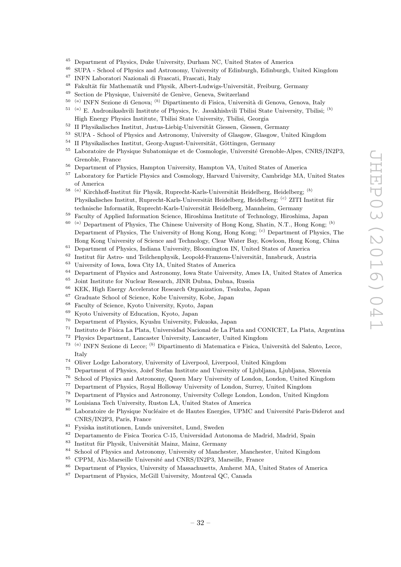- <sup>45</sup> Department of Physics, Duke University, Durham NC, United States of America<br><sup>46</sup> SUDA, School of Physics and Actronomy University of Edinburgh Edinburgh
- <sup>46</sup> SUPA School of Physics and Astronomy, University of Edinburgh, Edinburgh, United Kingdom
- <sup>47</sup> INFN Laboratori Nazionali di Frascati, Frascati, Italy
- <sup>48</sup> Fakultät für Mathematik und Physik, Albert-Ludwigs-Universität, Freiburg, Germany<br><sup>49</sup> Section de Physicus, Université de Genève, Geneve, Switzerland
- Section de Physique, Université de Genève, Geneva, Switzerland
- <sup>50 (a)</sup> INFN Sezione di Genova; <sup>(b)</sup> Dipartimento di Fisica, Università di Genova, Genova, Italy
- $51$ <sup>(a)</sup> E. Andronikashvili Institute of Physics, Iv. Javakhishvili Tbilisi State University, Tbilisi; <sup>(b)</sup> High Energy Physics Institute, Tbilisi State University, Tbilisi, Georgia
- <sup>52</sup> II Physikalisches Institut, Justus-Liebig-Universität Giessen, Giessen, Germany
- <sup>53</sup> SUPA School of Physics and Astronomy, University of Glasgow, Glasgow, United Kingdom
- $^{54}\,$  II Physikalisches Institut, Georg-August-Universität, Göttingen, Germany
- <sup>55</sup> Laboratoire de Physique Subatomique et de Cosmologie, Université Grenoble-Alpes, CNRS/IN2P3, Grenoble, France
- <sup>56</sup> Department of Physics, Hampton University, Hampton VA, United States of America<sup>57</sup> Laboratory for Particle Physics and Cosmology Harvard University, Cambridge MA
- <sup>57</sup> Laboratory for Particle Physics and Cosmology, Harvard University, Cambridge MA, United States of America
- <sup>58 (a)</sup> Kirchhoff-Institut für Physik, Ruprecht-Karls-Universität Heidelberg, Heidelberg; <sup>(b)</sup> Physikalisches Institut, Ruprecht-Karls-Universität Heidelberg, Heidelberg; <sup>(c)</sup> ZITI Institut für technische Informatik, Ruprecht-Karls-Universität Heidelberg, Mannheim, Germany
- <sup>59</sup> Faculty of Applied Information Science, Hiroshima Institute of Technology, Hiroshima, Japan
- $60$ <sup>(a)</sup> Department of Physics, The Chinese University of Hong Kong, Shatin, N.T., Hong Kong;  $(b)$ Department of Physics, The University of Hong Kong, Hong Kong; <sup>(c)</sup> Department of Physics, The Hong Kong University of Science and Technology, Clear Water Bay, Kowloon, Hong Kong, China
- $^{61}$  Department of Physics, Indiana University, Bloomington IN, United States of America
- <sup>62</sup> Institut für Astro- und Teilchenphysik, Leopold-Franzens-Universität, Innsbruck, Austria<br><sup>63</sup> University of Love Love City LA, United States of America
- <sup>63</sup> University of Iowa, Iowa City IA, United States of America<br><sup>64</sup> Department of Physics and Astronomy Iowa State Universi
- $^{64}$  Department of Physics and Astronomy, Iowa State University, Ames IA, United States of America<br> $^{65}$  Joint Institute for Nuelear Besearch, JINP Dubpe, Dubpe, Puccie
- <sup>65</sup> Joint Institute for Nuclear Research, JINR Dubna, Dubna, Russia<br><sup>66</sup> KEK, High Francy, Asseluption Research Operationtion, Taulusha
- <sup>66</sup> KEK, High Energy Accelerator Research Organization, Tsukuba, Japan
- $^{67}$  Graduate School of Science, Kobe University, Kobe, Japan  $^{68}$  Easy Lyste University, Kyote, Japan
- $^{68}$  Faculty of Science, Kyoto University, Kyoto, Japan  $^{69}$  Kyoto University of Education, Kyoto, Japan
- $^{69}$  Kyoto University of Education, Kyoto, Japan  $^{70}$  Department of Physics Kyushu University Fr
- <sup>70</sup> Department of Physics, Kyushu University, Fukuoka, Japan
- <sup>71</sup> Instituto de Física La Plata, Universidad Nacional de La Plata and CONICET, La Plata, Argentina
- <sup>72</sup> Physics Department, Lancaster University, Lancaster, United Kingdom
- 73 ( <sup>a)</sup> INFN Sezione di Lecce; <sup>(b)</sup> Dipartimento di Matematica e Fisica, Università del Salento, Lecce, Italy
- <sup>74</sup> Oliver Lodge Laboratory, University of Liverpool, Liverpool, United Kingdom
- <sup>75</sup> Department of Physics, Jožef Stefan Institute and University of Ljubliana, Ljubliana, Slovenia
- <sup>76</sup> School of Physics and Astronomy, Queen Mary University of London, London, United Kingdom<br><sup>77</sup> Department of Physics, Boyal Holloway University of London, Surrey, United Kingdom
- <sup>77</sup> Department of Physics, Royal Holloway University of London, Surrey, United Kingdom<br><sup>78</sup> Department of Physics and Astronomy, University College London, London, United Kingdom
- <sup>78</sup> Department of Physics and Astronomy, University College London, London, United Kingdom<br><sup>79</sup> Louisiana Tech University Purton LA, United States of America
- $^{79}$  Louisiana Tech University, Ruston LA, United States of America<br> $^{80}$  Laboratoire de Physique Nucléaire et de Hautes Epergies, UPMC
- Laboratoire de Physique Nucléaire et de Hautes Energies, UPMC and Université Paris-Diderot and CNRS/IN2P3, Paris, France
- <sup>81</sup> Fysiska institutionen, Lunds universitet, Lund, Sweden
- <sup>82</sup> Departamento de Fisica Teorica C-15, Universidad Autonoma de Madrid, Madrid, Spain
- <sup>83</sup> Institut für Physik, Universität Mainz, Mainz, Germany
- <sup>84</sup> School of Physics and Astronomy, University of Manchester, Manchester, United Kingdom
- <sup>85</sup> CPPM, Aix-Marseille Université and CNRS/IN2P3, Marseille, France
- <sup>86</sup> Department of Physics, University of Massachusetts, Amherst MA, United States of America
- <sup>87</sup> Department of Physics, McGill University, Montreal QC, Canada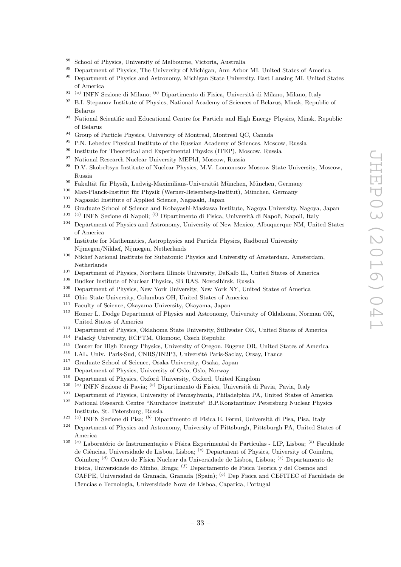- <sup>88</sup> School of Physics, University of Melbourne, Victoria, Australia<br><sup>89</sup> Penertment of Physics, The University of Michigan, Ann Arho
- <sup>89</sup> Department of Physics, The University of Michigan, Ann Arbor MI, United States of America
- <sup>90</sup> Department of Physics and Astronomy, Michigan State University, East Lansing MI, United States of America
- <sup>91 (a)</sup> INFN Sezione di Milano; <sup>(b)</sup> Dipartimento di Fisica, Università di Milano, Milano, Italy
- <sup>92</sup> B.I. Stepanov Institute of Physics, National Academy of Sciences of Belarus, Minsk, Republic of Belarus
- 93 National Scientific and Educational Centre for Particle and High Energy Physics, Minsk, Republic of Belarus
- <sup>94</sup> Group of Particle Physics, University of Montreal, Montreal QC, Canada<br><sup>95</sup> PN Lebedev Physical Institute of the Russian Academy of Sciences. Mos
- <sup>95</sup> P.N. Lebedev Physical Institute of the Russian Academy of Sciences, Moscow, Russia
- <sup>96</sup> Institute for Theoretical and Experimental Physics (ITEP), Moscow, Russia
- <sup>97</sup> National Research Nuclear University MEPhI, Moscow, Russia
- <sup>98</sup> D.V. Skobeltsyn Institute of Nuclear Physics, M.V. Lomonosov Moscow State University, Moscow, Russia
- <sup>99</sup> Fakultät für Physik, Ludwig-Maximilians-Universität München, München, Germany<br><sup>100</sup> Max-Planck-Institut für Physik (Werner-Heisenberg-Institut), München, Germany
- <sup>100</sup> Max-Planck-Institut für Physik (Werner-Heisenberg-Institut), München, Germany
- <sup>101</sup> Nagasaki Institute of Applied Science, Nagasaki, Japan<br><sup>102</sup> Cardiata School of Science and Kahanashi Macham In
- <sup>102</sup> Graduate School of Science and Kobayashi-Maskawa Institute, Nagoya University, Nagoya, Japan
- <sup>103 (a)</sup> INFN Sezione di Napoli; <sup>(b)</sup> Dipartimento di Fisica, Università di Napoli, Napoli, Italy
- <sup>104</sup> Department of Physics and Astronomy, University of New Mexico, Albuquerque NM, United States of America
- <sup>105</sup> Institute for Mathematics, Astrophysics and Particle Physics, Radboud University Nijmegen/Nikhef, Nijmegen, Netherlands
- <sup>106</sup> Nikhef National Institute for Subatomic Physics and University of Amsterdam, Amsterdam, Netherlands
- <sup>107</sup> Department of Physics, Northern Illinois University, DeKalb IL, United States of America<br><sup>108</sup> Pudley Institute of Nuclear Physics, SP PAS, Novesibirgh, Pugsia
- <sup>108</sup> Budker Institute of Nuclear Physics, SB RAS, Novosibirsk, Russia
- <sup>109</sup> Department of Physics, New York University, New York NY, United States of America
- <sup>110</sup> Ohio State University, Columbus OH, United States of America<br><sup>111</sup> Faculty of Science, Okayama University, Okayama, Japan
- <sup>111</sup> Faculty of Science, Okayama University, Okayama, Japan<br><sup>112</sup> Homer L. Dodge Department of Physics and Astronomy
- <sup>112</sup> Homer L. Dodge Department of Physics and Astronomy, University of Oklahoma, Norman OK, United States of America
- <sup>113</sup> Department of Physics, Oklahoma State University, Stillwater OK, United States of America
- <sup>114</sup> Palacký University, RCPTM, Olomouc, Czech Republic
- <sup>115</sup> Center for High Energy Physics, University of Oregon, Eugene OR, United States of America<br><sup>116</sup> LAL Universite CNRS/IN2P3 Université Paris-Saclay Orsay, France
- LAL, Univ. Paris-Sud, CNRS/IN2P3, Université Paris-Saclay, Orsay, France
- <sup>117</sup> Graduate School of Science, Osaka University, Osaka, Japan
- <sup>118</sup> Department of Physics, University of Oslo, Oslo, Norway
- <sup>119</sup> Department of Physics, Oxford University, Oxford, United Kingdom
- 120 ( <sup>a)</sup> INFN Sezione di Pavia; <sup>(b)</sup> Dipartimento di Fisica, Università di Pavia, Pavia, Italy
- <sup>121</sup> Department of Physics, University of Pennsylvania, Philadelphia PA, United States of America<br><sup>122</sup> National Bessensk Centre "Kurshator Institute", B.B.Konstantinov Betershum Nuelean Bhysics
- <sup>122</sup> National Research Centre "Kurchatov Institute" B.P.Konstantinov Petersburg Nuclear Physics Institute, St. Petersburg, Russia
- <sup>123 (a</sup>) INFN Sezione di Pisa; <sup>(b)</sup> Dipartimento di Fisica E. Fermi, Università di Pisa, Pisa, Italy
- <sup>124</sup> Department of Physics and Astronomy, University of Pittsburgh, Pittsburgh PA, United States of America
- <sup>125 (a)</sup> Laboratório de Instrumentação e Física Experimental de Partículas LIP, Lisboa; <sup>(b)</sup> Faculdade de Ciências, Universidade de Lisboa, Lisboa; <sup>(c)</sup> Department of Physics, University of Coimbra, Coimbra; <sup>(d)</sup> Centro de Física Nuclear da Universidade de Lisboa, Lisboa; <sup>(e)</sup> Departamento de Fisica, Universidade do Minho, Braga; <sup>(f)</sup> Departamento de Fisica Teorica y del Cosmos and CAFPE, Universidad de Granada, Granada (Spain); <sup>(g)</sup> Dep Fisica and CEFITEC of Faculdade de Ciencias e Tecnologia, Universidade Nova de Lisboa, Caparica, Portugal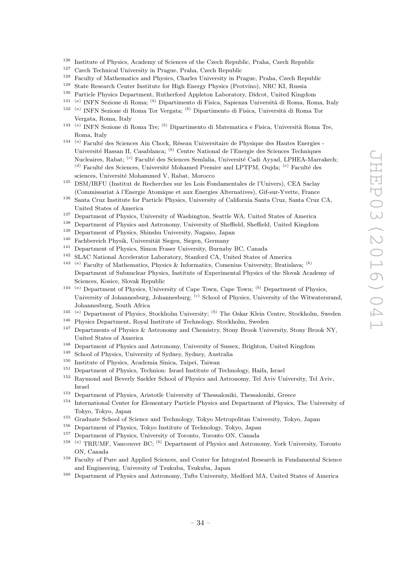- <sup>126</sup> Institute of Physics, Academy of Sciences of the Czech Republic, Praha, Czech Republic<br><sup>127</sup> Creek Technical University in Prague, Praha, Czech Republic,
- <sup>127</sup> Czech Technical University in Prague, Praha, Czech Republic
- <sup>128</sup> Faculty of Mathematics and Physics, Charles University in Prague, Praha, Czech Republic
- <sup>129</sup> State Research Center Institute for High Energy Physics (Protvino), NRC KI, Russia
- <sup>130</sup> Particle Physics Department, Rutherford Appleton Laboratory, Didcot, United Kingdom
- <sup>131 (a)</sup> INFN Sezione di Roma; <sup>(b)</sup> Dipartimento di Fisica, Sapienza Università di Roma, Roma, Italy
- <sup>132 (a)</sup> INFN Sezione di Roma Tor Vergata; <sup>(b)</sup> Dipartimento di Fisica, Università di Roma Tor Vergata, Roma, Italy
- <sup>133 (a)</sup> INFN Sezione di Roma Tre; <sup>(b)</sup> Dipartimento di Matematica e Fisica, Università Roma Tre, Roma, Italy
- $134$ <sup>(a)</sup> Faculté des Sciences Ain Chock, Réseau Universitaire de Physique des Hautes Energies -Université Hassan II, Casablanca; <sup>(b)</sup> Centre National de l'Energie des Sciences Techniques Nucleaires, Rabat; <sup>(c)</sup> Faculté des Sciences Semlalia, Université Cadi Ayyad, LPHEA-Marrakech; (d) Faculté des Sciences, Université Mohamed Premier and LPTPM, Oujda;  $^{(e)}$  Faculté des sciences, Université Mohammed V, Rabat, Morocco
- <sup>135</sup> DSM/IRFU (Institut de Recherches sur les Lois Fondamentales de l'Univers), CEA Saclay (Commissariat `a l'Energie Atomique et aux Energies Alternatives), Gif-sur-Yvette, France
- <sup>136</sup> Santa Cruz Institute for Particle Physics, University of California Santa Cruz, Santa Cruz CA, United States of America
- <sup>137</sup> Department of Physics, University of Washington, Seattle WA, United States of America
- <sup>138</sup> Department of Physics and Astronomy, University of Sheffield, Sheffield, United Kingdom
- <sup>139</sup> Department of Physics, Shinshu University, Nagano, Japan
- $140$  Fachbereich Physik, Universität Siegen, Siegen, Germany
- <sup>141</sup> Department of Physics, Simon Fraser University, Burnaby BC, Canada<br><sup>142</sup> SI AC National Accelerator Laboratory Stanford CA. United States of
- <sup>142</sup> SLAC National Accelerator Laboratory, Stanford CA, United States of America
- <sup>143</sup><sup>(a)</sup> Faculty of Mathematics, Physics & Informatics, Comenius University, Bratislava; <sup>(b)</sup> Department of Subnuclear Physics, Institute of Experimental Physics of the Slovak Academy of Sciences, Kosice, Slovak Republic
- <sup>144 (a)</sup> Department of Physics, University of Cape Town, Cape Town; <sup>(b)</sup> Department of Physics, University of Johannesburg, Johannesburg; <sup>(c)</sup> School of Physics, University of the Witwatersrand, Johannesburg, South Africa
- <sup>145 (a)</sup> Department of Physics, Stockholm University; <sup>(b)</sup> The Oskar Klein Centre, Stockholm, Sweden
- <sup>146</sup> Physics Department, Royal Institute of Technology, Stockholm, Sweden<br><sup>147</sup> Departments of Physics  $\&$  Astronomy and Chemistry Stony Brook Uni
- <sup>147</sup> Departments of Physics & Astronomy and Chemistry, Stony Brook University, Stony Brook NY, United States of America
- <sup>148</sup> Department of Physics and Astronomy, University of Sussex, Brighton, United Kingdom
- <sup>149</sup> School of Physics, University of Sydney, Sydney, Australia
- <sup>150</sup> Institute of Physics, Academia Sinica, Taipei, Taiwan
- <sup>151</sup> Department of Physics, Technion: Israel Institute of Technology, Haifa, Israel
- <sup>152</sup> Raymond and Beverly Sackler School of Physics and Astronomy, Tel Aviv University, Tel Aviv, Israel
- <sup>153</sup> Department of Physics, Aristotle University of Thessaloniki, Thessaloniki, Greece<br><sup>154</sup> International Canter for Elementary Partials Physics and Department of Physics
- <sup>154</sup> International Center for Elementary Particle Physics and Department of Physics, The University of Tokyo, Tokyo, Japan
- <sup>155</sup> Graduate School of Science and Technology, Tokyo Metropolitan University, Tokyo, Japan<br><sup>156</sup> Department of Physics, Tokyo Institute of Technology, Tokyo, Japan
- <sup>156</sup> Department of Physics, Tokyo Institute of Technology, Tokyo, Japan
- <sup>157</sup> Department of Physics, University of Toronto, Toronto ON, Canada
- <sup>158 (a)</sup> TRIUMF, Vancouver BC; <sup>(b)</sup> Department of Physics and Astronomy, York University, Toronto ON, Canada
- <sup>159</sup> Faculty of Pure and Applied Sciences, and Center for Integrated Research in Fundamental Science and Engineering, University of Tsukuba, Tsukuba, Japan
- <sup>160</sup> Department of Physics and Astronomy, Tufts University, Medford MA, United States of America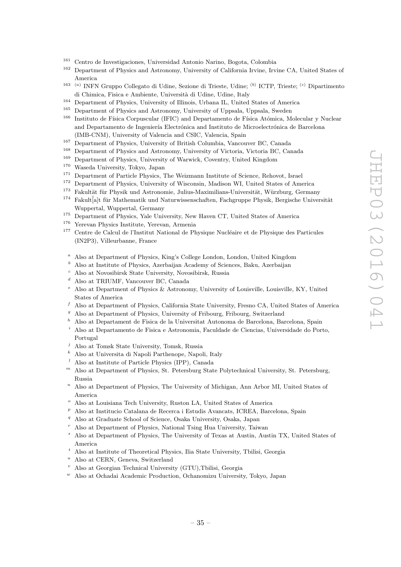- <sup>161</sup> Centro de Investigaciones, Universidad Antonio Narino, Bogota, Colombia
- <sup>162</sup> Department of Physics and Astronomy, University of California Irvine, Irvine CA, United States of America
- <sup>163</sup><sup>(a)</sup> INFN Gruppo Collegato di Udine, Sezione di Trieste, Udine; <sup>(b)</sup> ICTP, Trieste; <sup>(c)</sup> Dipartimento di Chimica, Fisica e Ambiente, Universit`a di Udine, Udine, Italy
- <sup>164</sup> Department of Physics, University of Illinois, Urbana IL, United States of America<br><sup>165</sup> Department of Physics and Astronomy University of Unnacle Unnacle Suredon
- <sup>165</sup> Department of Physics and Astronomy, University of Uppsala, Uppsala, Sweden<br><sup>166</sup> Institute de Eísica Cornuccular (IEIC) and Departmento de Eísica Atómica M
- Instituto de Física Corpuscular (IFIC) and Departamento de Física Atómica, Molecular y Nuclear and Departamento de Ingeniería Electrónica and Instituto de Microelectrónica de Barcelona (IMB-CNM), University of Valencia and CSIC, Valencia, Spain
- <sup>167</sup> Department of Physics, University of British Columbia, Vancouver BC, Canada<br><sup>168</sup> Department of Physics and Astronomy University of Victoria Victoria BC, Canada
- <sup>168</sup> Department of Physics and Astronomy, University of Victoria, Victoria BC, Canada
- <sup>169</sup> Department of Physics, University of Warwick, Coventry, United Kingdom
- <sup>170</sup> Waseda University, Tokyo, Japan<br><sup>171</sup> Department of Particle Physics 7
- <sup>171</sup> Department of Particle Physics, The Weizmann Institute of Science, Rehovot, Israel<br><sup>172</sup> Department of Physics, University of Wisconsin, Madison WJ, United States of Ameri
- <sup>172</sup> Department of Physics, University of Wisconsin, Madison WI, United States of America<sup>173</sup> Eskultät für Physik und Astronomie, Julius-Maximilians-Universität, Würzhurg, Germa
- <sup>173</sup> Fakultät für Physik und Astronomie, Julius-Maximilians-Universität, Würzburg, Germany<br><sup>174</sup> Fakult<sup>i</sup>alt für Mathematik und Naturwissenschaften, Fachsruppe Physik, Bergische Univer
- <sup>174</sup> Fakult|a|t für Mathematik und Naturwissenschaften, Fachgruppe Physik, Bergische Universität Wuppertal, Wuppertal, Germany
- <sup>175</sup> Department of Physics, Yale University, New Haven CT, United States of America
- <sup>176</sup> Yerevan Physics Institute, Yerevan, Armenia
- <sup>177</sup> Centre de Calcul de l'Institut National de Physique Nucléaire et de Physique des Particules (IN2P3), Villeurbanne, France
	- <sup>a</sup> Also at Department of Physics, King's College London, London, United Kingdom
	- <sup>b</sup> Also at Institute of Physics, Azerbaijan Academy of Sciences, Baku, Azerbaijan
	- <sup>c</sup> Also at Novosibirsk State University, Novosibirsk, Russia
	- <sup>d</sup> Also at TRIUMF, Vancouver BC, Canada
	- <sup>e</sup> Also at Department of Physics & Astronomy, University of Louisville, Louisville, KY, United States of America
	- $f$  Also at Department of Physics, California State University, Fresno CA, United States of America
	- $9$  Also at Department of Physics, University of Fribourg, Fribourg, Switzerland
	- <sup>h</sup> Also at Departament de Fisica de la Universitat Autonoma de Barcelona, Barcelona, Spain
	- <sup>i</sup> Also at Departamento de Fisica e Astronomia, Faculdade de Ciencias, Universidade do Porto, Portugal
	- <sup>j</sup> Also at Tomsk State University, Tomsk, Russia
	- <sup>k</sup> Also at Universita di Napoli Parthenope, Napoli, Italy
	- <sup>l</sup> Also at Institute of Particle Physics (IPP), Canada
- $<sup>m</sup>$  Also at Department of Physics, St. Petersburg State Polytechnical University, St. Petersburg,</sup> Russia
- <sup>n</sup> Also at Department of Physics, The University of Michigan, Ann Arbor MI, United States of America
- $\degree$  Also at Louisiana Tech University, Ruston LA, United States of America
- $p$  Also at Institucio Catalana de Recerca i Estudis Avancats, ICREA, Barcelona, Spain
- <sup>q</sup> Also at Graduate School of Science, Osaka University, Osaka, Japan
- <sup>r</sup> Also at Department of Physics, National Tsing Hua University, Taiwan
- <sup>s</sup> Also at Department of Physics, The University of Texas at Austin, Austin TX, United States of America
- <sup>t</sup> Also at Institute of Theoretical Physics, Ilia State University, Tbilisi, Georgia
- $u$  Also at CERN, Geneva, Switzerland
- <sup>v</sup> Also at Georgian Technical University (GTU),Tbilisi, Georgia
- $W$  Also at Ochadai Academic Production, Ochanomizu University, Tokyo, Japan